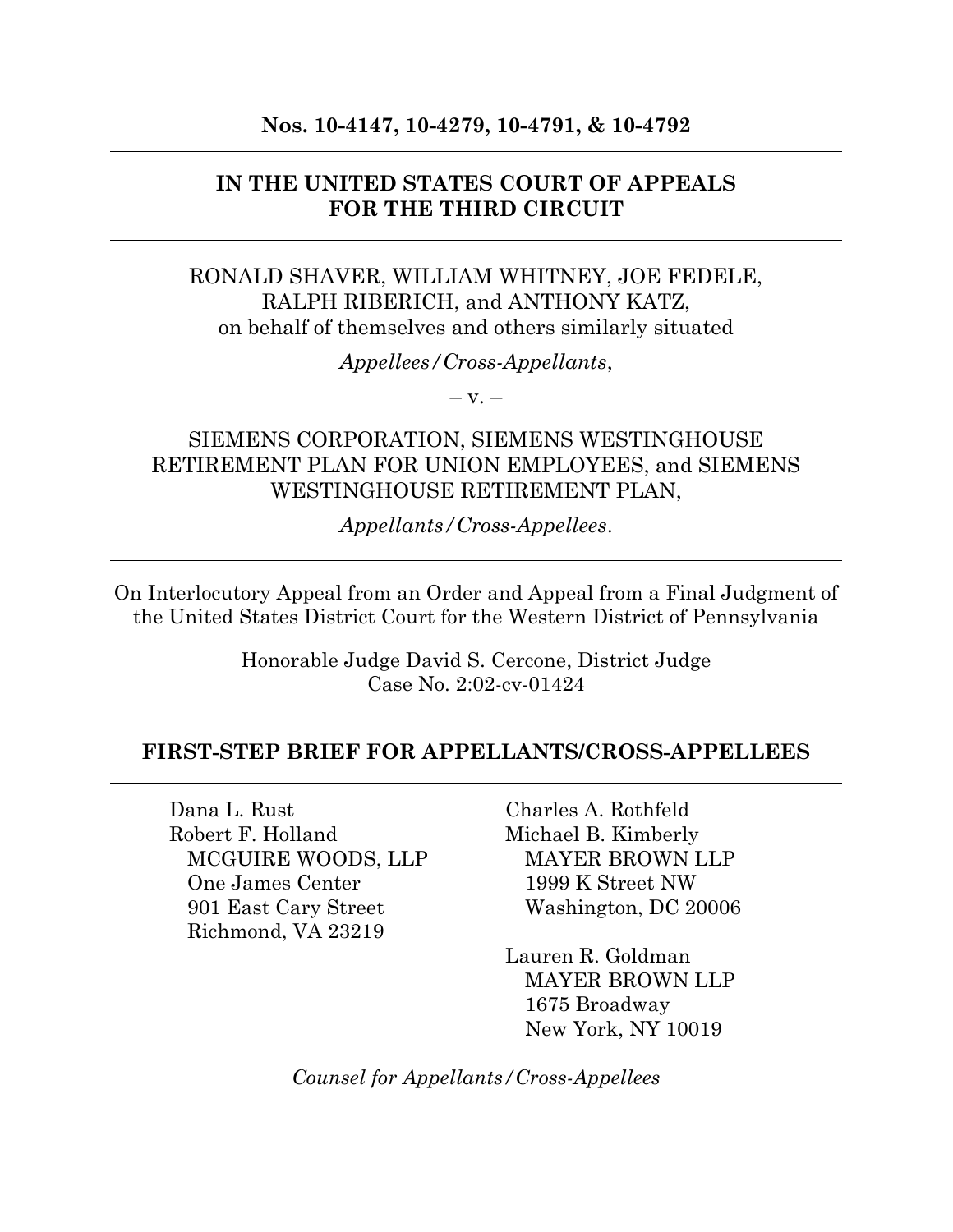#### **Nos. 10-4147, 10-4279, 10-4791, & 10-4792**

### **IN THE UNITED STATES COURT OF APPEALS FOR THE THIRD CIRCUIT**

RONALD SHAVER, WILLIAM WHITNEY, JOE FEDELE, RALPH RIBERICH, and ANTHONY KATZ, on behalf of themselves and others similarly situated

*Appellees/Cross-Appellants*,

 $-$  v.  $-$ 

SIEMENS CORPORATION, SIEMENS WESTINGHOUSE RETIREMENT PLAN FOR UNION EMPLOYEES, and SIEMENS WESTINGHOUSE RETIREMENT PLAN,

*Appellants/Cross-Appellees*.

On Interlocutory Appeal from an Order and Appeal from a Final Judgment of the United States District Court for the Western District of Pennsylvania

> Honorable Judge David S. Cercone, District Judge Case No. 2:02-cv-01424

#### **FIRST-STEP BRIEF FOR APPELLANTS/CROSS-APPELLEES**

Dana L. Rust Robert F. Holland MCGUIRE WOODS, LLP One James Center 901 East Cary Street Richmond, VA 23219

Charles A. Rothfeld Michael B. Kimberly MAYER BROWN LLP 1999 K Street NW Washington, DC 20006

Lauren R. Goldman MAYER BROWN LLP 1675 Broadway New York, NY 10019

*Counsel for Appellants/Cross-Appellees*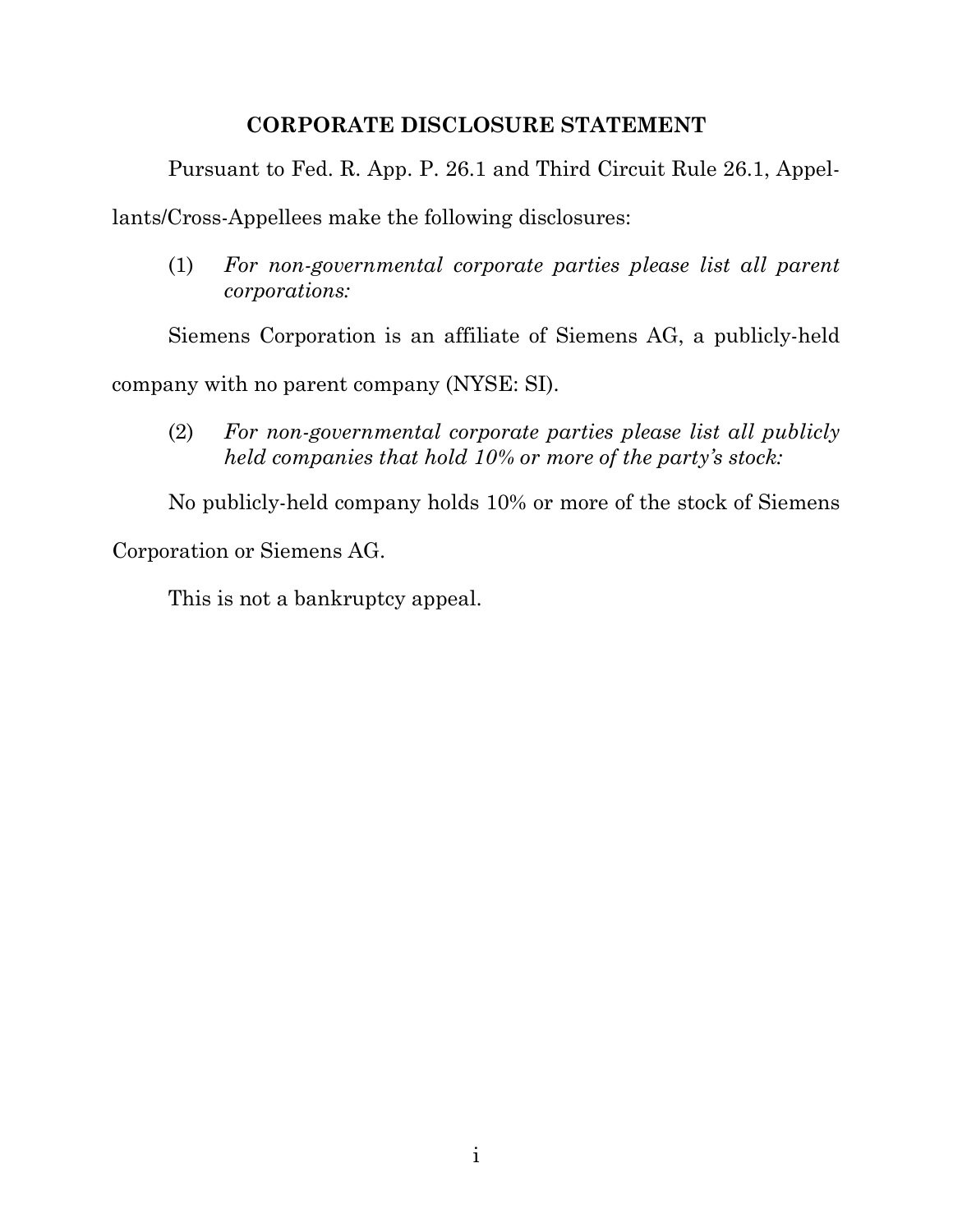### **CORPORATE DISCLOSURE STATEMENT**

Pursuant to Fed. R. App. P. 26.1 and Third Circuit Rule 26.1, Appel-

lants/Cross-Appellees make the following disclosures:

(1) *For non-governmental corporate parties please list all parent corporations:*

Siemens Corporation is an affiliate of Siemens AG, a publicly-held

company with no parent company (NYSE: SI).

(2) *For non-governmental corporate parties please list all publicly held companies that hold 10% or more of the party's stock:*

No publicly-held company holds 10% or more of the stock of Siemens

Corporation or Siemens AG.

This is not a bankruptcy appeal.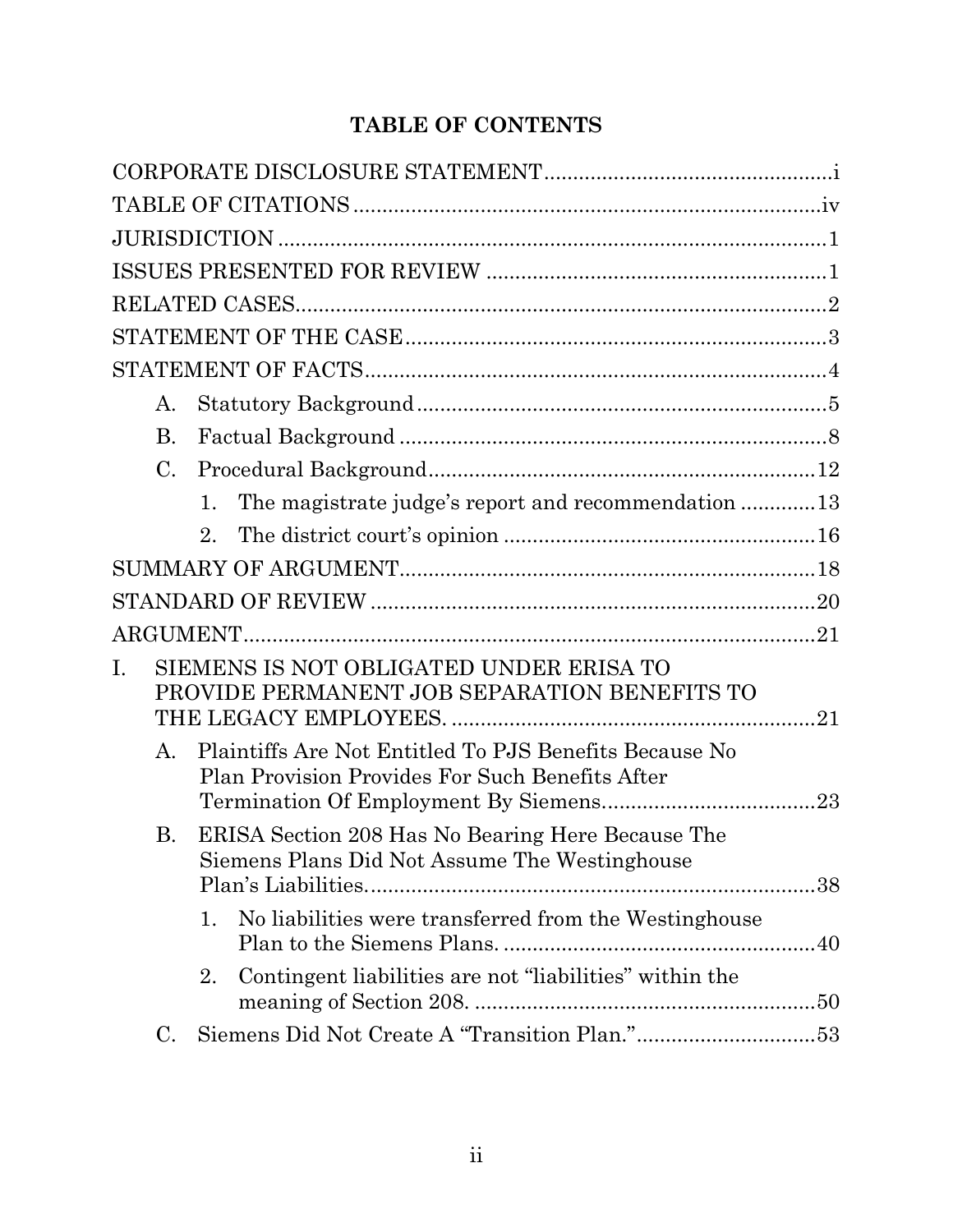# **TABLE OF CONTENTS**

|                | A.              |                                                                                                           |    |
|----------------|-----------------|-----------------------------------------------------------------------------------------------------------|----|
|                | <b>B.</b>       |                                                                                                           |    |
|                | $\mathcal{C}$ . |                                                                                                           |    |
|                |                 | The magistrate judge's report and recommendation 13<br>$\mathbf{1}$ .                                     |    |
|                |                 | 2.                                                                                                        |    |
|                |                 |                                                                                                           |    |
|                |                 |                                                                                                           |    |
|                |                 |                                                                                                           |    |
| $\mathbf{I}$ . |                 | SIEMENS IS NOT OBLIGATED UNDER ERISA TO<br>PROVIDE PERMANENT JOB SEPARATION BENEFITS TO                   | 21 |
|                | $\mathsf{A}$ .  | Plaintiffs Are Not Entitled To PJS Benefits Because No<br>Plan Provision Provides For Such Benefits After |    |
|                | <b>B.</b>       | ERISA Section 208 Has No Bearing Here Because The<br>Siemens Plans Did Not Assume The Westinghouse        |    |
|                |                 | No liabilities were transferred from the Westinghouse<br>1.                                               |    |
|                |                 | Contingent liabilities are not "liabilities" within the<br>2.                                             |    |
|                | C.              | Siemens Did Not Create A "Transition Plan."53                                                             |    |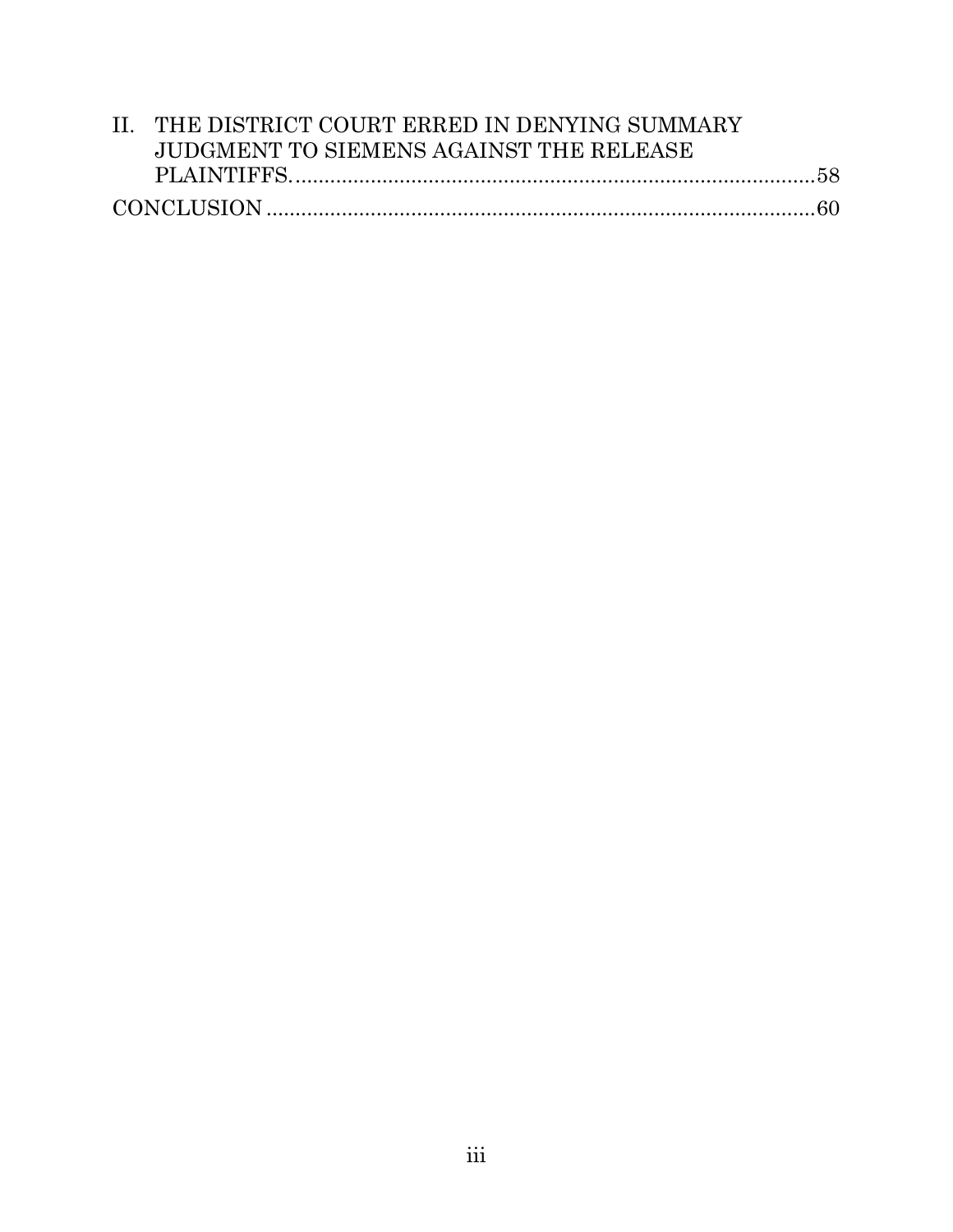| II. THE DISTRICT COURT ERRED IN DENYING SUMMARY |  |
|-------------------------------------------------|--|
| JUDGMENT TO SIEMENS AGAINST THE RELEASE         |  |
|                                                 |  |
|                                                 |  |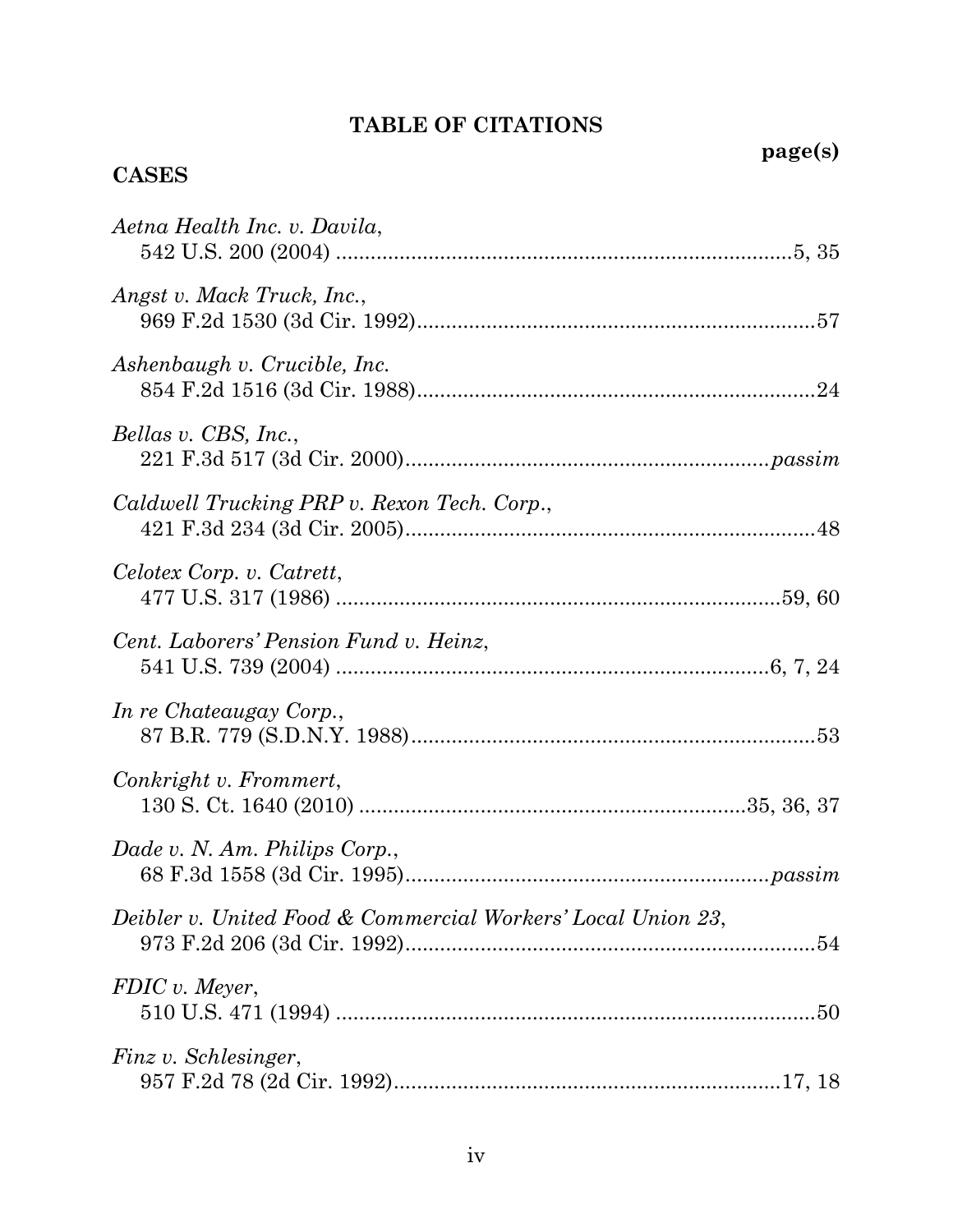### **TABLE OF CITATIONS**

# **page(s) CASES** *Aetna Health Inc. v. Davila*, 542 U.S. 200 (2004) ...............................................................................5, 35 *Angst v. Mack Truck, Inc.*, 969 F.2d 1530 (3d Cir. 1992).....................................................................57 *Ashenbaugh v. Crucible, Inc.* 854 F.2d 1516 (3d Cir. 1988).....................................................................24 *Bellas v. CBS, Inc.*, 221 F.3d 517 (3d Cir. 2000)...............................................................*passim Caldwell Trucking PRP v. Rexon Tech. Corp*., 421 F.3d 234 (3d Cir. 2005).......................................................................48 *Celotex Corp. v. Catrett*, 477 U.S. 317 (1986) .............................................................................59, 60 *Cent. Laborers' Pension Fund v. Heinz*, 541 U.S. 739 (2004) ...........................................................................6, 7, 24 *In re Chateaugay Corp.*, 87 B.R. 779 (S.D.N.Y. 1988)......................................................................53 *Conkright v. Frommert*, 130 S. Ct. 1640 (2010) ...................................................................35, 36, 37 *Dade v. N. Am. Philips Corp.*, 68 F.3d 1558 (3d Cir. 1995)...............................................................*passim Deibler v. United Food & Commercial Workers' Local Union 23*,

# 973 F.2d 206 (3d Cir. 1992).......................................................................54 *FDIC v. Meyer*, 510 U.S. 471 (1994) ...................................................................................50 *Finz v. Schlesinger*, 957 F.2d 78 (2d Cir. 1992)...................................................................17, 18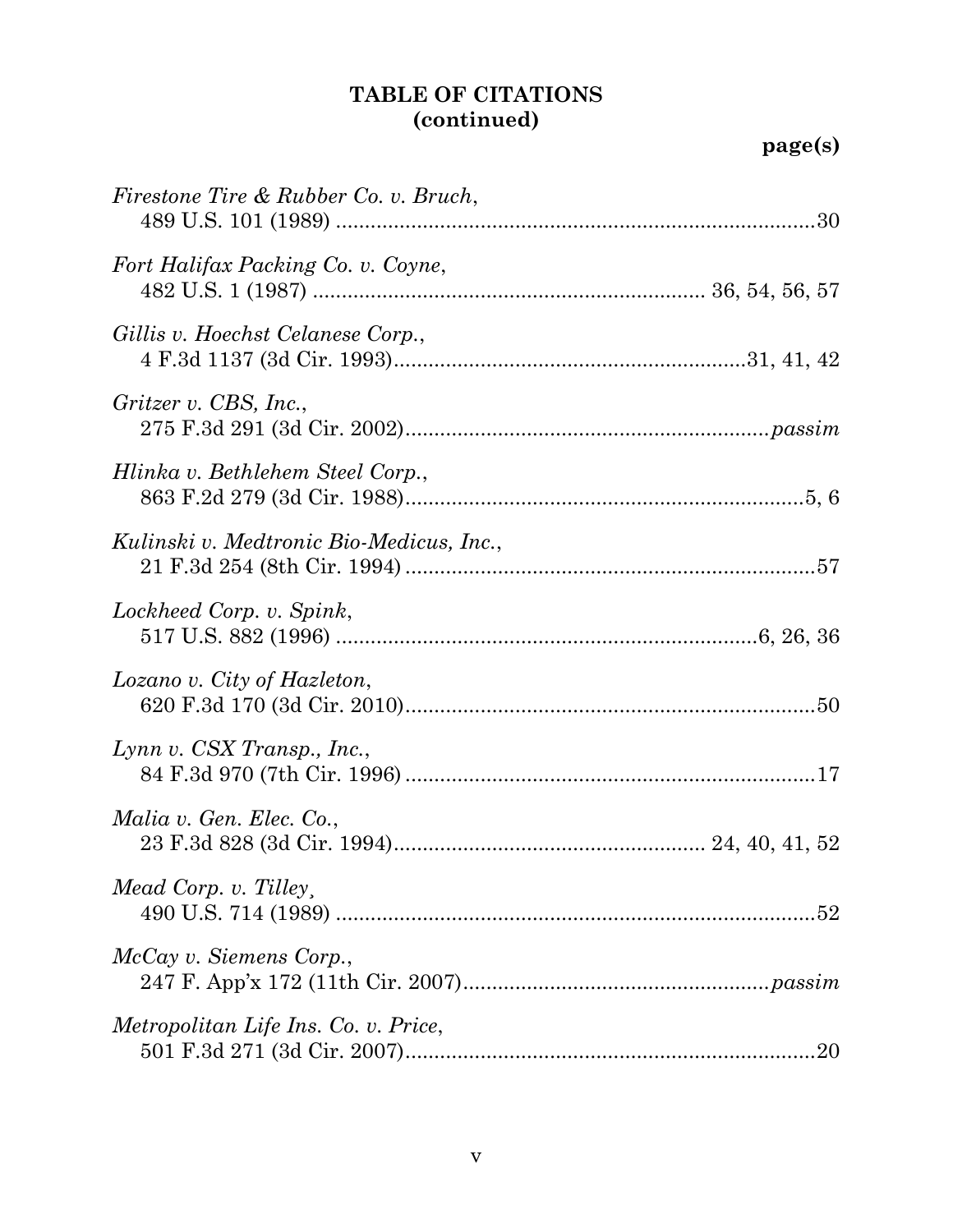| Firestone Tire & Rubber Co. v. Bruch,       |
|---------------------------------------------|
| Fort Halifax Packing Co. v. Coyne,          |
| Gillis v. Hoechst Celanese Corp.,           |
| Gritzer v. CBS, Inc.,                       |
| Hlinka v. Bethlehem Steel Corp.,            |
| Kulinski v. Medtronic Bio-Medicus, Inc.,    |
| Lockheed Corp. v. Spink,                    |
| Lozano v. City of Hazleton,                 |
| Lynn v. CSX Transp., Inc.,                  |
| Malia v. Gen. Elec. Co.,                    |
| Mead Corp. v. Tilley,                       |
| McCay v. Siemens Corp.,                     |
| Metropolitan Life Ins. Co. v. Price,<br>.20 |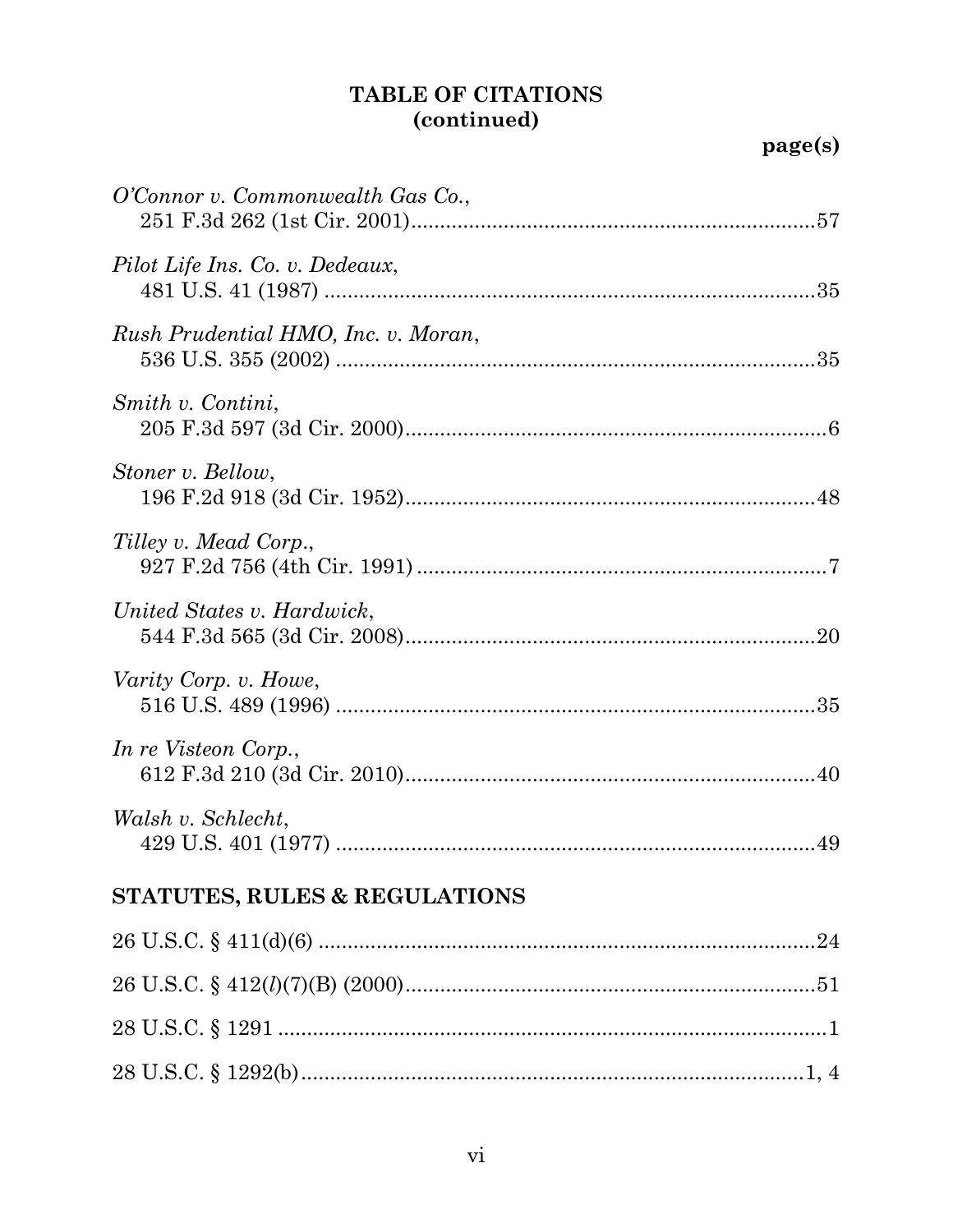| O'Connor v. Commonwealth Gas Co.,        |
|------------------------------------------|
| Pilot Life Ins. Co. v. Dedeaux,          |
| Rush Prudential HMO, Inc. v. Moran,      |
| Smith v. Contini,                        |
| Stoner v. Bellow,                        |
| Tilley v. Mead Corp.,                    |
| United States v. Hardwick,               |
| Varity Corp. v. Howe,                    |
| In re Visteon Corp.,                     |
| Walsh v. Schlecht,                       |
| <b>STATUTES, RULES &amp; REGULATIONS</b> |
|                                          |
|                                          |
|                                          |
|                                          |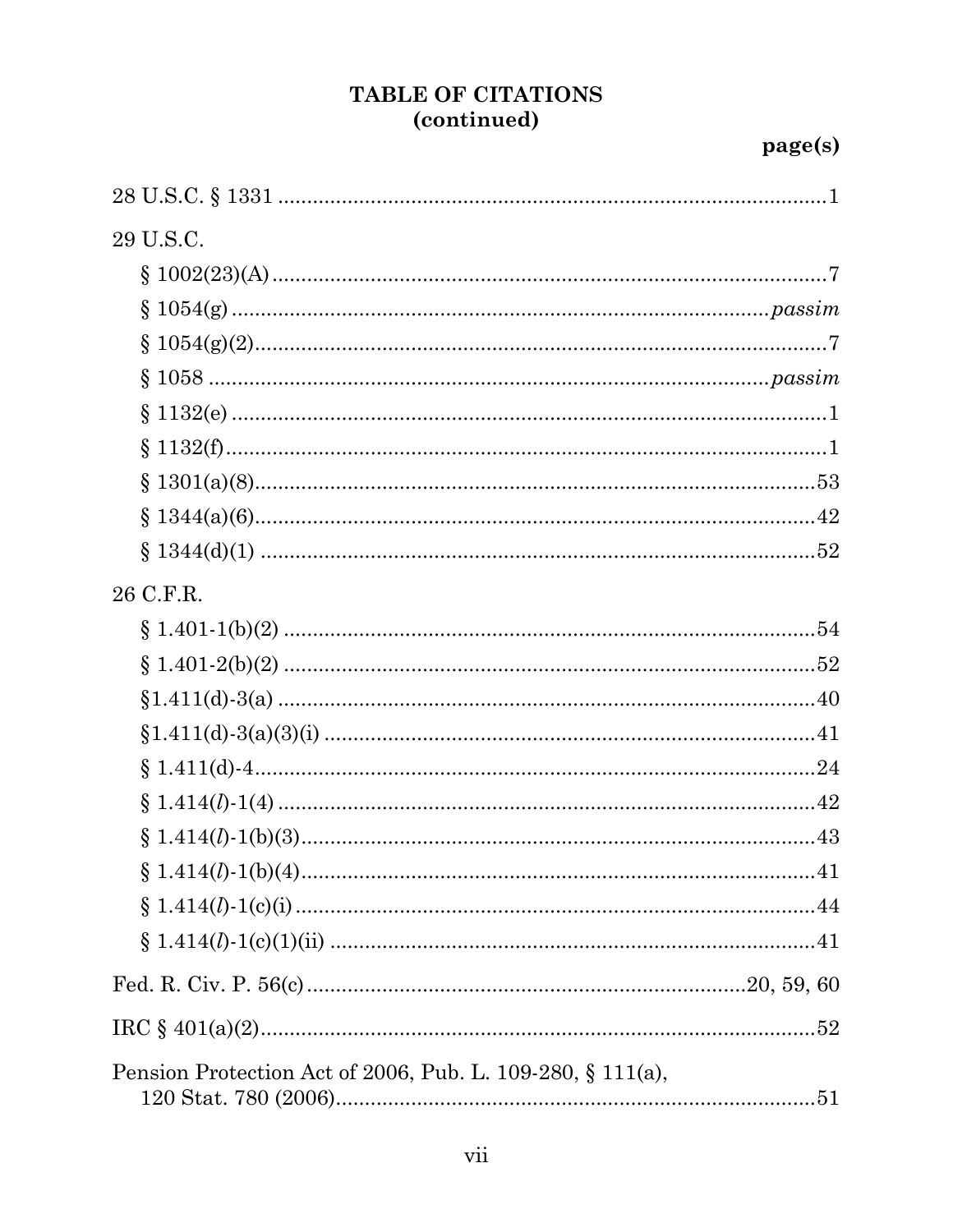# page(s)

| 29 U.S.C.                                                  |  |  |  |  |
|------------------------------------------------------------|--|--|--|--|
|                                                            |  |  |  |  |
|                                                            |  |  |  |  |
|                                                            |  |  |  |  |
|                                                            |  |  |  |  |
|                                                            |  |  |  |  |
|                                                            |  |  |  |  |
|                                                            |  |  |  |  |
|                                                            |  |  |  |  |
|                                                            |  |  |  |  |
| 26 C.F.R.                                                  |  |  |  |  |
|                                                            |  |  |  |  |
|                                                            |  |  |  |  |
|                                                            |  |  |  |  |
|                                                            |  |  |  |  |
|                                                            |  |  |  |  |
|                                                            |  |  |  |  |
|                                                            |  |  |  |  |
| .41                                                        |  |  |  |  |
|                                                            |  |  |  |  |
|                                                            |  |  |  |  |
|                                                            |  |  |  |  |
|                                                            |  |  |  |  |
| Pension Protection Act of 2006, Pub. L. 109-280, § 111(a), |  |  |  |  |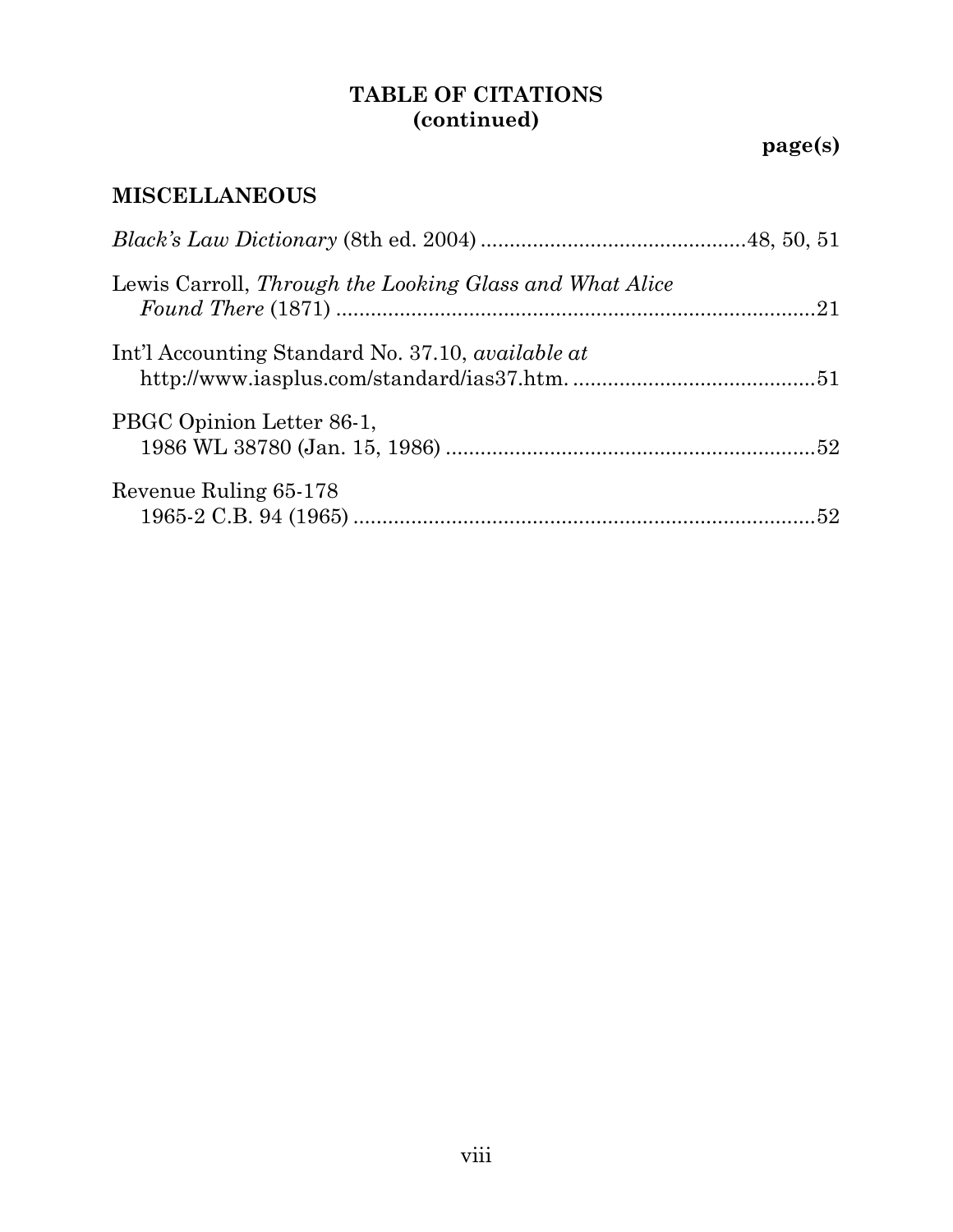### **MISCELLANEOUS**

| Lewis Carroll, Through the Looking Glass and What Alice  |  |
|----------------------------------------------------------|--|
| Int'l Accounting Standard No. 37.10, <i>available at</i> |  |
| PBGC Opinion Letter 86-1,                                |  |
| Revenue Ruling 65-178                                    |  |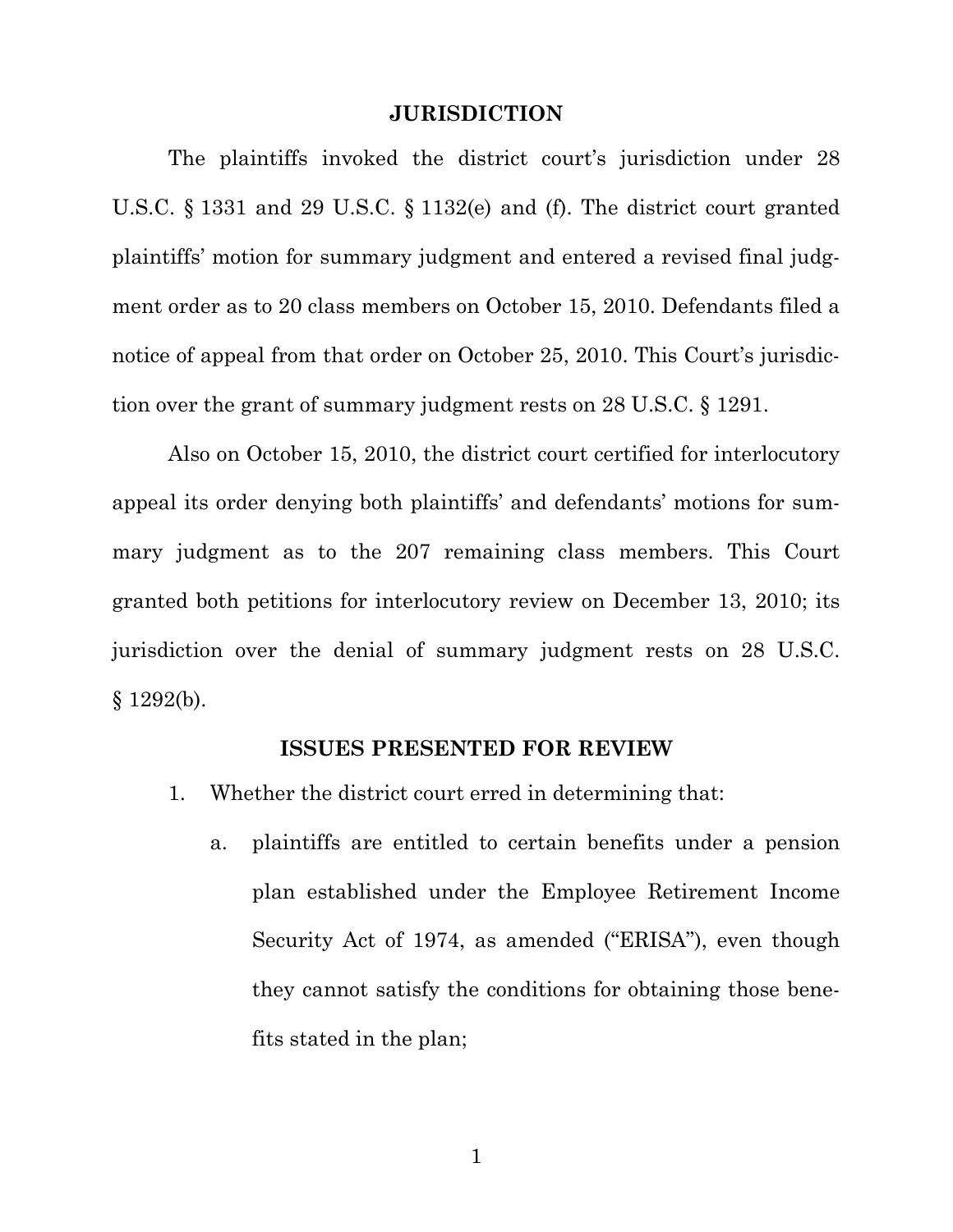#### **JURISDICTION**

The plaintiffs invoked the district court's jurisdiction under 28 U.S.C. § 1331 and 29 U.S.C. § 1132(e) and (f). The district court granted plaintiffs' motion for summary judgment and entered a revised final judgment order as to 20 class members on October 15, 2010. Defendants filed a notice of appeal from that order on October 25, 2010. This Court's jurisdiction over the grant of summary judgment rests on 28 U.S.C. § 1291.

Also on October 15, 2010, the district court certified for interlocutory appeal its order denying both plaintiffs' and defendants' motions for summary judgment as to the 207 remaining class members. This Court granted both petitions for interlocutory review on December 13, 2010; its jurisdiction over the denial of summary judgment rests on 28 U.S.C.  $§$  1292(b).

#### **ISSUES PRESENTED FOR REVIEW**

- 1. Whether the district court erred in determining that:
	- a. plaintiffs are entitled to certain benefits under a pension plan established under the Employee Retirement Income Security Act of 1974, as amended ("ERISA"), even though they cannot satisfy the conditions for obtaining those benefits stated in the plan;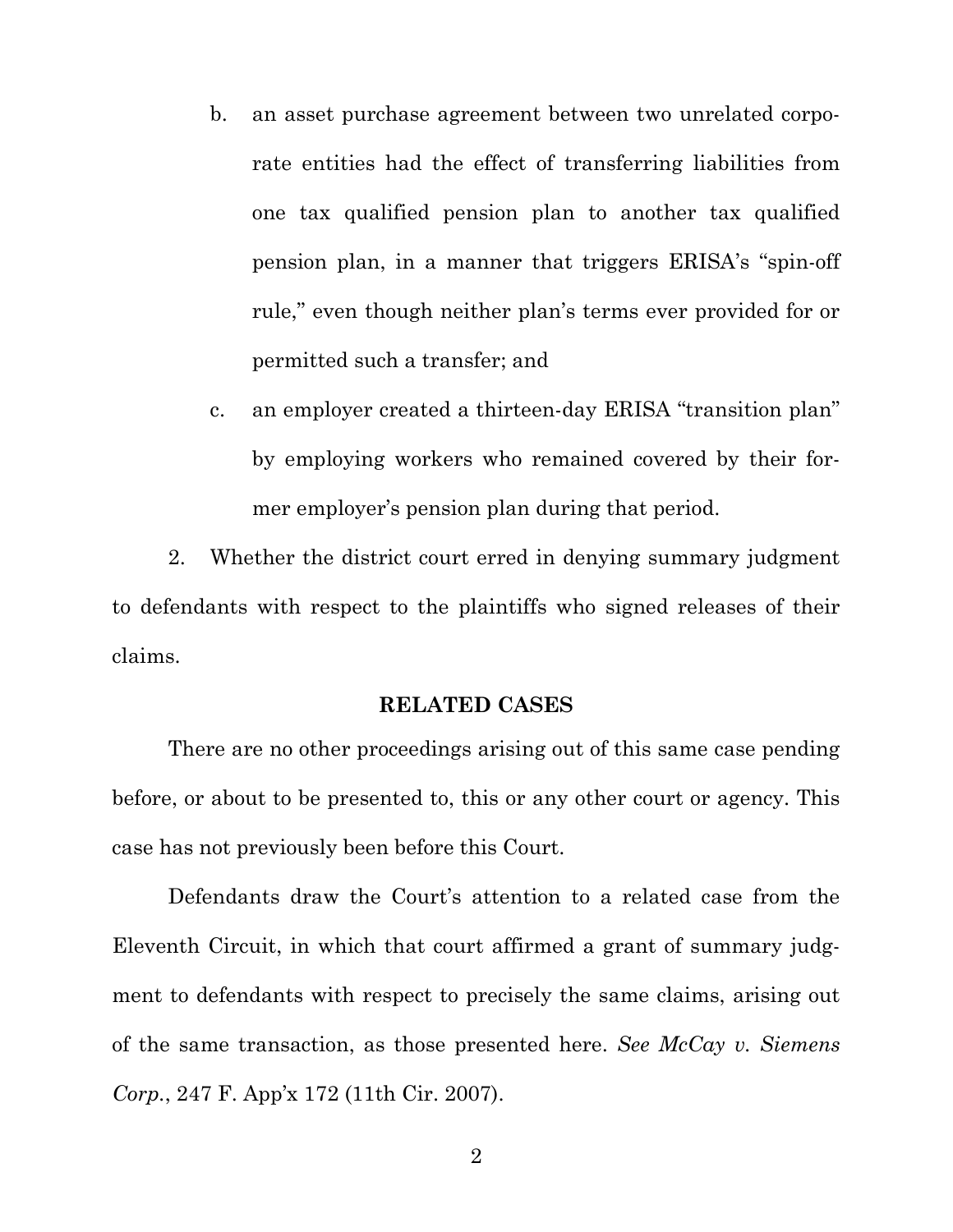- b. an asset purchase agreement between two unrelated corporate entities had the effect of transferring liabilities from one tax qualified pension plan to another tax qualified pension plan, in a manner that triggers ERISA's "spin-off rule," even though neither plan's terms ever provided for or permitted such a transfer; and
- c. an employer created a thirteen-day ERISA "transition plan" by employing workers who remained covered by their former employer's pension plan during that period.

2. Whether the district court erred in denying summary judgment to defendants with respect to the plaintiffs who signed releases of their claims.

#### **RELATED CASES**

There are no other proceedings arising out of this same case pending before, or about to be presented to, this or any other court or agency. This case has not previously been before this Court.

Defendants draw the Court's attention to a related case from the Eleventh Circuit, in which that court affirmed a grant of summary judgment to defendants with respect to precisely the same claims, arising out of the same transaction, as those presented here. *See McCay v. Siemens Corp.*, 247 F. App'x 172 (11th Cir. 2007).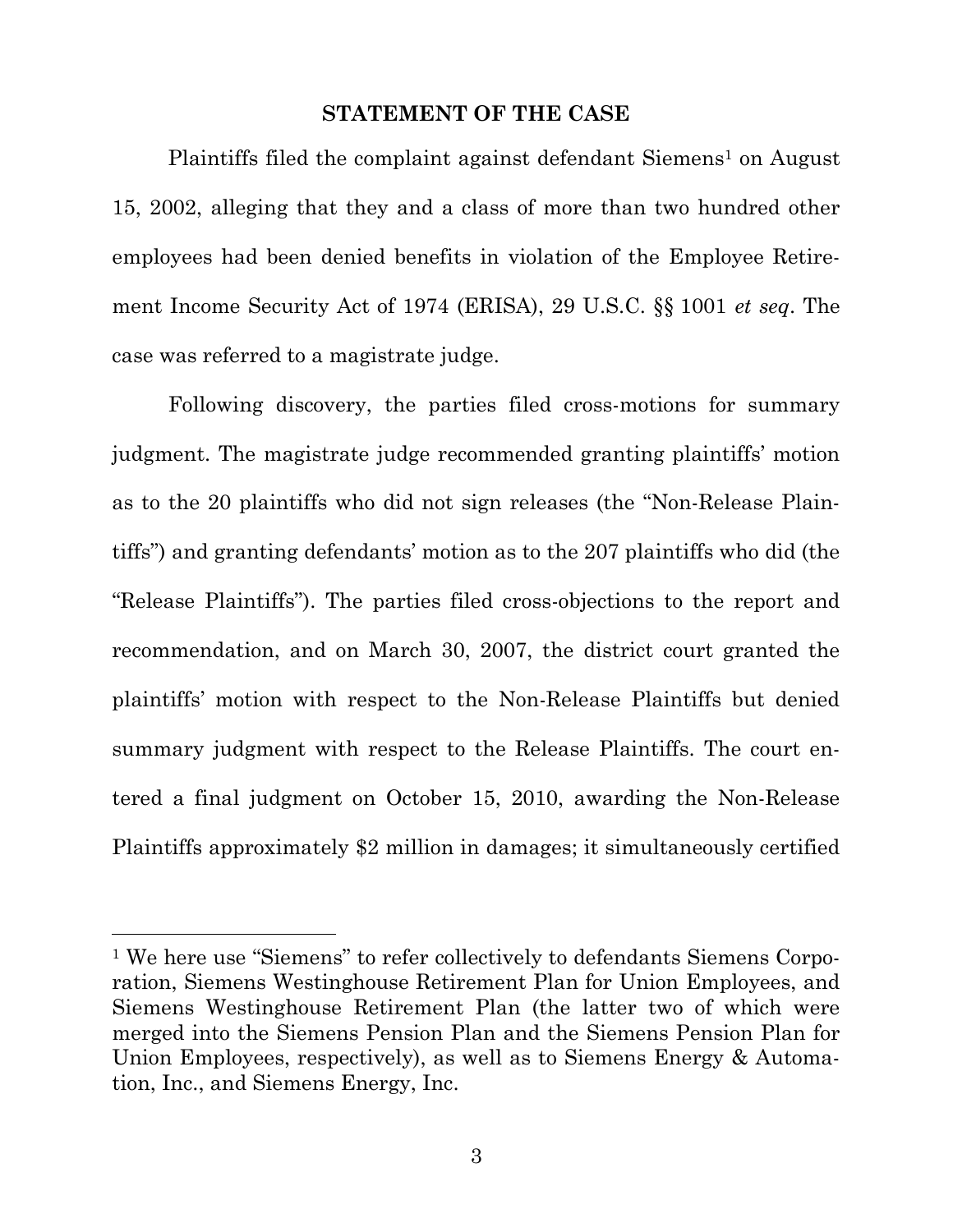#### **STATEMENT OF THE CASE**

Plaintiffs filed the complaint against defendant Siemens<sup>1</sup> on August 15, 2002, alleging that they and a class of more than two hundred other employees had been denied benefits in violation of the Employee Retirement Income Security Act of 1974 (ERISA), 29 U.S.C. §§ 1001 *et seq*. The case was referred to a magistrate judge.

Following discovery, the parties filed cross-motions for summary judgment. The magistrate judge recommended granting plaintiffs' motion as to the 20 plaintiffs who did not sign releases (the "Non-Release Plaintiffs") and granting defendants' motion as to the 207 plaintiffs who did (the "Release Plaintiffs"). The parties filed cross-objections to the report and recommendation, and on March 30, 2007, the district court granted the plaintiffs' motion with respect to the Non-Release Plaintiffs but denied summary judgment with respect to the Release Plaintiffs. The court entered a final judgment on October 15, 2010, awarding the Non-Release Plaintiffs approximately \$2 million in damages; it simultaneously certified

<sup>1</sup> We here use "Siemens" to refer collectively to defendants Siemens Corporation, Siemens Westinghouse Retirement Plan for Union Employees, and Siemens Westinghouse Retirement Plan (the latter two of which were merged into the Siemens Pension Plan and the Siemens Pension Plan for Union Employees, respectively), as well as to Siemens Energy & Automation, Inc., and Siemens Energy, Inc.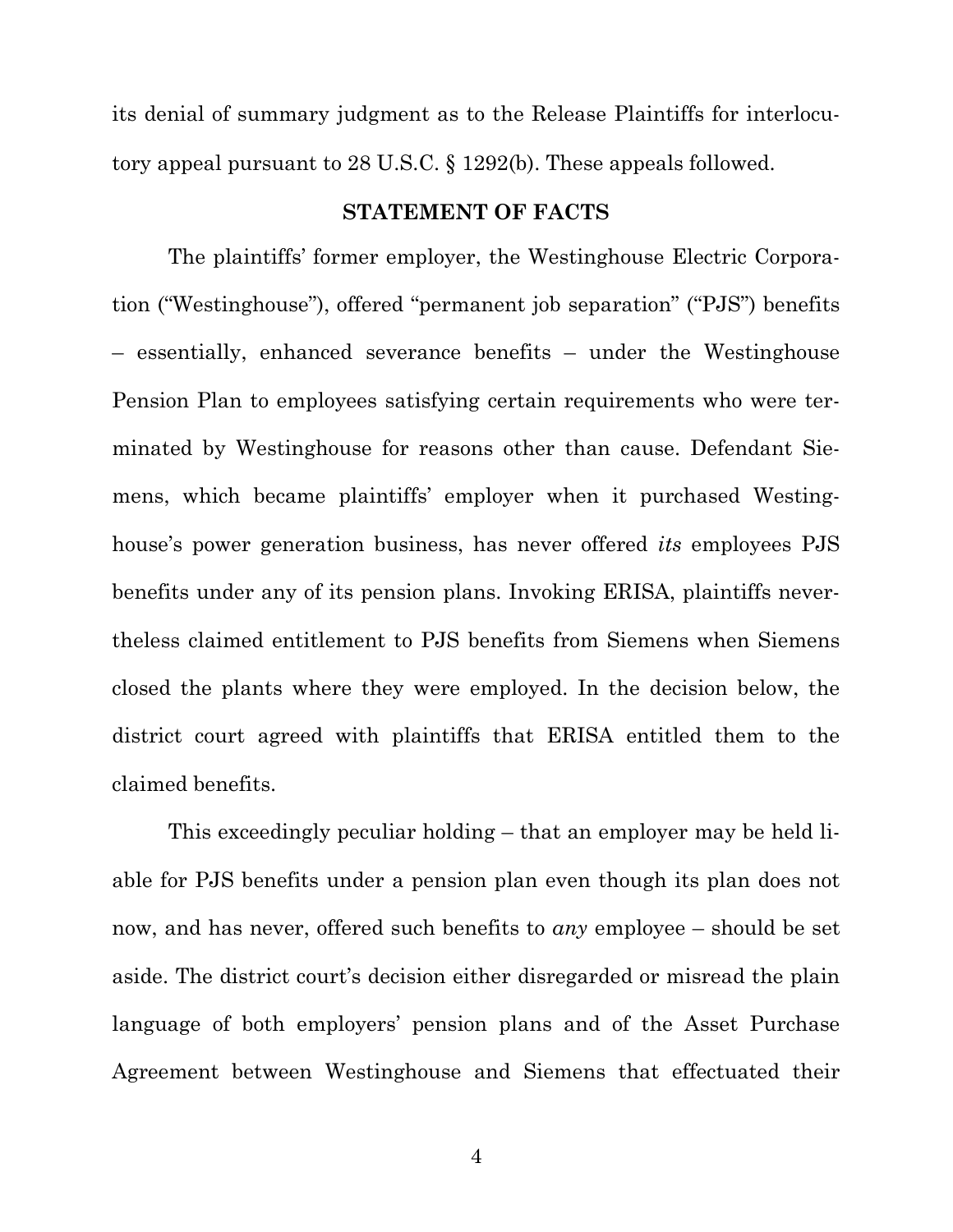its denial of summary judgment as to the Release Plaintiffs for interlocutory appeal pursuant to 28 U.S.C. § 1292(b). These appeals followed.

#### **STATEMENT OF FACTS**

The plaintiffs' former employer, the Westinghouse Electric Corporation ("Westinghouse"), offered "permanent job separation" ("PJS") benefits – essentially, enhanced severance benefits – under the Westinghouse Pension Plan to employees satisfying certain requirements who were terminated by Westinghouse for reasons other than cause. Defendant Siemens, which became plaintiffs' employer when it purchased Westinghouse's power generation business, has never offered *its* employees PJS benefits under any of its pension plans. Invoking ERISA, plaintiffs nevertheless claimed entitlement to PJS benefits from Siemens when Siemens closed the plants where they were employed. In the decision below, the district court agreed with plaintiffs that ERISA entitled them to the claimed benefits.

This exceedingly peculiar holding – that an employer may be held liable for PJS benefits under a pension plan even though its plan does not now, and has never, offered such benefits to *any* employee – should be set aside. The district court's decision either disregarded or misread the plain language of both employers' pension plans and of the Asset Purchase Agreement between Westinghouse and Siemens that effectuated their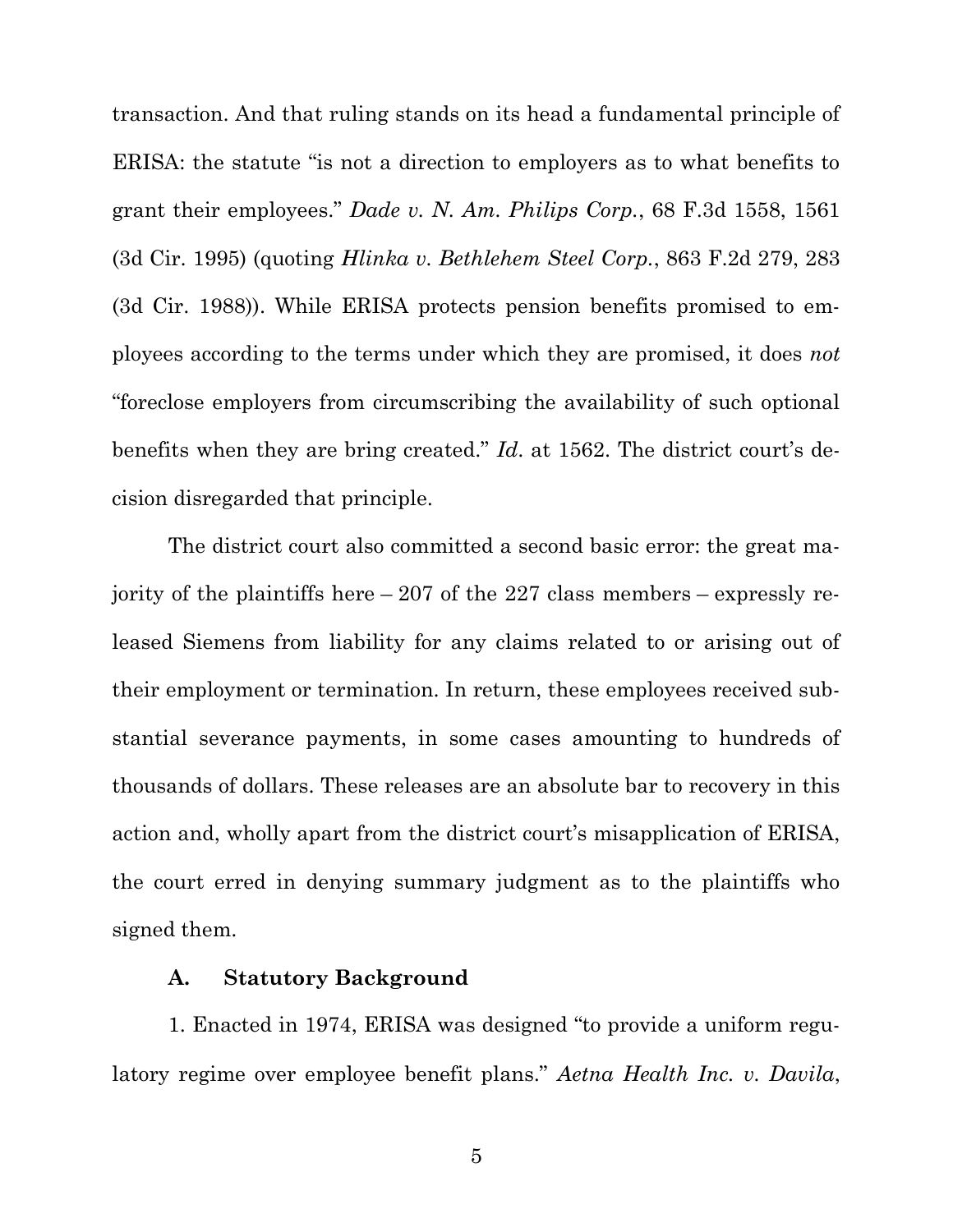transaction. And that ruling stands on its head a fundamental principle of ERISA: the statute "is not a direction to employers as to what benefits to grant their employees." *Dade v. N. Am. Philips Corp.*, 68 F.3d 1558, 1561 (3d Cir. 1995) (quoting *Hlinka v. Bethlehem Steel Corp.*, 863 F.2d 279, 283 (3d Cir. 1988)). While ERISA protects pension benefits promised to employees according to the terms under which they are promised, it does *not* "foreclose employers from circumscribing the availability of such optional benefits when they are bring created." *Id*. at 1562. The district court's decision disregarded that principle.

The district court also committed a second basic error: the great majority of the plaintiffs here – 207 of the 227 class members – expressly released Siemens from liability for any claims related to or arising out of their employment or termination. In return, these employees received substantial severance payments, in some cases amounting to hundreds of thousands of dollars. These releases are an absolute bar to recovery in this action and, wholly apart from the district court's misapplication of ERISA, the court erred in denying summary judgment as to the plaintiffs who signed them.

#### **A. Statutory Background**

1. Enacted in 1974, ERISA was designed "to provide a uniform regulatory regime over employee benefit plans." *Aetna Health Inc. v. Davila*,

5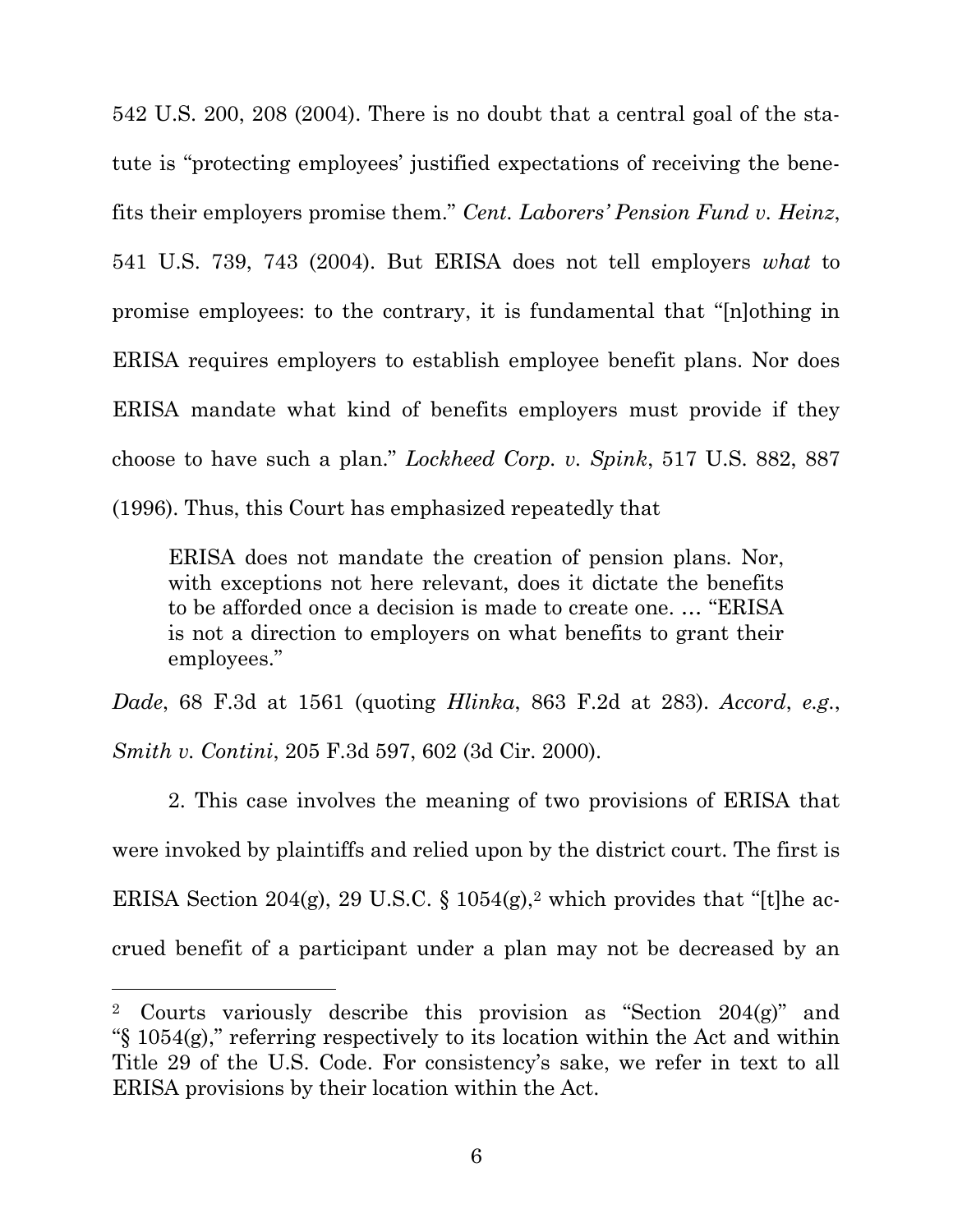542 U.S. 200, 208 (2004). There is no doubt that a central goal of the statute is "protecting employees' justified expectations of receiving the benefits their employers promise them." *Cent. Laborers' Pension Fund v. Heinz*, 541 U.S. 739, 743 (2004). But ERISA does not tell employers *what* to promise employees: to the contrary, it is fundamental that "[n]othing in ERISA requires employers to establish employee benefit plans. Nor does ERISA mandate what kind of benefits employers must provide if they choose to have such a plan." *Lockheed Corp. v. Spink*, 517 U.S. 882, 887 (1996). Thus, this Court has emphasized repeatedly that

ERISA does not mandate the creation of pension plans. Nor, with exceptions not here relevant, does it dictate the benefits to be afforded once a decision is made to create one. … "ERISA is not a direction to employers on what benefits to grant their employees."

*Dade*, 68 F.3d at 1561 (quoting *Hlinka*, 863 F.2d at 283). *Accord*, *e.g.*, *Smith v. Contini*, 205 F.3d 597, 602 (3d Cir. 2000).

2. This case involves the meaning of two provisions of ERISA that were invoked by plaintiffs and relied upon by the district court. The first is ERISA Section 204(g), 29 U.S.C. § 1054(g),<sup>2</sup> which provides that "[t] he accrued benefit of a participant under a plan may not be decreased by an

<sup>2</sup> Courts variously describe this provision as "Section 204(g)" and "§ 1054(g)," referring respectively to its location within the Act and within Title 29 of the U.S. Code. For consistency's sake, we refer in text to all ERISA provisions by their location within the Act.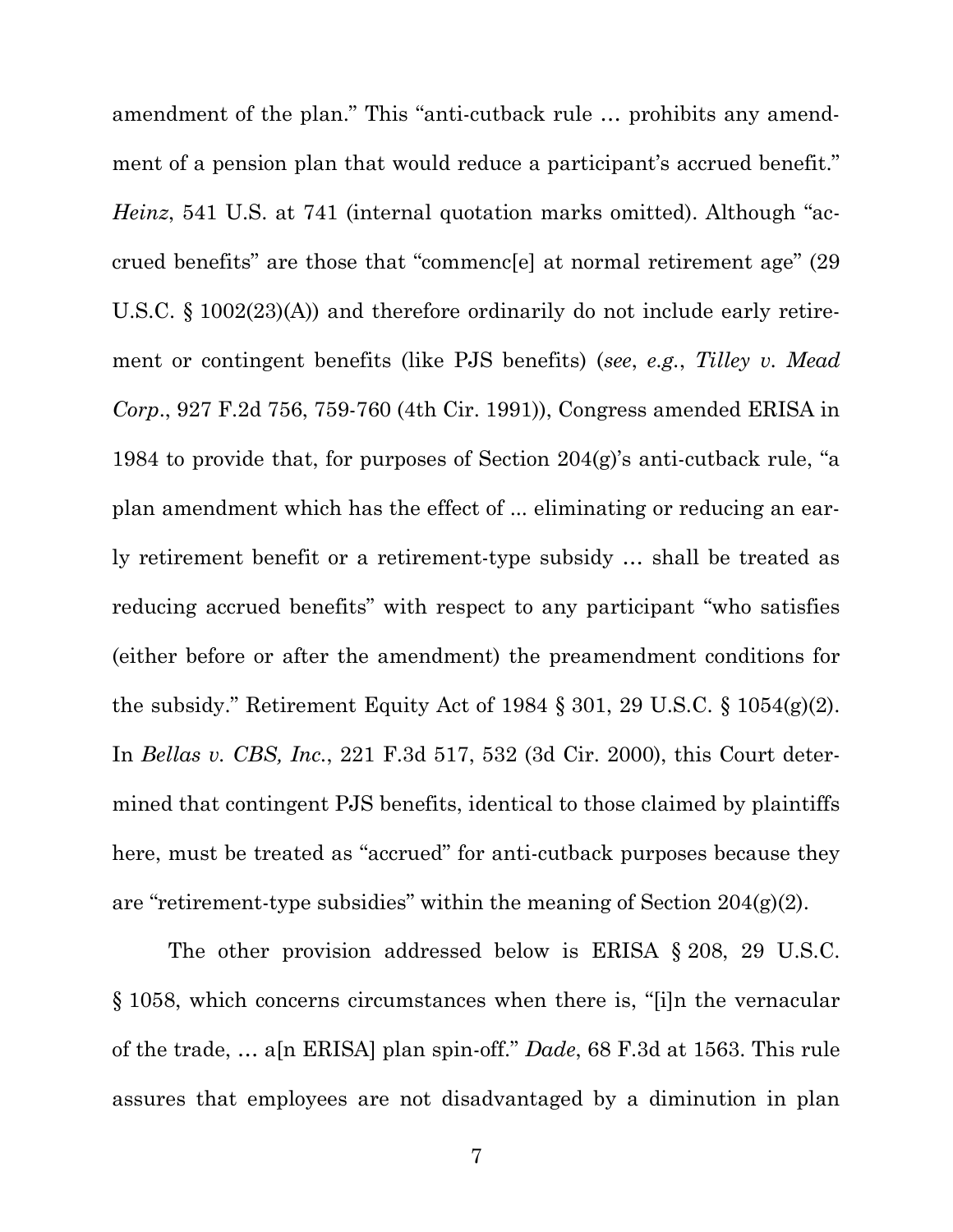amendment of the plan." This "anti-cutback rule … prohibits any amendment of a pension plan that would reduce a participant's accrued benefit." *Heinz*, 541 U.S. at 741 (internal quotation marks omitted). Although "accrued benefits" are those that "commenc[e] at normal retirement age" (29 U.S.C. § 1002(23)(A)) and therefore ordinarily do not include early retirement or contingent benefits (like PJS benefits) (*see*, *e.g.*, *Tilley v. Mead Corp*., 927 F.2d 756, 759-760 (4th Cir. 1991)), Congress amended ERISA in 1984 to provide that, for purposes of Section 204(g)'s anti-cutback rule, "a plan amendment which has the effect of ... eliminating or reducing an early retirement benefit or a retirement-type subsidy … shall be treated as reducing accrued benefits" with respect to any participant "who satisfies (either before or after the amendment) the preamendment conditions for the subsidy." Retirement Equity Act of 1984  $\S 301, 29 \text{ U.S.C.} \S 1054(g)(2)$ . In *Bellas v. CBS, Inc.*, 221 F.3d 517, 532 (3d Cir. 2000), this Court determined that contingent PJS benefits, identical to those claimed by plaintiffs here, must be treated as "accrued" for anti-cutback purposes because they are "retirement-type subsidies" within the meaning of Section 204(g)(2).

The other provision addressed below is ERISA § 208, 29 U.S.C. § 1058, which concerns circumstances when there is, "[i]n the vernacular of the trade, … a[n ERISA] plan spin-off." *Dade*, 68 F.3d at 1563. This rule assures that employees are not disadvantaged by a diminution in plan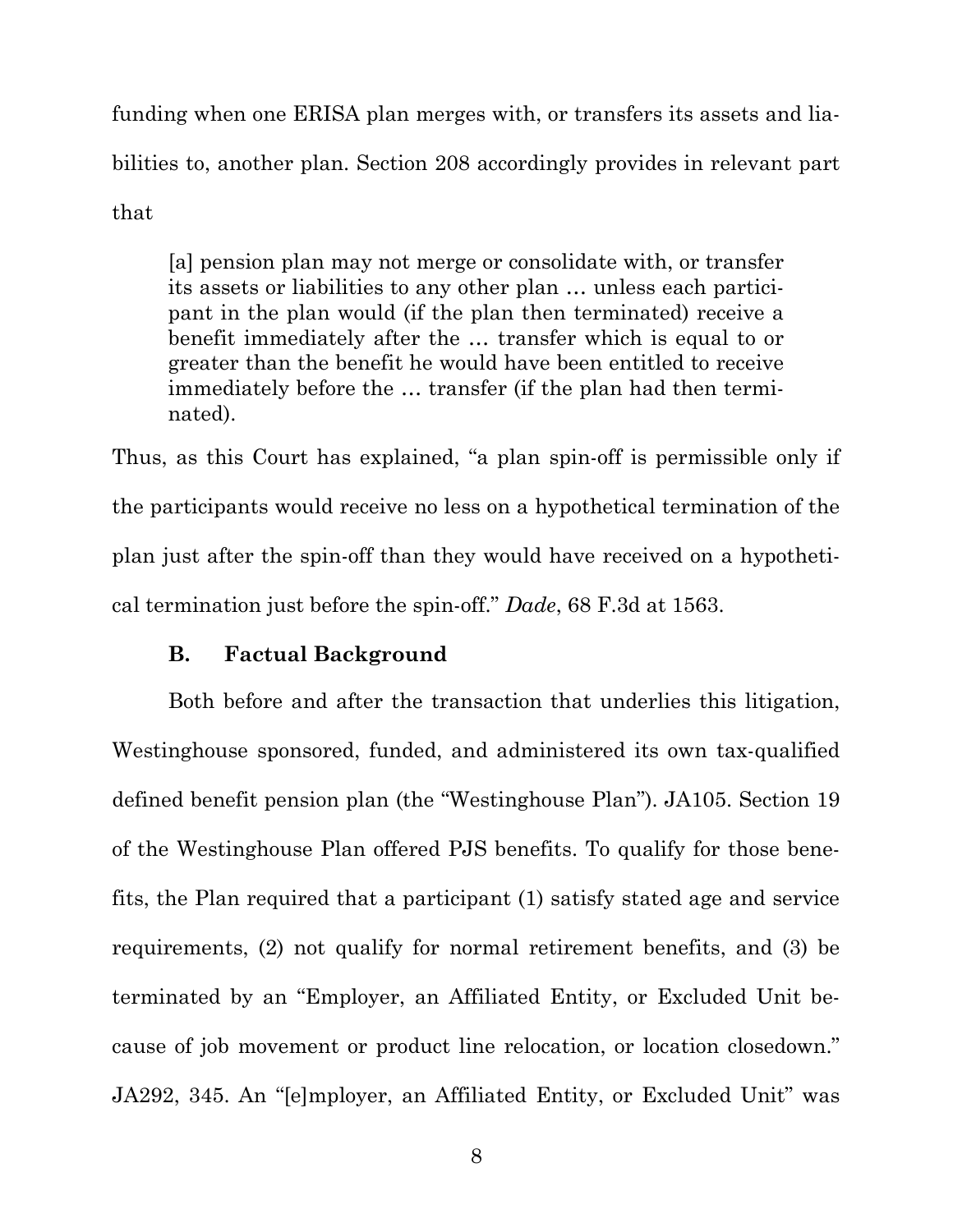funding when one ERISA plan merges with, or transfers its assets and liabilities to, another plan. Section 208 accordingly provides in relevant part that

[a] pension plan may not merge or consolidate with, or transfer its assets or liabilities to any other plan … unless each participant in the plan would (if the plan then terminated) receive a benefit immediately after the … transfer which is equal to or greater than the benefit he would have been entitled to receive immediately before the … transfer (if the plan had then terminated).

Thus, as this Court has explained, "a plan spin-off is permissible only if the participants would receive no less on a hypothetical termination of the plan just after the spin-off than they would have received on a hypothetical termination just before the spin-off." *Dade*, 68 F.3d at 1563.

#### **B. Factual Background**

Both before and after the transaction that underlies this litigation, Westinghouse sponsored, funded, and administered its own tax-qualified defined benefit pension plan (the "Westinghouse Plan"). JA105. Section 19 of the Westinghouse Plan offered PJS benefits. To qualify for those benefits, the Plan required that a participant (1) satisfy stated age and service requirements, (2) not qualify for normal retirement benefits, and (3) be terminated by an "Employer, an Affiliated Entity, or Excluded Unit because of job movement or product line relocation, or location closedown." JA292, 345. An "[e]mployer, an Affiliated Entity, or Excluded Unit" was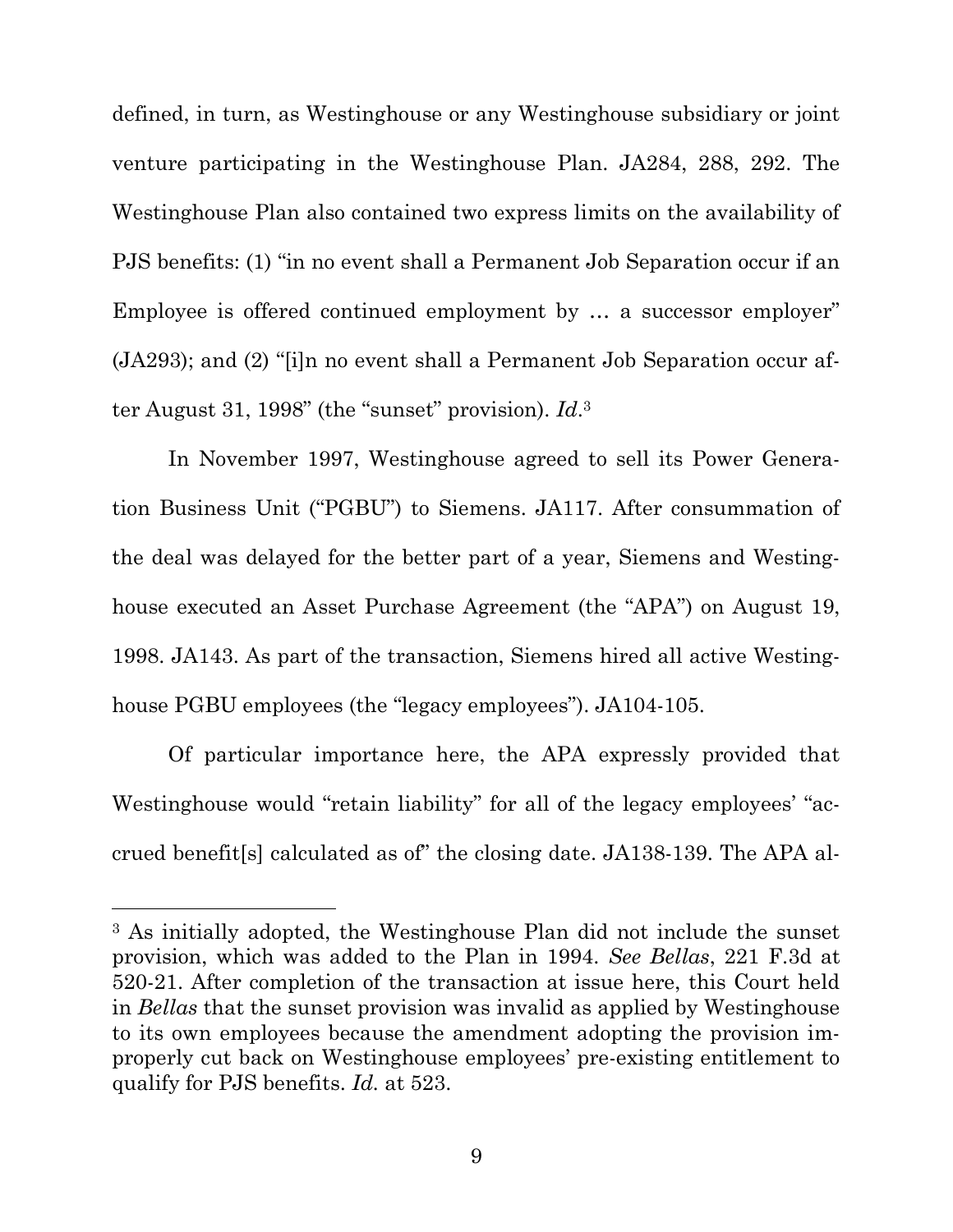defined, in turn, as Westinghouse or any Westinghouse subsidiary or joint venture participating in the Westinghouse Plan. JA284, 288, 292. The Westinghouse Plan also contained two express limits on the availability of PJS benefits: (1) "in no event shall a Permanent Job Separation occur if an Employee is offered continued employment by ... a successor employer" (JA293); and (2) "[i]n no event shall a Permanent Job Separation occur after August 31, 1998" (the "sunset" provision). *Id*. 3

In November 1997, Westinghouse agreed to sell its Power Generation Business Unit ("PGBU") to Siemens. JA117. After consummation of the deal was delayed for the better part of a year, Siemens and Westinghouse executed an Asset Purchase Agreement (the "APA") on August 19, 1998. JA143. As part of the transaction, Siemens hired all active Westinghouse PGBU employees (the "legacy employees"). JA104-105.

Of particular importance here, the APA expressly provided that Westinghouse would "retain liability" for all of the legacy employees' "accrued benefit[s] calculated as of" the closing date. JA138-139. The APA al-

<sup>3</sup> As initially adopted, the Westinghouse Plan did not include the sunset provision, which was added to the Plan in 1994. *See Bellas*, 221 F.3d at 520-21. After completion of the transaction at issue here, this Court held in *Bellas* that the sunset provision was invalid as applied by Westinghouse to its own employees because the amendment adopting the provision improperly cut back on Westinghouse employees' pre-existing entitlement to qualify for PJS benefits. *Id.* at 523.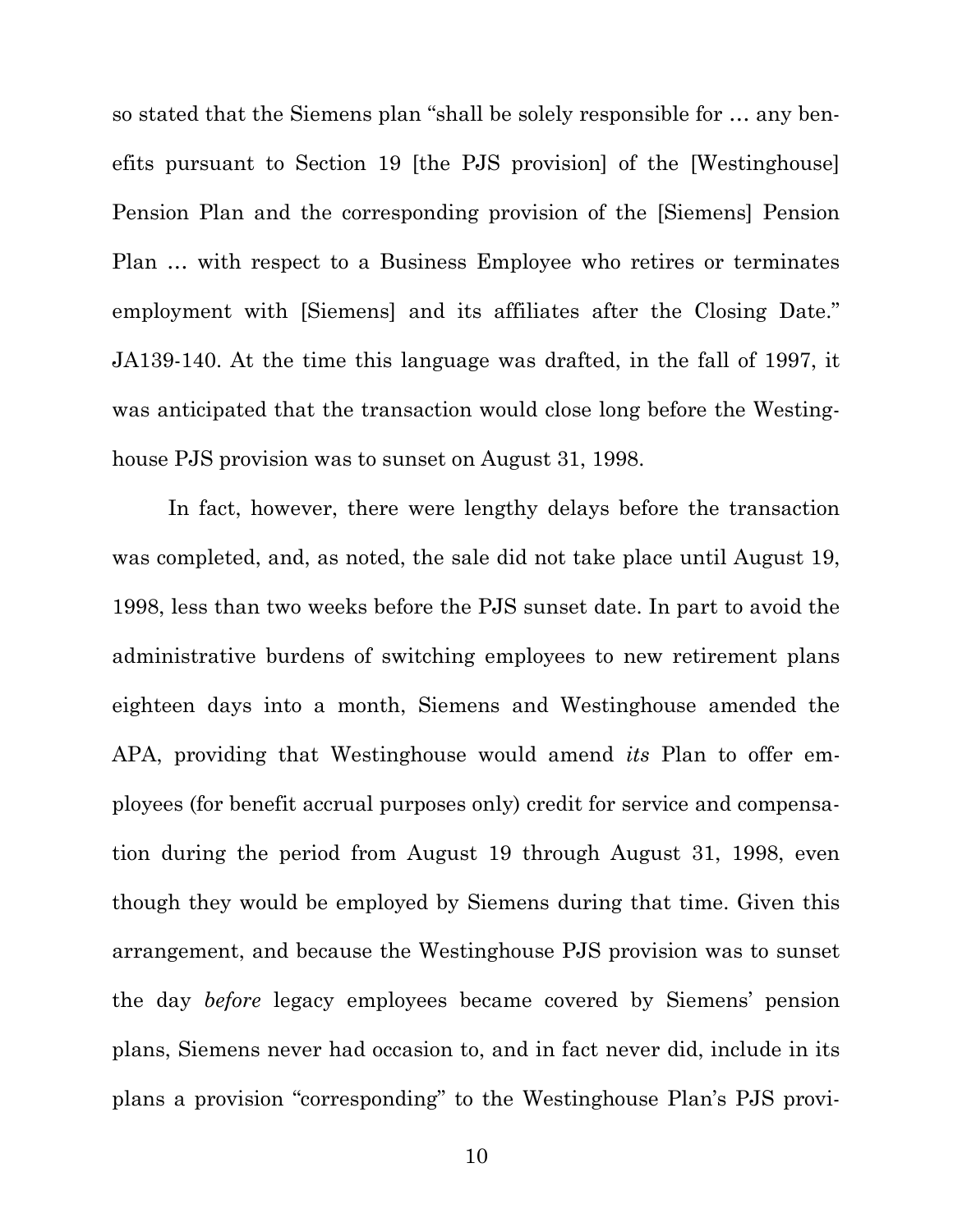so stated that the Siemens plan "shall be solely responsible for … any benefits pursuant to Section 19 [the PJS provision] of the [Westinghouse] Pension Plan and the corresponding provision of the [Siemens] Pension Plan … with respect to a Business Employee who retires or terminates employment with [Siemens] and its affiliates after the Closing Date." JA139-140. At the time this language was drafted, in the fall of 1997, it was anticipated that the transaction would close long before the Westinghouse PJS provision was to sunset on August 31, 1998.

In fact, however, there were lengthy delays before the transaction was completed, and, as noted, the sale did not take place until August 19, 1998, less than two weeks before the PJS sunset date. In part to avoid the administrative burdens of switching employees to new retirement plans eighteen days into a month, Siemens and Westinghouse amended the APA, providing that Westinghouse would amend *its* Plan to offer employees (for benefit accrual purposes only) credit for service and compensation during the period from August 19 through August 31, 1998, even though they would be employed by Siemens during that time. Given this arrangement, and because the Westinghouse PJS provision was to sunset the day *before* legacy employees became covered by Siemens' pension plans, Siemens never had occasion to, and in fact never did, include in its plans a provision "corresponding" to the Westinghouse Plan's PJS provi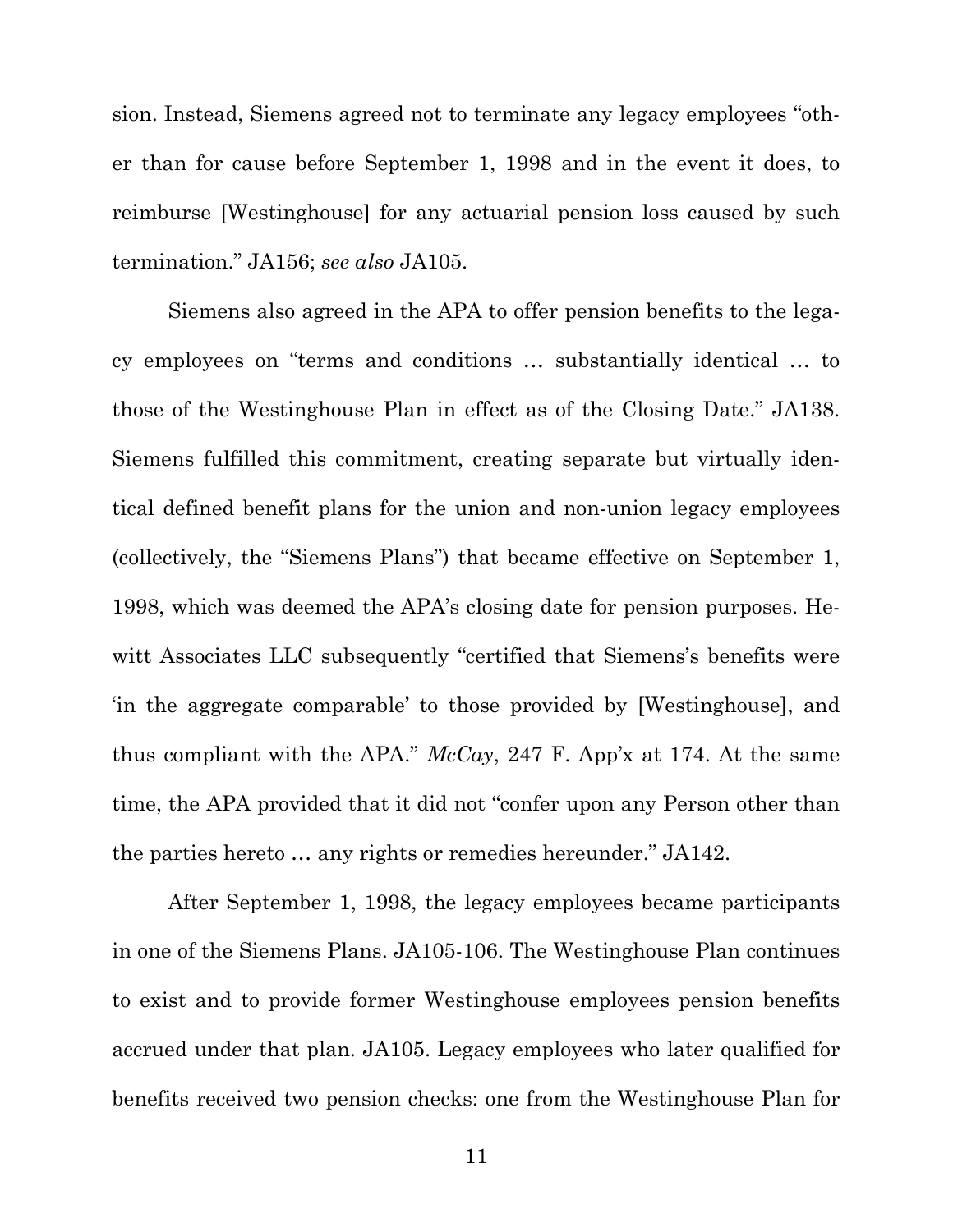sion. Instead, Siemens agreed not to terminate any legacy employees "other than for cause before September 1, 1998 and in the event it does, to reimburse [Westinghouse] for any actuarial pension loss caused by such termination." JA156; *see also* JA105.

Siemens also agreed in the APA to offer pension benefits to the legacy employees on "terms and conditions … substantially identical … to those of the Westinghouse Plan in effect as of the Closing Date." JA138. Siemens fulfilled this commitment, creating separate but virtually identical defined benefit plans for the union and non-union legacy employees (collectively, the "Siemens Plans") that became effective on September 1, 1998, which was deemed the APA's closing date for pension purposes. Hewitt Associates LLC subsequently "certified that Siemens's benefits were 'in the aggregate comparable' to those provided by [Westinghouse], and thus compliant with the APA." *McCay*, 247 F. App'x at 174. At the same time, the APA provided that it did not "confer upon any Person other than the parties hereto … any rights or remedies hereunder." JA142.

After September 1, 1998, the legacy employees became participants in one of the Siemens Plans. JA105-106. The Westinghouse Plan continues to exist and to provide former Westinghouse employees pension benefits accrued under that plan. JA105. Legacy employees who later qualified for benefits received two pension checks: one from the Westinghouse Plan for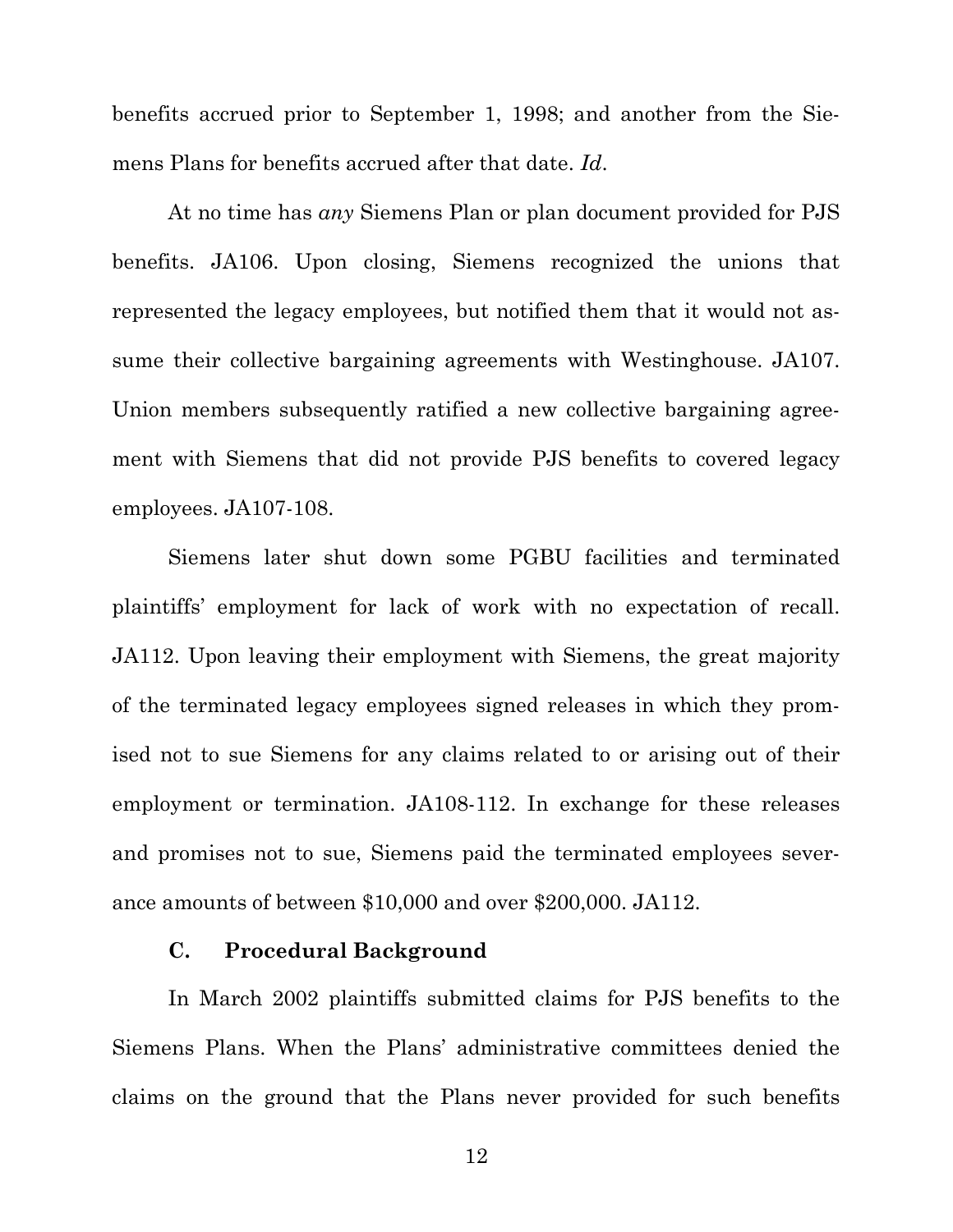benefits accrued prior to September 1, 1998; and another from the Siemens Plans for benefits accrued after that date. *Id*.

At no time has *any* Siemens Plan or plan document provided for PJS benefits. JA106. Upon closing, Siemens recognized the unions that represented the legacy employees, but notified them that it would not assume their collective bargaining agreements with Westinghouse. JA107. Union members subsequently ratified a new collective bargaining agreement with Siemens that did not provide PJS benefits to covered legacy employees. JA107-108.

Siemens later shut down some PGBU facilities and terminated plaintiffs' employment for lack of work with no expectation of recall. JA112. Upon leaving their employment with Siemens, the great majority of the terminated legacy employees signed releases in which they promised not to sue Siemens for any claims related to or arising out of their employment or termination. JA108-112. In exchange for these releases and promises not to sue, Siemens paid the terminated employees severance amounts of between \$10,000 and over \$200,000. JA112.

#### **C. Procedural Background**

In March 2002 plaintiffs submitted claims for PJS benefits to the Siemens Plans. When the Plans' administrative committees denied the claims on the ground that the Plans never provided for such benefits

12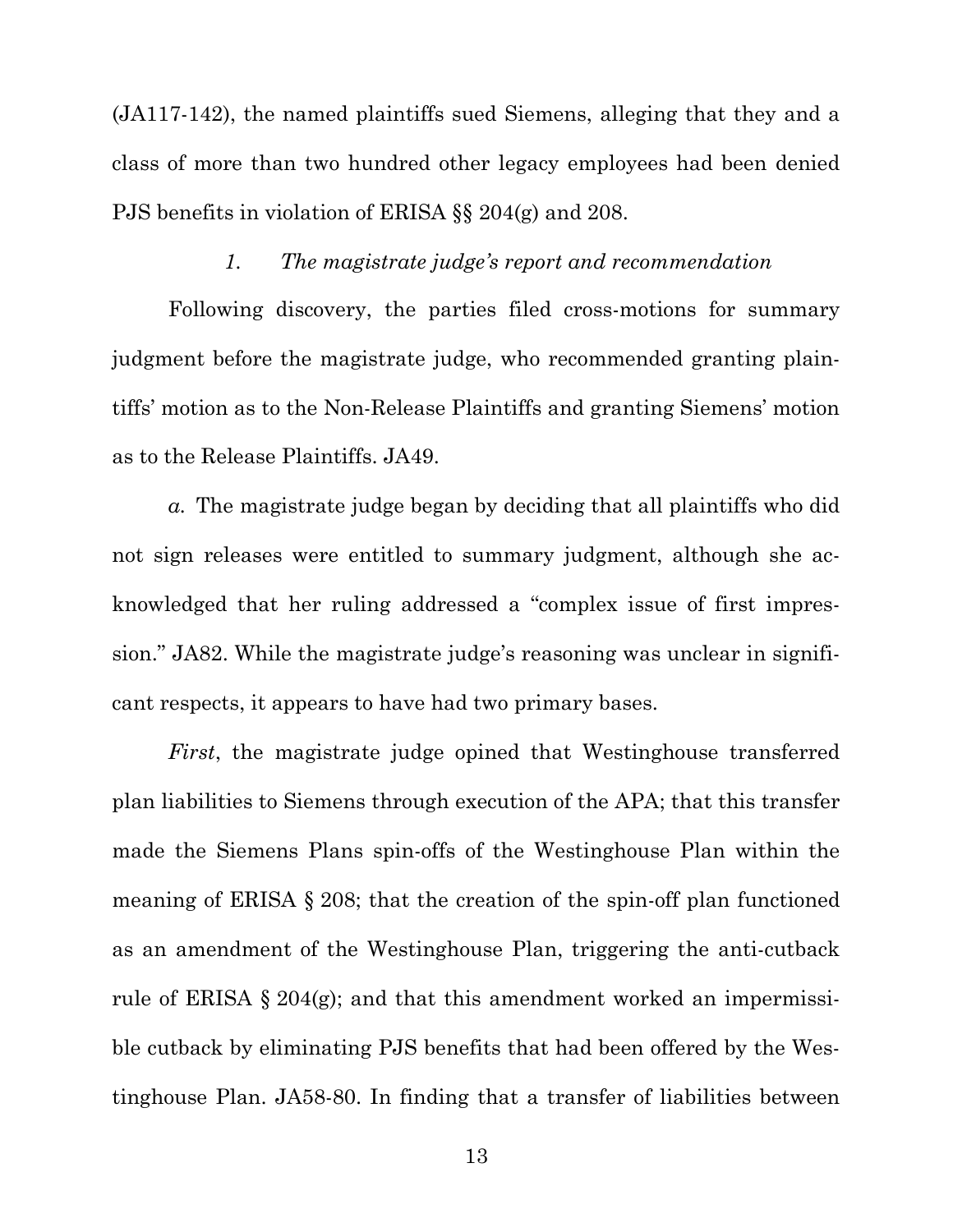(JA117-142), the named plaintiffs sued Siemens, alleging that they and a class of more than two hundred other legacy employees had been denied PJS benefits in violation of ERISA §§ 204(g) and 208.

#### *1. The magistrate judge's report and recommendation*

Following discovery, the parties filed cross-motions for summary judgment before the magistrate judge, who recommended granting plaintiffs' motion as to the Non-Release Plaintiffs and granting Siemens' motion as to the Release Plaintiffs. JA49.

*a.* The magistrate judge began by deciding that all plaintiffs who did not sign releases were entitled to summary judgment, although she acknowledged that her ruling addressed a "complex issue of first impression." JA82. While the magistrate judge's reasoning was unclear in significant respects, it appears to have had two primary bases.

*First*, the magistrate judge opined that Westinghouse transferred plan liabilities to Siemens through execution of the APA; that this transfer made the Siemens Plans spin-offs of the Westinghouse Plan within the meaning of ERISA § 208; that the creation of the spin-off plan functioned as an amendment of the Westinghouse Plan, triggering the anti-cutback rule of ERISA § 204(g); and that this amendment worked an impermissible cutback by eliminating PJS benefits that had been offered by the Westinghouse Plan. JA58-80. In finding that a transfer of liabilities between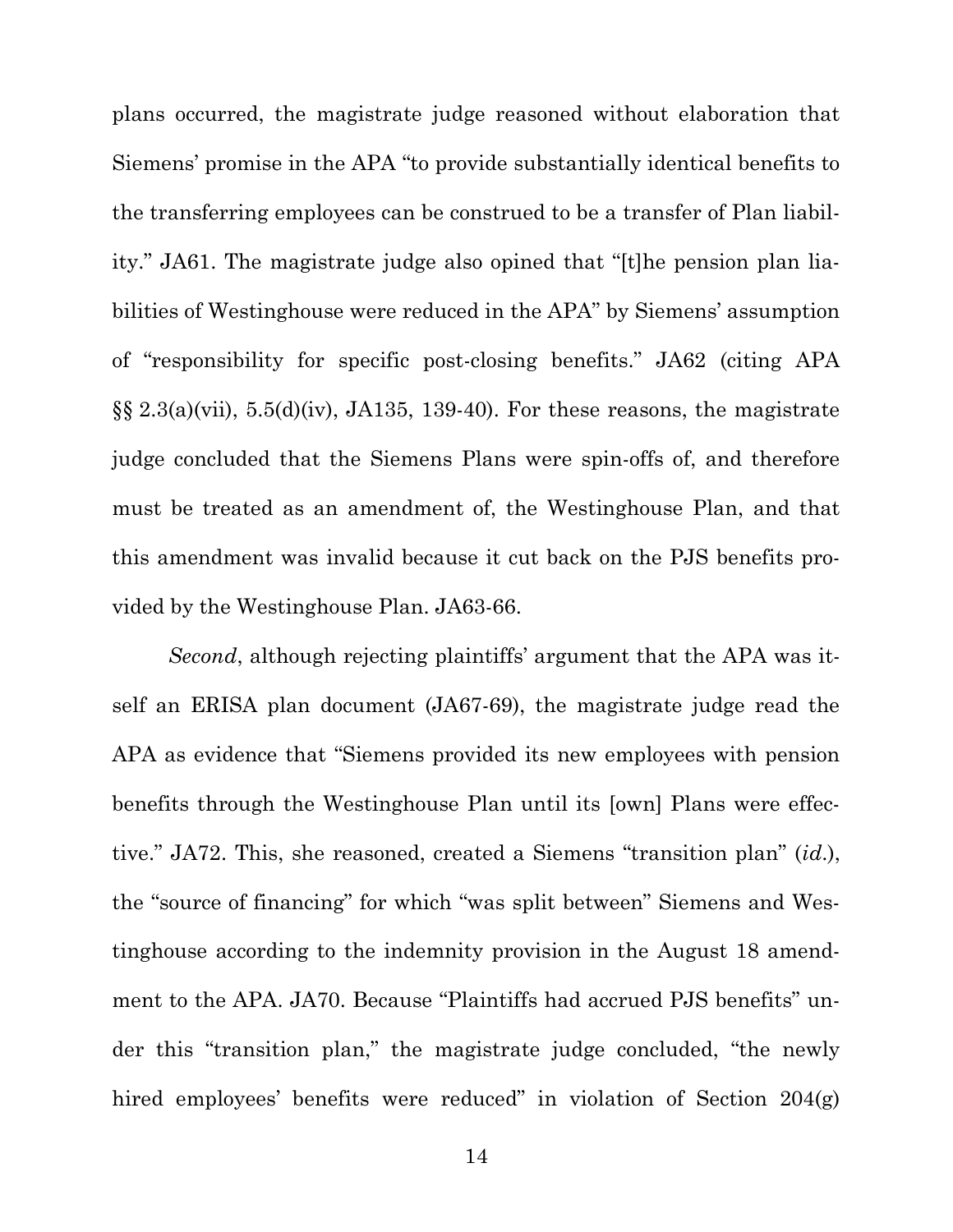plans occurred, the magistrate judge reasoned without elaboration that Siemens' promise in the APA "to provide substantially identical benefits to the transferring employees can be construed to be a transfer of Plan liability." JA61. The magistrate judge also opined that "[t]he pension plan liabilities of Westinghouse were reduced in the APA" by Siemens' assumption of "responsibility for specific post-closing benefits." JA62 (citing APA  $\S\S 2.3(a)(vii)$ ,  $5.5(d)(iv)$ , JA135, 139-40). For these reasons, the magistrate judge concluded that the Siemens Plans were spin-offs of, and therefore must be treated as an amendment of, the Westinghouse Plan, and that this amendment was invalid because it cut back on the PJS benefits provided by the Westinghouse Plan. JA63-66.

*Second*, although rejecting plaintiffs' argument that the APA was itself an ERISA plan document (JA67-69), the magistrate judge read the APA as evidence that "Siemens provided its new employees with pension benefits through the Westinghouse Plan until its [own] Plans were effective." JA72. This, she reasoned, created a Siemens "transition plan" (*id*.), the "source of financing" for which "was split between" Siemens and Westinghouse according to the indemnity provision in the August 18 amendment to the APA. JA70. Because "Plaintiffs had accrued PJS benefits" under this "transition plan," the magistrate judge concluded, "the newly hired employees' benefits were reduced" in violation of Section 204(g)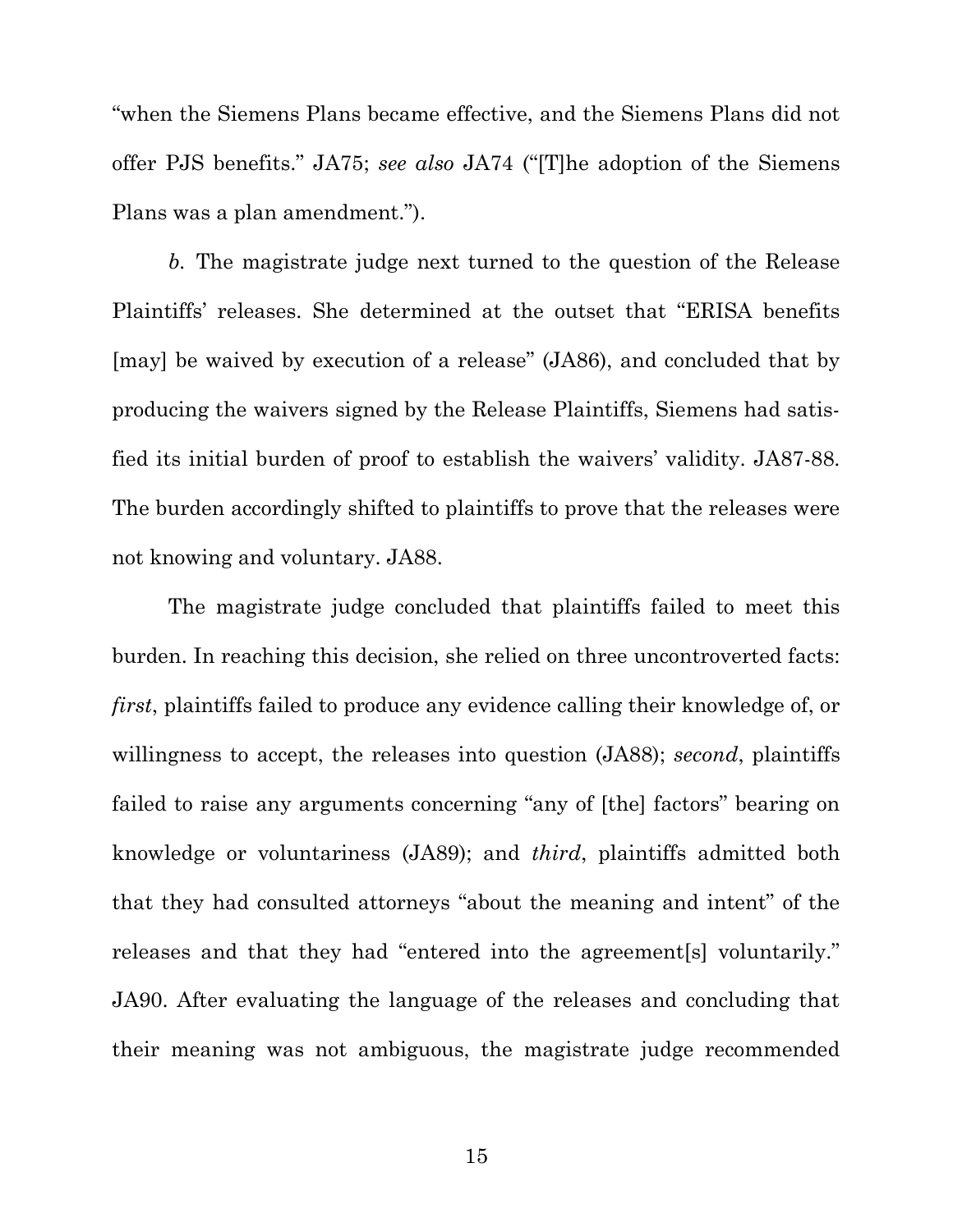"when the Siemens Plans became effective, and the Siemens Plans did not offer PJS benefits." JA75; *see also* JA74 ("[T]he adoption of the Siemens Plans was a plan amendment.").

*b.* The magistrate judge next turned to the question of the Release Plaintiffs' releases. She determined at the outset that "ERISA benefits [may] be waived by execution of a release" (JA86), and concluded that by producing the waivers signed by the Release Plaintiffs, Siemens had satisfied its initial burden of proof to establish the waivers' validity. JA87-88. The burden accordingly shifted to plaintiffs to prove that the releases were not knowing and voluntary. JA88.

The magistrate judge concluded that plaintiffs failed to meet this burden. In reaching this decision, she relied on three uncontroverted facts: *first*, plaintiffs failed to produce any evidence calling their knowledge of, or willingness to accept, the releases into question (JA88); *second*, plaintiffs failed to raise any arguments concerning "any of [the] factors" bearing on knowledge or voluntariness (JA89); and *third*, plaintiffs admitted both that they had consulted attorneys "about the meaning and intent" of the releases and that they had "entered into the agreement[s] voluntarily." JA90. After evaluating the language of the releases and concluding that their meaning was not ambiguous, the magistrate judge recommended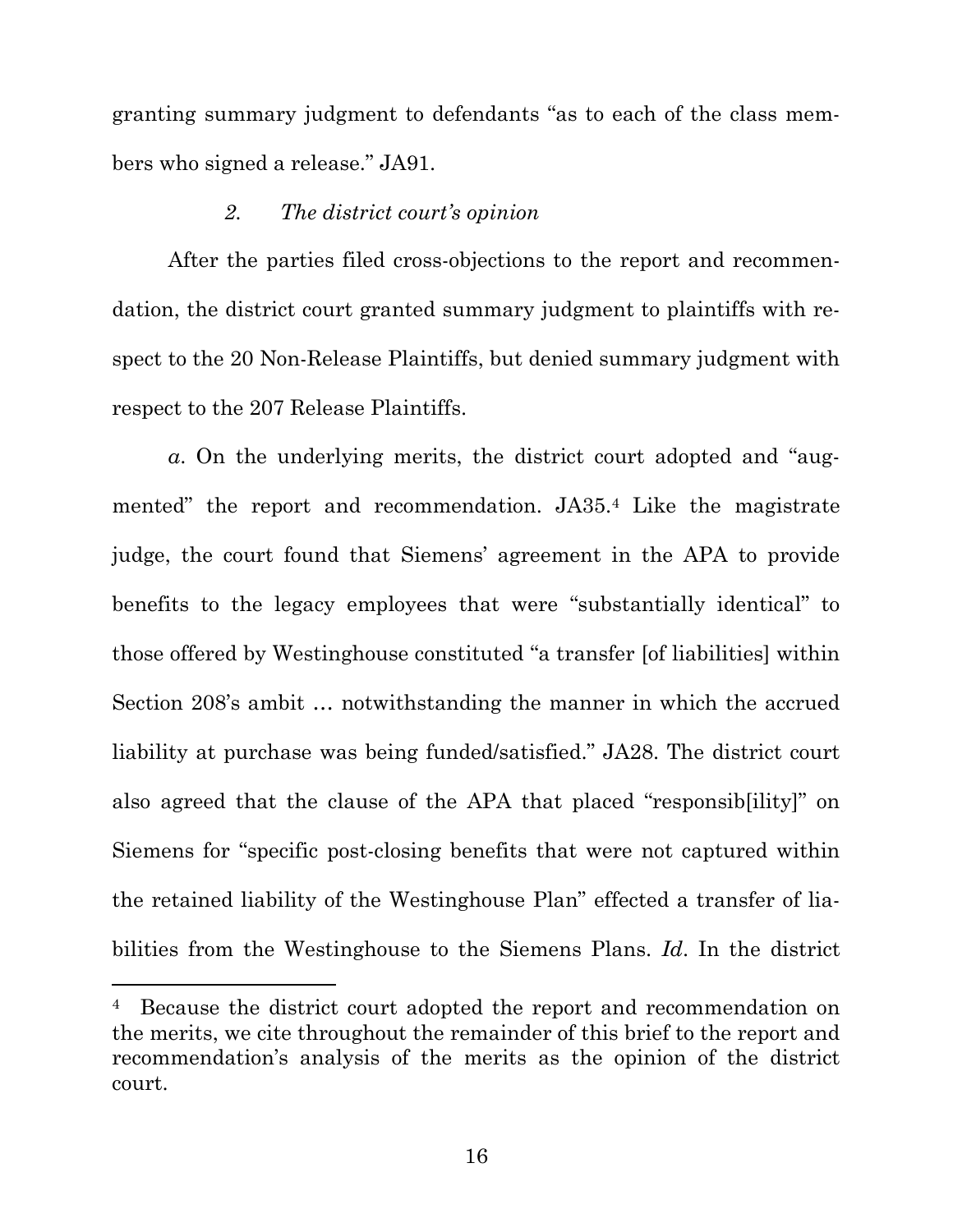granting summary judgment to defendants "as to each of the class members who signed a release." JA91.

#### *2. The district court's opinion*

After the parties filed cross-objections to the report and recommendation, the district court granted summary judgment to plaintiffs with respect to the 20 Non-Release Plaintiffs, but denied summary judgment with respect to the 207 Release Plaintiffs.

*a*. On the underlying merits, the district court adopted and "augmented" the report and recommendation. JA35.<sup>4</sup> Like the magistrate judge, the court found that Siemens' agreement in the APA to provide benefits to the legacy employees that were "substantially identical" to those offered by Westinghouse constituted "a transfer [of liabilities] within Section 208's ambit … notwithstanding the manner in which the accrued liability at purchase was being funded/satisfied." JA28. The district court also agreed that the clause of the APA that placed "responsib[ility]" on Siemens for "specific post-closing benefits that were not captured within the retained liability of the Westinghouse Plan" effected a transfer of liabilities from the Westinghouse to the Siemens Plans. *Id*. In the district

<sup>&</sup>lt;sup>4</sup> Because the district court adopted the report and recommendation on the merits, we cite throughout the remainder of this brief to the report and recommendation's analysis of the merits as the opinion of the district court.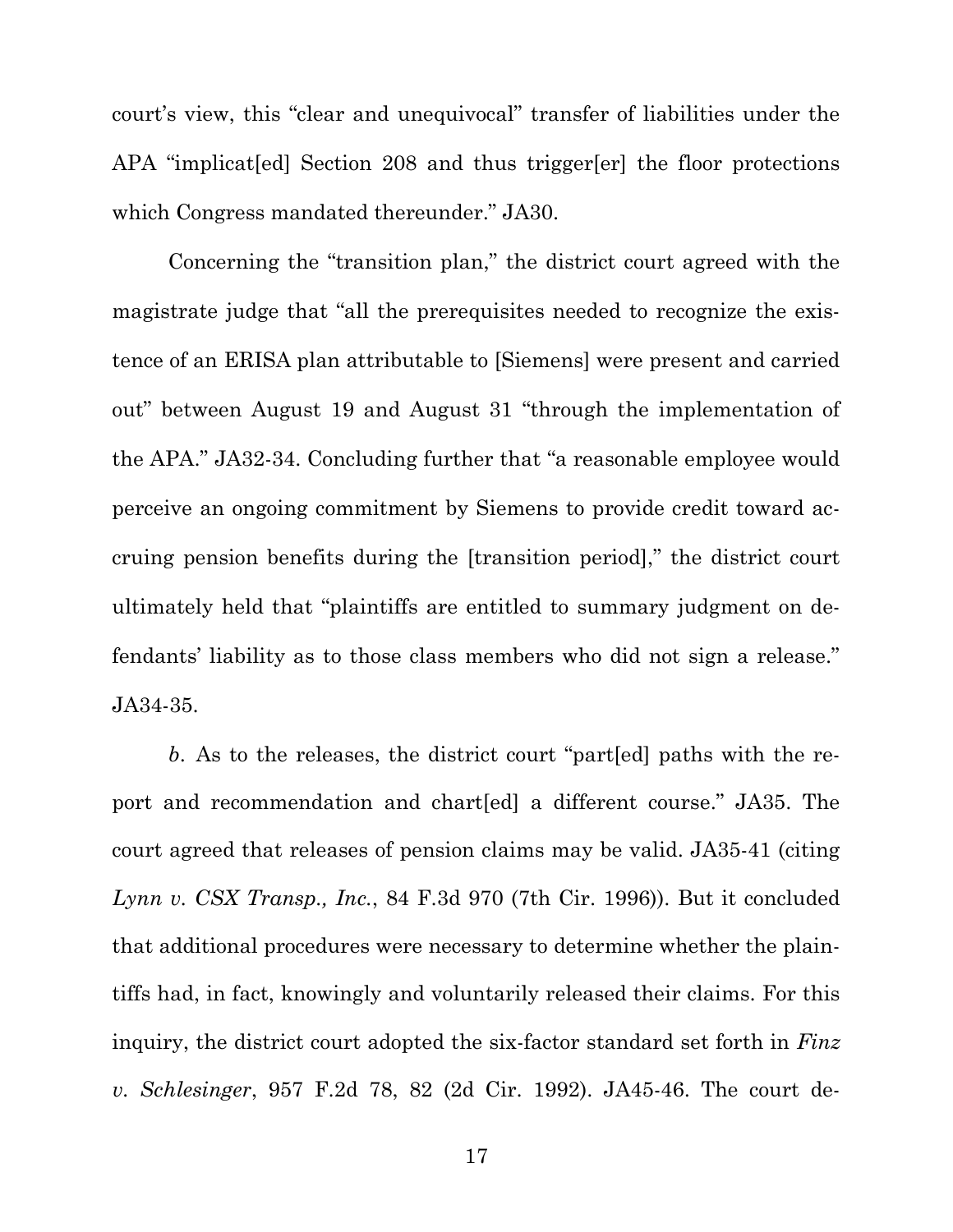court's view, this "clear and unequivocal" transfer of liabilities under the APA "implicat[ed] Section 208 and thus trigger[er] the floor protections which Congress mandated thereunder." JA30.

Concerning the "transition plan," the district court agreed with the magistrate judge that "all the prerequisites needed to recognize the existence of an ERISA plan attributable to [Siemens] were present and carried out" between August 19 and August 31 "through the implementation of the APA." JA32-34. Concluding further that "a reasonable employee would perceive an ongoing commitment by Siemens to provide credit toward accruing pension benefits during the [transition period]," the district court ultimately held that "plaintiffs are entitled to summary judgment on defendants' liability as to those class members who did not sign a release." JA34-35.

*b*. As to the releases, the district court "part[ed] paths with the report and recommendation and chart[ed] a different course." JA35. The court agreed that releases of pension claims may be valid. JA35-41 (citing *Lynn v. CSX Transp., Inc.*, 84 F.3d 970 (7th Cir. 1996)). But it concluded that additional procedures were necessary to determine whether the plaintiffs had, in fact, knowingly and voluntarily released their claims. For this inquiry, the district court adopted the six-factor standard set forth in *Finz v. Schlesinger*, 957 F.2d 78, 82 (2d Cir. 1992). JA45-46. The court de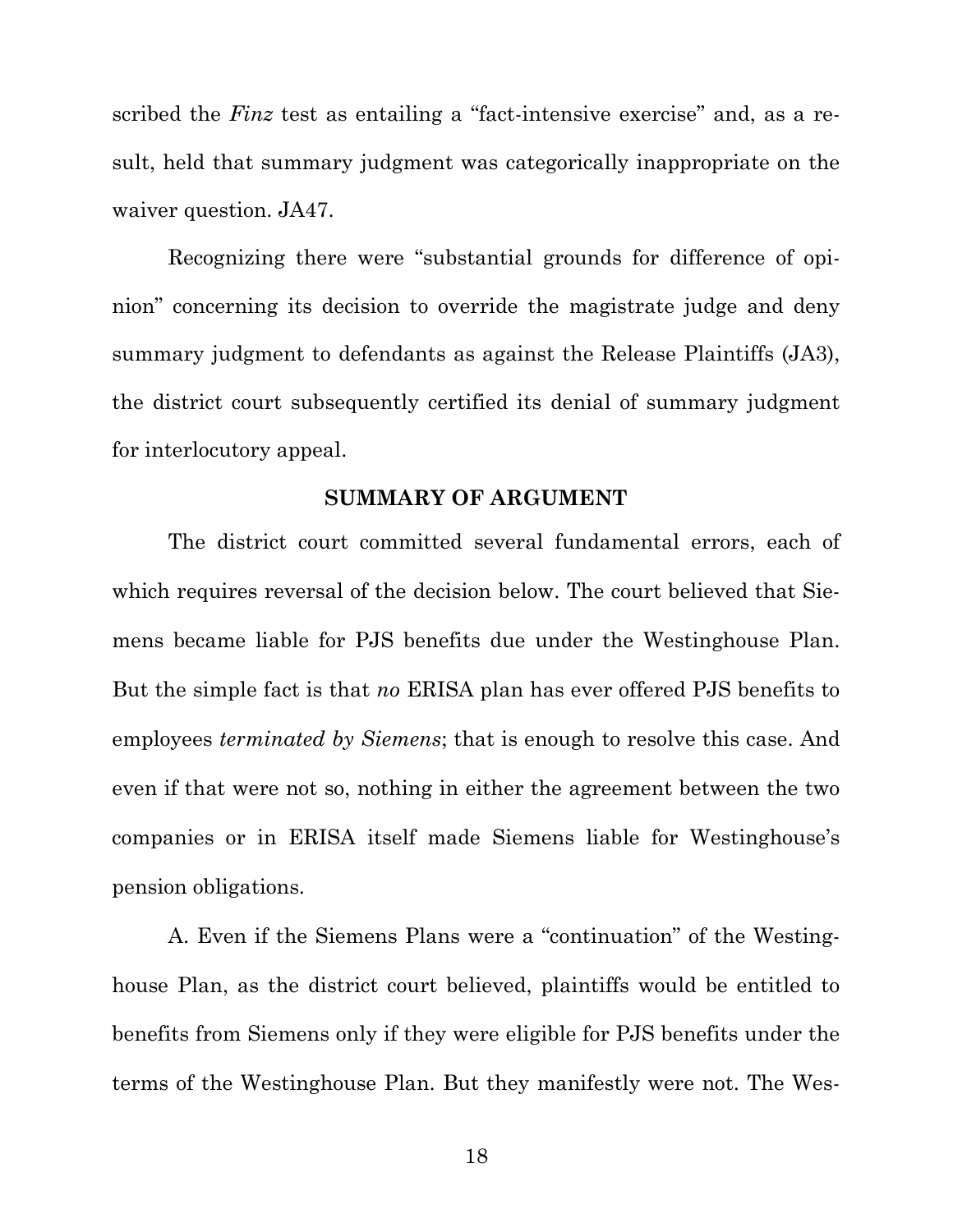scribed the *Finz* test as entailing a "fact-intensive exercise" and, as a result, held that summary judgment was categorically inappropriate on the waiver question. JA47.

Recognizing there were "substantial grounds for difference of opinion" concerning its decision to override the magistrate judge and deny summary judgment to defendants as against the Release Plaintiffs (JA3), the district court subsequently certified its denial of summary judgment for interlocutory appeal.

#### **SUMMARY OF ARGUMENT**

The district court committed several fundamental errors, each of which requires reversal of the decision below. The court believed that Siemens became liable for PJS benefits due under the Westinghouse Plan. But the simple fact is that *no* ERISA plan has ever offered PJS benefits to employees *terminated by Siemens*; that is enough to resolve this case. And even if that were not so, nothing in either the agreement between the two companies or in ERISA itself made Siemens liable for Westinghouse's pension obligations.

A. Even if the Siemens Plans were a "continuation" of the Westinghouse Plan, as the district court believed, plaintiffs would be entitled to benefits from Siemens only if they were eligible for PJS benefits under the terms of the Westinghouse Plan. But they manifestly were not. The Wes-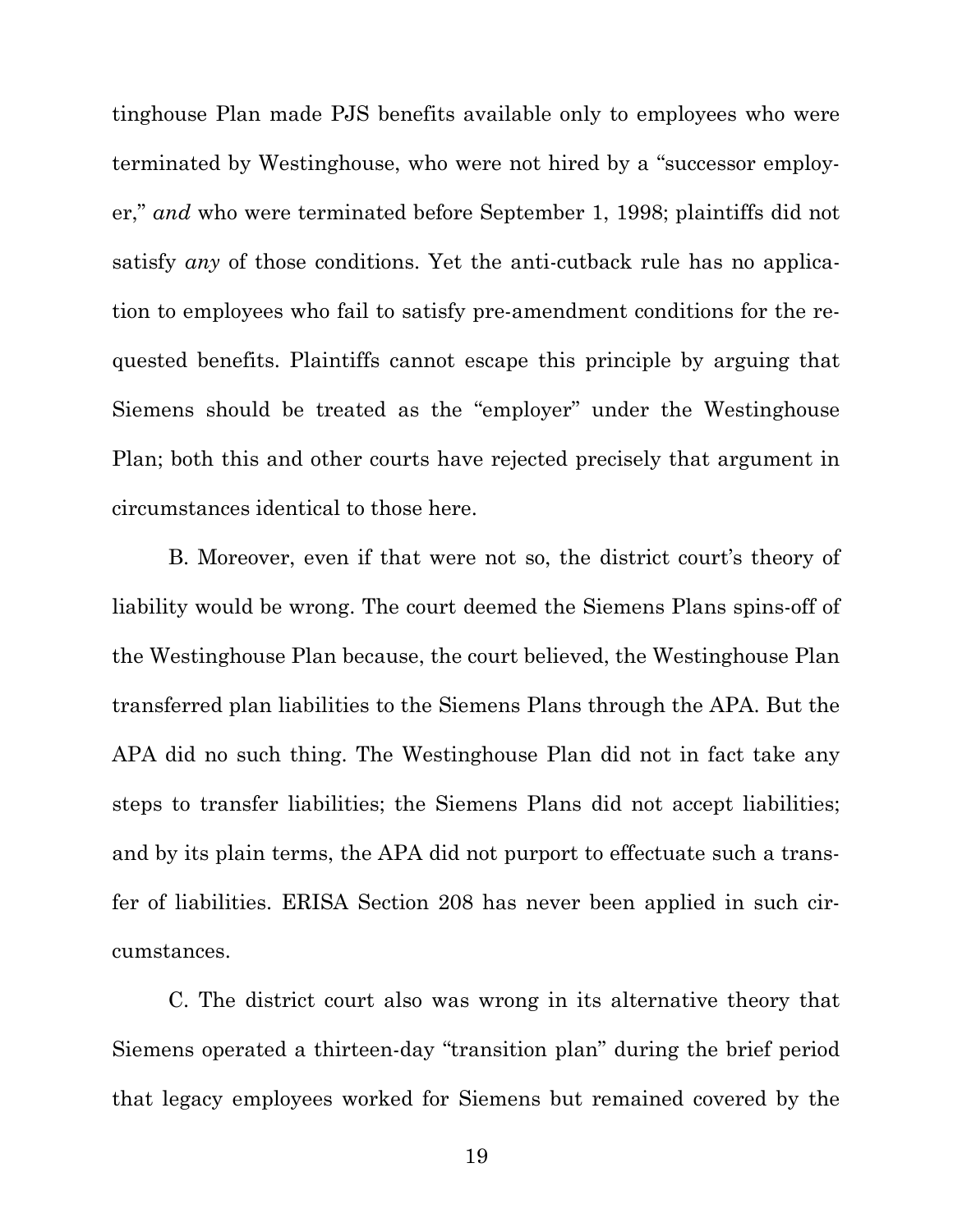tinghouse Plan made PJS benefits available only to employees who were terminated by Westinghouse, who were not hired by a "successor employer," *and* who were terminated before September 1, 1998; plaintiffs did not satisfy *any* of those conditions. Yet the anti-cutback rule has no application to employees who fail to satisfy pre-amendment conditions for the requested benefits. Plaintiffs cannot escape this principle by arguing that Siemens should be treated as the "employer" under the Westinghouse Plan; both this and other courts have rejected precisely that argument in circumstances identical to those here.

B. Moreover, even if that were not so, the district court's theory of liability would be wrong. The court deemed the Siemens Plans spins-off of the Westinghouse Plan because, the court believed, the Westinghouse Plan transferred plan liabilities to the Siemens Plans through the APA. But the APA did no such thing. The Westinghouse Plan did not in fact take any steps to transfer liabilities; the Siemens Plans did not accept liabilities; and by its plain terms, the APA did not purport to effectuate such a transfer of liabilities. ERISA Section 208 has never been applied in such circumstances.

C. The district court also was wrong in its alternative theory that Siemens operated a thirteen-day "transition plan" during the brief period that legacy employees worked for Siemens but remained covered by the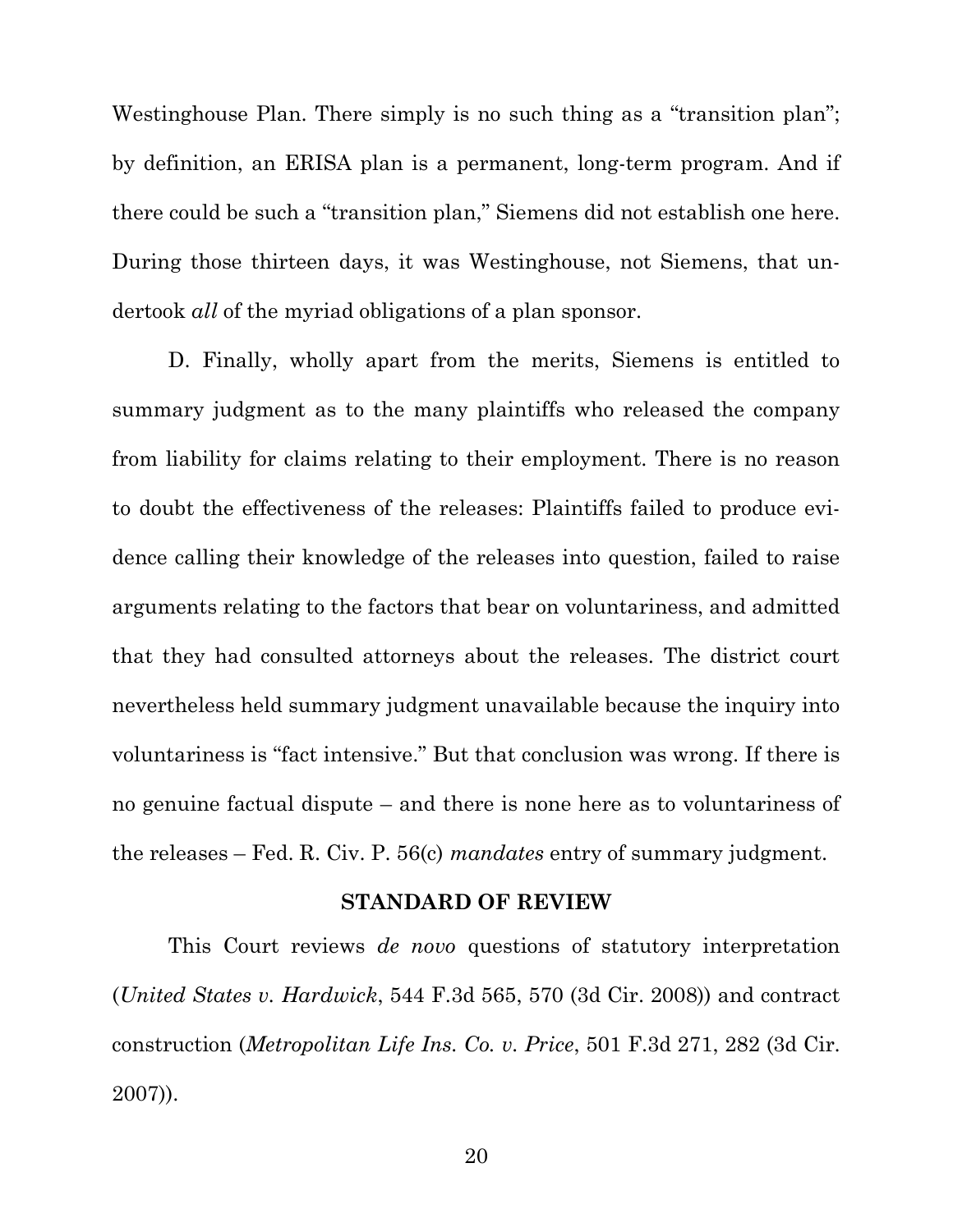Westinghouse Plan. There simply is no such thing as a "transition plan"; by definition, an ERISA plan is a permanent, long-term program. And if there could be such a "transition plan," Siemens did not establish one here. During those thirteen days, it was Westinghouse, not Siemens, that undertook *all* of the myriad obligations of a plan sponsor.

D. Finally, wholly apart from the merits, Siemens is entitled to summary judgment as to the many plaintiffs who released the company from liability for claims relating to their employment. There is no reason to doubt the effectiveness of the releases: Plaintiffs failed to produce evidence calling their knowledge of the releases into question, failed to raise arguments relating to the factors that bear on voluntariness, and admitted that they had consulted attorneys about the releases. The district court nevertheless held summary judgment unavailable because the inquiry into voluntariness is "fact intensive." But that conclusion was wrong. If there is no genuine factual dispute – and there is none here as to voluntariness of the releases – Fed. R. Civ. P. 56(c) *mandates* entry of summary judgment.

#### **STANDARD OF REVIEW**

This Court reviews *de novo* questions of statutory interpretation (*United States v. Hardwick*, 544 F.3d 565, 570 (3d Cir. 2008)) and contract construction (*Metropolitan Life Ins. Co. v. Price*, 501 F.3d 271, 282 (3d Cir. 2007)).

20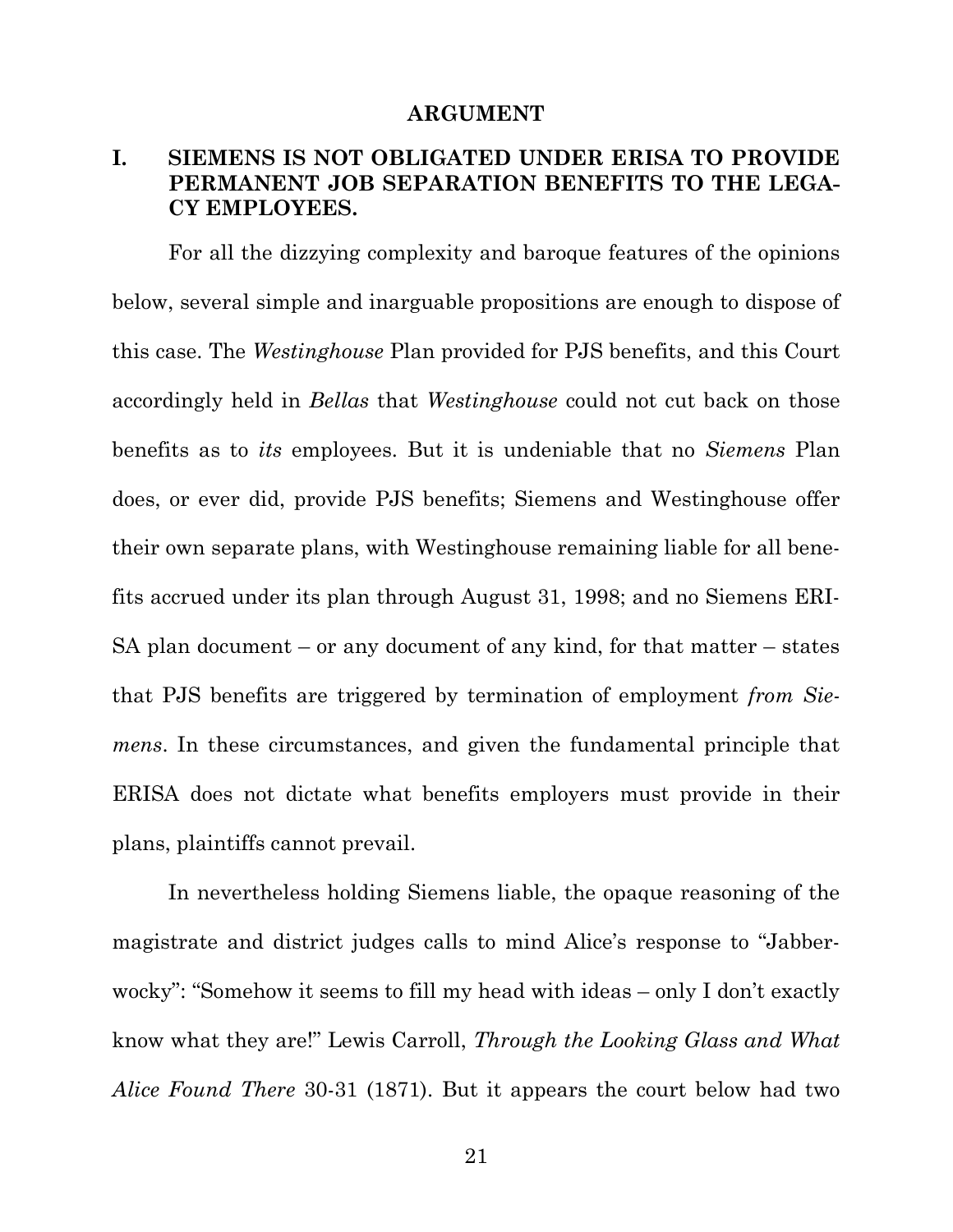#### **ARGUMENT**

### **I. SIEMENS IS NOT OBLIGATED UNDER ERISA TO PROVIDE PERMANENT JOB SEPARATION BENEFITS TO THE LEGA-CY EMPLOYEES.**

For all the dizzying complexity and baroque features of the opinions below, several simple and inarguable propositions are enough to dispose of this case. The *Westinghouse* Plan provided for PJS benefits, and this Court accordingly held in *Bellas* that *Westinghouse* could not cut back on those benefits as to *its* employees. But it is undeniable that no *Siemens* Plan does, or ever did, provide PJS benefits; Siemens and Westinghouse offer their own separate plans, with Westinghouse remaining liable for all benefits accrued under its plan through August 31, 1998; and no Siemens ERI-SA plan document – or any document of any kind, for that matter – states that PJS benefits are triggered by termination of employment *from Siemens*. In these circumstances, and given the fundamental principle that ERISA does not dictate what benefits employers must provide in their plans, plaintiffs cannot prevail.

In nevertheless holding Siemens liable, the opaque reasoning of the magistrate and district judges calls to mind Alice's response to "Jabberwocky": "Somehow it seems to fill my head with ideas – only I don't exactly know what they are!" Lewis Carroll, *Through the Looking Glass and What Alice Found There* 30-31 (1871). But it appears the court below had two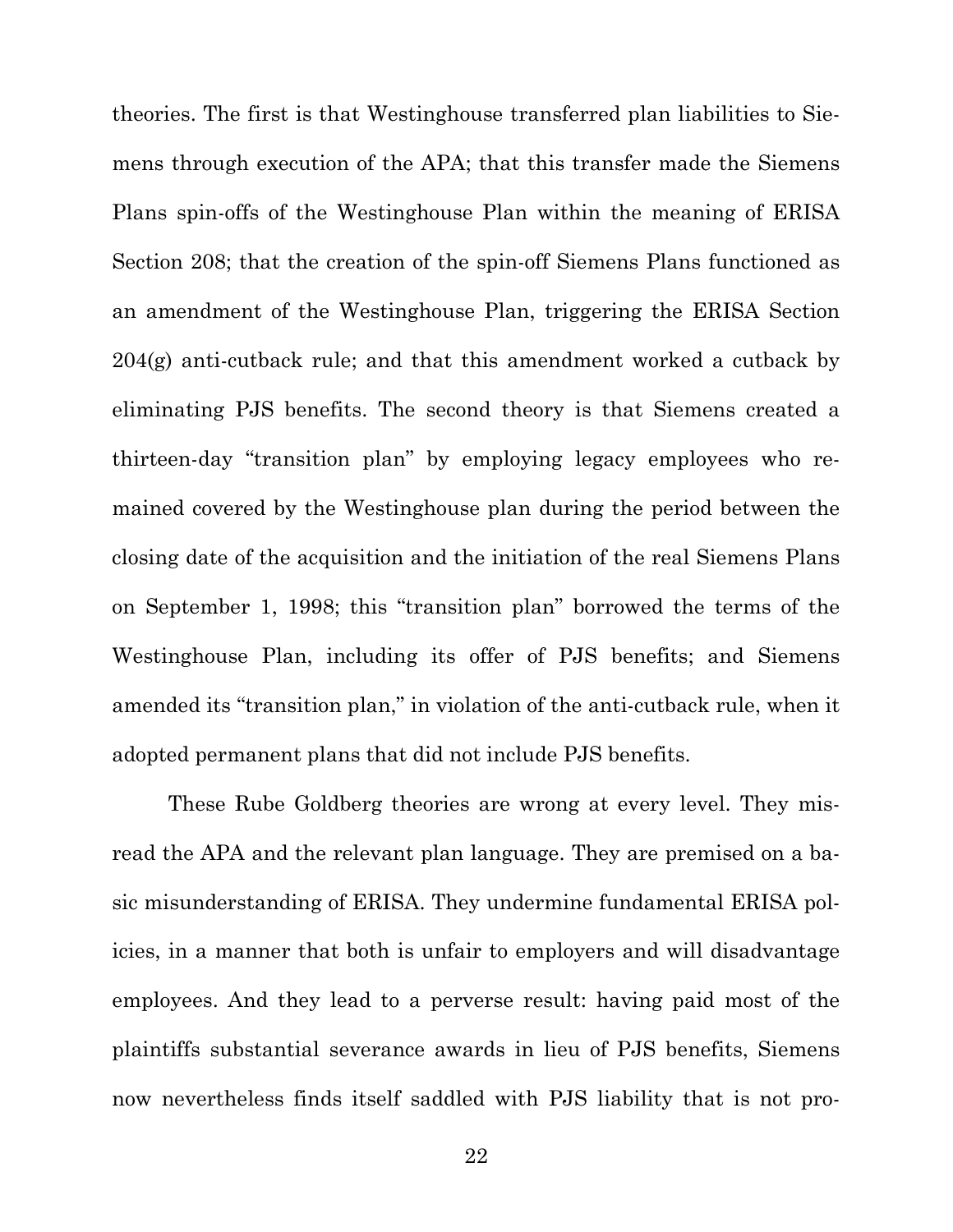theories. The first is that Westinghouse transferred plan liabilities to Siemens through execution of the APA; that this transfer made the Siemens Plans spin-offs of the Westinghouse Plan within the meaning of ERISA Section 208; that the creation of the spin-off Siemens Plans functioned as an amendment of the Westinghouse Plan, triggering the ERISA Section 204(g) anti-cutback rule; and that this amendment worked a cutback by eliminating PJS benefits. The second theory is that Siemens created a thirteen-day "transition plan" by employing legacy employees who remained covered by the Westinghouse plan during the period between the closing date of the acquisition and the initiation of the real Siemens Plans on September 1, 1998; this "transition plan" borrowed the terms of the Westinghouse Plan, including its offer of PJS benefits; and Siemens amended its "transition plan," in violation of the anti-cutback rule, when it adopted permanent plans that did not include PJS benefits.

These Rube Goldberg theories are wrong at every level. They misread the APA and the relevant plan language. They are premised on a basic misunderstanding of ERISA. They undermine fundamental ERISA policies, in a manner that both is unfair to employers and will disadvantage employees. And they lead to a perverse result: having paid most of the plaintiffs substantial severance awards in lieu of PJS benefits, Siemens now nevertheless finds itself saddled with PJS liability that is not pro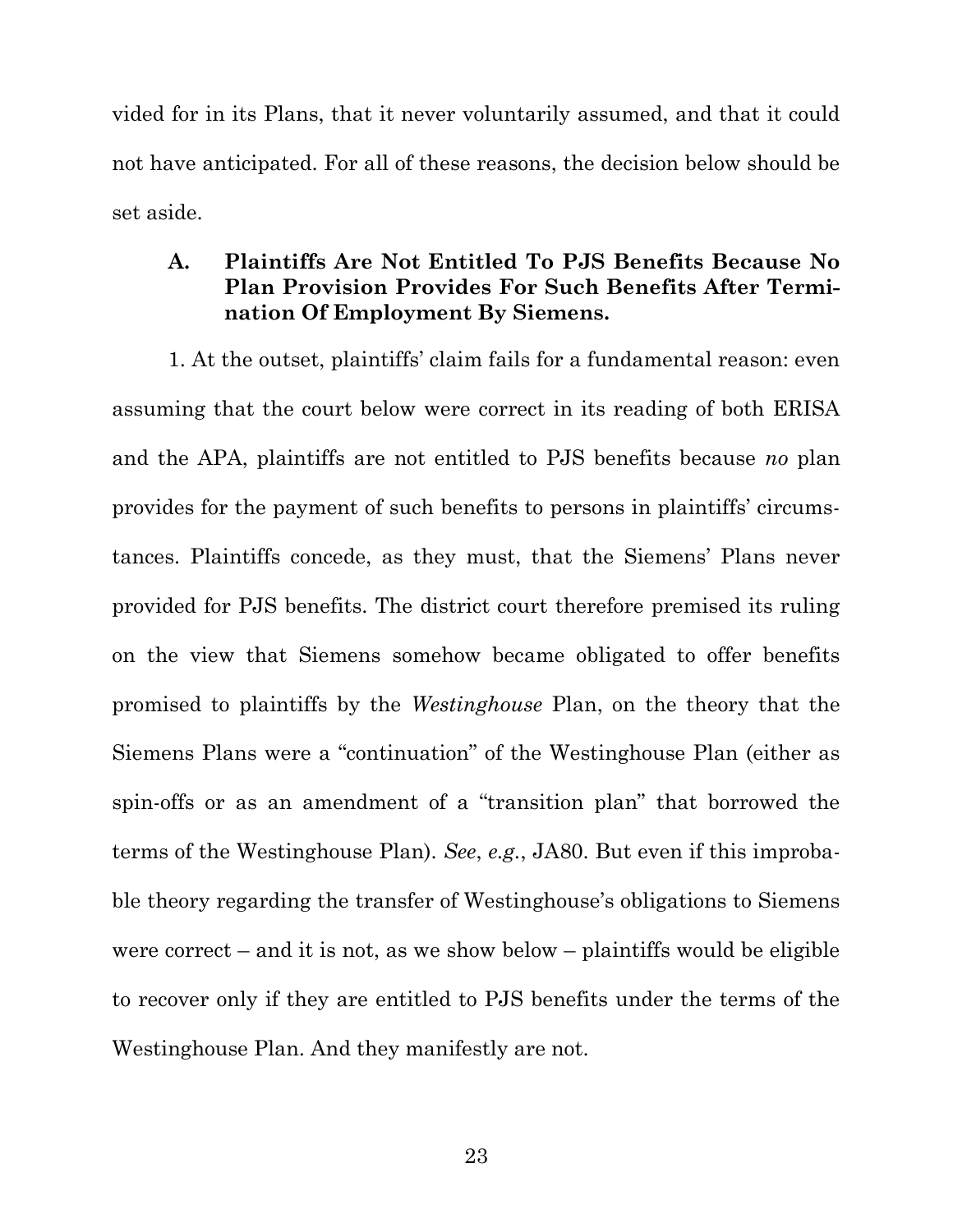vided for in its Plans, that it never voluntarily assumed, and that it could not have anticipated. For all of these reasons, the decision below should be set aside.

### **A. Plaintiffs Are Not Entitled To PJS Benefits Because No Plan Provision Provides For Such Benefits After Termination Of Employment By Siemens.**

1. At the outset, plaintiffs' claim fails for a fundamental reason: even assuming that the court below were correct in its reading of both ERISA and the APA, plaintiffs are not entitled to PJS benefits because *no* plan provides for the payment of such benefits to persons in plaintiffs' circumstances. Plaintiffs concede, as they must, that the Siemens' Plans never provided for PJS benefits. The district court therefore premised its ruling on the view that Siemens somehow became obligated to offer benefits promised to plaintiffs by the *Westinghouse* Plan, on the theory that the Siemens Plans were a "continuation" of the Westinghouse Plan (either as spin-offs or as an amendment of a "transition plan" that borrowed the terms of the Westinghouse Plan). *See*, *e.g.*, JA80. But even if this improbable theory regarding the transfer of Westinghouse's obligations to Siemens were correct – and it is not, as we show below – plaintiffs would be eligible to recover only if they are entitled to PJS benefits under the terms of the Westinghouse Plan. And they manifestly are not.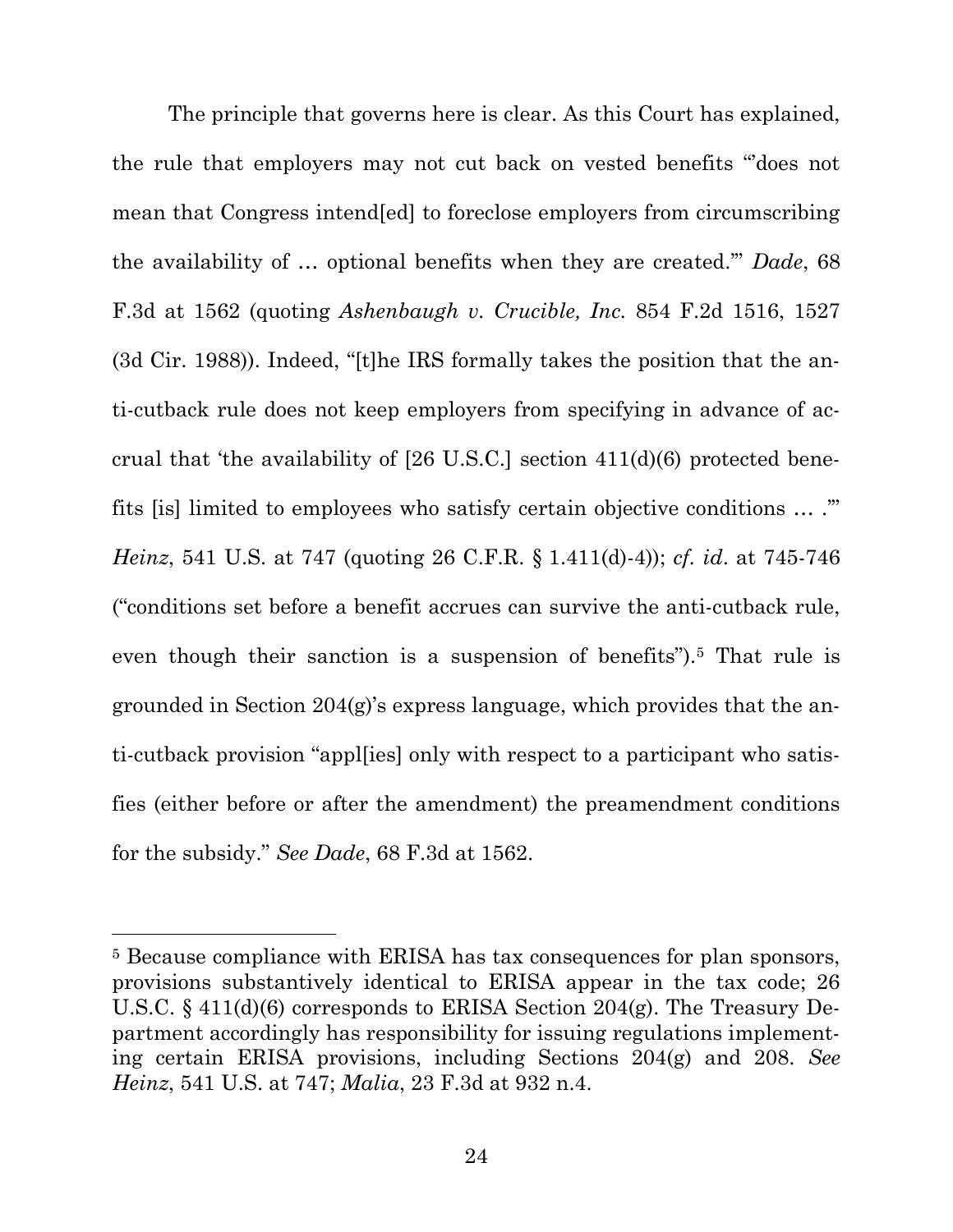The principle that governs here is clear. As this Court has explained, the rule that employers may not cut back on vested benefits "'does not mean that Congress intend[ed] to foreclose employers from circumscribing the availability of … optional benefits when they are created.'" *Dade*, 68 F.3d at 1562 (quoting *Ashenbaugh v. Crucible, Inc.* 854 F.2d 1516, 1527 (3d Cir. 1988)). Indeed, "[t]he IRS formally takes the position that the anti-cutback rule does not keep employers from specifying in advance of accrual that 'the availability of [26 U.S.C.] section 411(d)(6) protected benefits [is] limited to employees who satisfy certain objective conditions … .'" *Heinz*, 541 U.S. at 747 (quoting 26 C.F.R. § 1.411(d)-4)); *cf. id*. at 745-746 ("conditions set before a benefit accrues can survive the anti-cutback rule, even though their sanction is a suspension of benefits").<sup>5</sup> That rule is grounded in Section 204(g)'s express language, which provides that the anti-cutback provision "appl[ies] only with respect to a participant who satisfies (either before or after the amendment) the preamendment conditions for the subsidy." *See Dade*, 68 F.3d at 1562.

<sup>5</sup> Because compliance with ERISA has tax consequences for plan sponsors, provisions substantively identical to ERISA appear in the tax code; 26 U.S.C. § 411(d)(6) corresponds to ERISA Section 204(g). The Treasury Department accordingly has responsibility for issuing regulations implementing certain ERISA provisions, including Sections 204(g) and 208. *See Heinz*, 541 U.S. at 747; *Malia*, 23 F.3d at 932 n.4.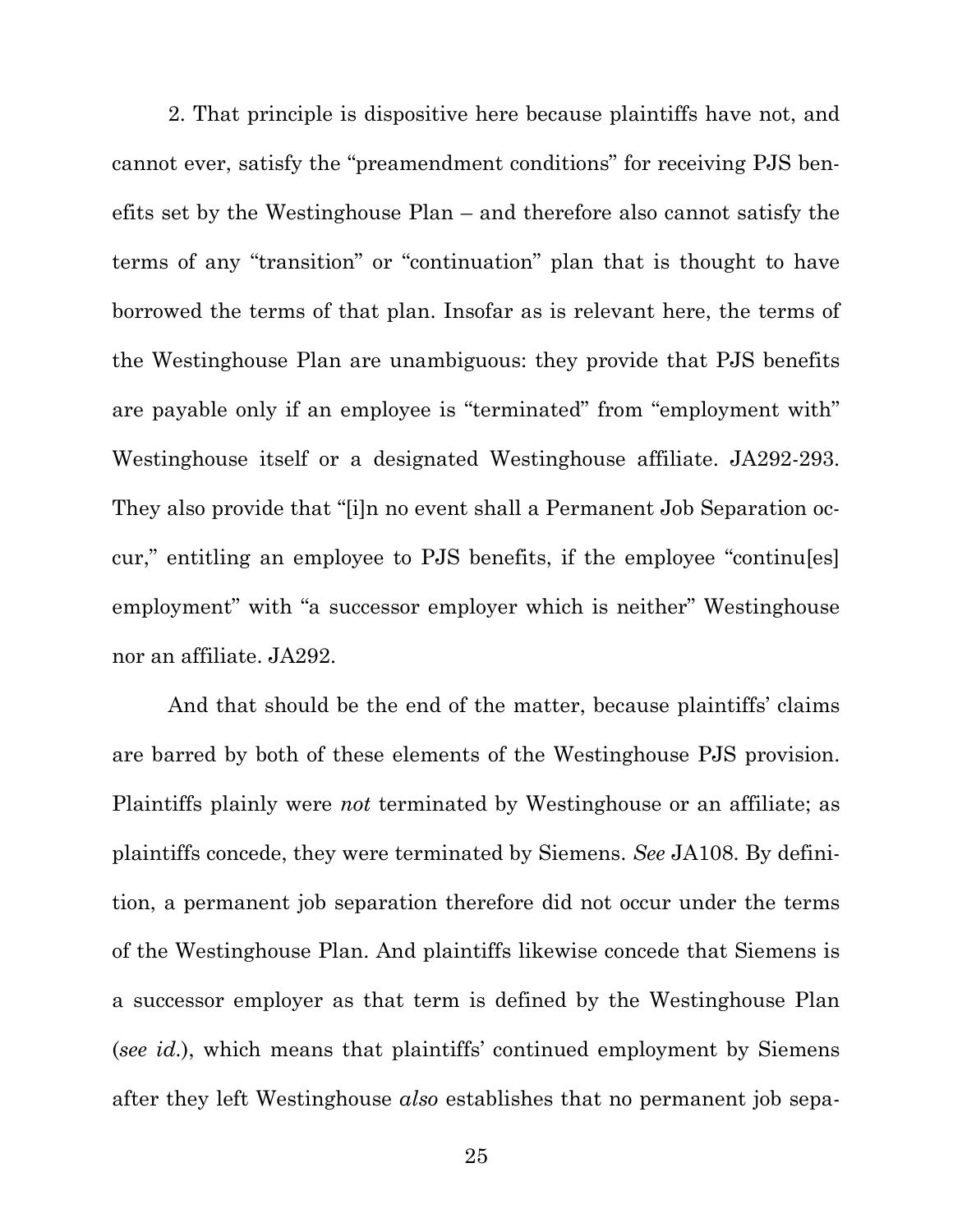2. That principle is dispositive here because plaintiffs have not, and cannot ever, satisfy the "preamendment conditions" for receiving PJS benefits set by the Westinghouse Plan – and therefore also cannot satisfy the terms of any "transition" or "continuation" plan that is thought to have borrowed the terms of that plan. Insofar as is relevant here, the terms of the Westinghouse Plan are unambiguous: they provide that PJS benefits are payable only if an employee is "terminated" from "employment with" Westinghouse itself or a designated Westinghouse affiliate. JA292-293. They also provide that "[i]n no event shall a Permanent Job Separation occur," entitling an employee to PJS benefits, if the employee "continu[es] employment" with "a successor employer which is neither" Westinghouse nor an affiliate. JA292.

And that should be the end of the matter, because plaintiffs' claims are barred by both of these elements of the Westinghouse PJS provision. Plaintiffs plainly were *not* terminated by Westinghouse or an affiliate; as plaintiffs concede, they were terminated by Siemens. *See* JA108. By definition, a permanent job separation therefore did not occur under the terms of the Westinghouse Plan. And plaintiffs likewise concede that Siemens is a successor employer as that term is defined by the Westinghouse Plan (*see id.*), which means that plaintiffs' continued employment by Siemens after they left Westinghouse *also* establishes that no permanent job sepa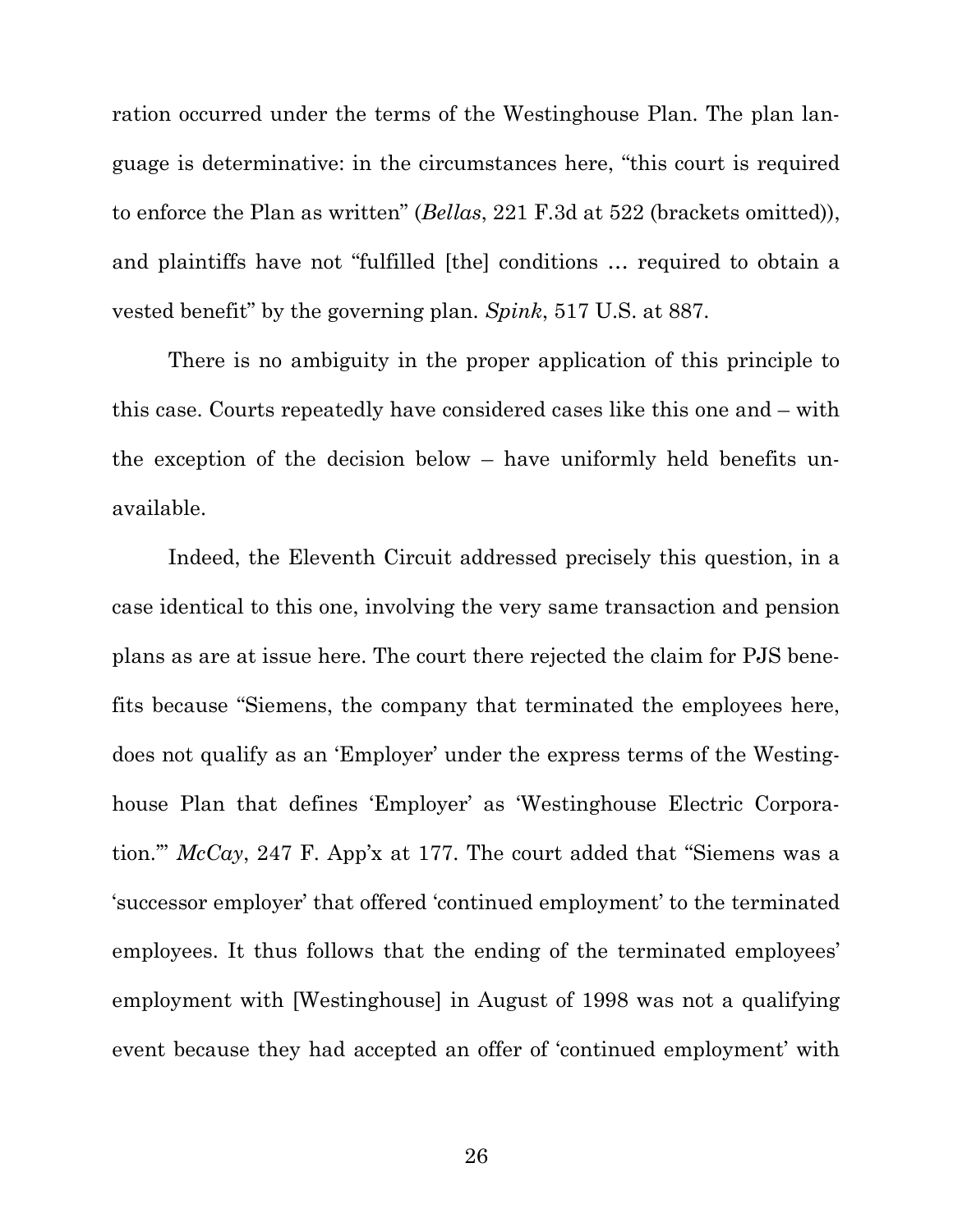ration occurred under the terms of the Westinghouse Plan. The plan language is determinative: in the circumstances here, "this court is required to enforce the Plan as written" (*Bellas*, 221 F.3d at 522 (brackets omitted)), and plaintiffs have not "fulfilled [the] conditions … required to obtain a vested benefit" by the governing plan. *Spink*, 517 U.S. at 887.

There is no ambiguity in the proper application of this principle to this case. Courts repeatedly have considered cases like this one and – with the exception of the decision below – have uniformly held benefits unavailable.

Indeed, the Eleventh Circuit addressed precisely this question, in a case identical to this one, involving the very same transaction and pension plans as are at issue here. The court there rejected the claim for PJS benefits because "Siemens, the company that terminated the employees here, does not qualify as an 'Employer' under the express terms of the Westinghouse Plan that defines 'Employer' as 'Westinghouse Electric Corporation.'" *McCay*, 247 F. App'x at 177. The court added that "Siemens was a 'successor employer' that offered 'continued employment' to the terminated employees. It thus follows that the ending of the terminated employees' employment with [Westinghouse] in August of 1998 was not a qualifying event because they had accepted an offer of 'continued employment' with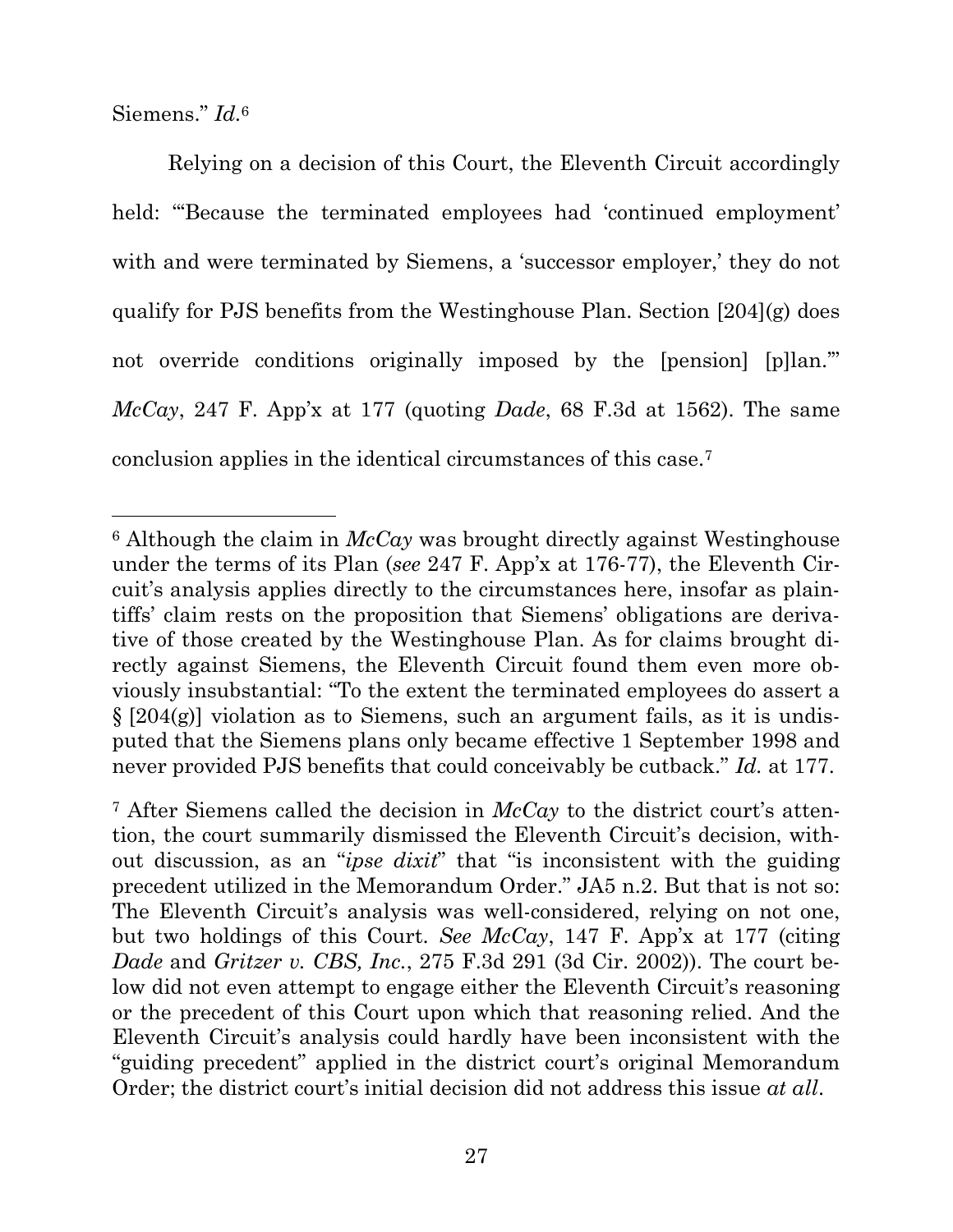Siemens." *Id.*<sup>6</sup>

Relying on a decision of this Court, the Eleventh Circuit accordingly held: "Because the terminated employees had 'continued employment' with and were terminated by Siemens, a 'successor employer,' they do not qualify for PJS benefits from the Westinghouse Plan. Section [204](g) does not override conditions originally imposed by the [pension] [p]lan." *McCay*, 247 F. App'x at 177 (quoting *Dade*, 68 F.3d at 1562). The same conclusion applies in the identical circumstances of this case.<sup>7</sup>

<sup>6</sup> Although the claim in *McCay* was brought directly against Westinghouse under the terms of its Plan (*see* 247 F. App'x at 176-77), the Eleventh Circuit's analysis applies directly to the circumstances here, insofar as plaintiffs' claim rests on the proposition that Siemens' obligations are derivative of those created by the Westinghouse Plan. As for claims brought directly against Siemens, the Eleventh Circuit found them even more obviously insubstantial: "To the extent the terminated employees do assert a § [204(g)] violation as to Siemens, such an argument fails, as it is undisputed that the Siemens plans only became effective 1 September 1998 and never provided PJS benefits that could conceivably be cutback." *Id.* at 177.

<sup>7</sup> After Siemens called the decision in *McCay* to the district court's attention, the court summarily dismissed the Eleventh Circuit's decision, without discussion, as an "*ipse dixit*" that "is inconsistent with the guiding precedent utilized in the Memorandum Order." JA5 n.2. But that is not so: The Eleventh Circuit's analysis was well-considered, relying on not one, but two holdings of this Court. *See McCay*, 147 F. App'x at 177 (citing *Dade* and *Gritzer v. CBS, Inc.*, 275 F.3d 291 (3d Cir. 2002)). The court below did not even attempt to engage either the Eleventh Circuit's reasoning or the precedent of this Court upon which that reasoning relied. And the Eleventh Circuit's analysis could hardly have been inconsistent with the "guiding precedent" applied in the district court's original Memorandum Order; the district court's initial decision did not address this issue *at all*.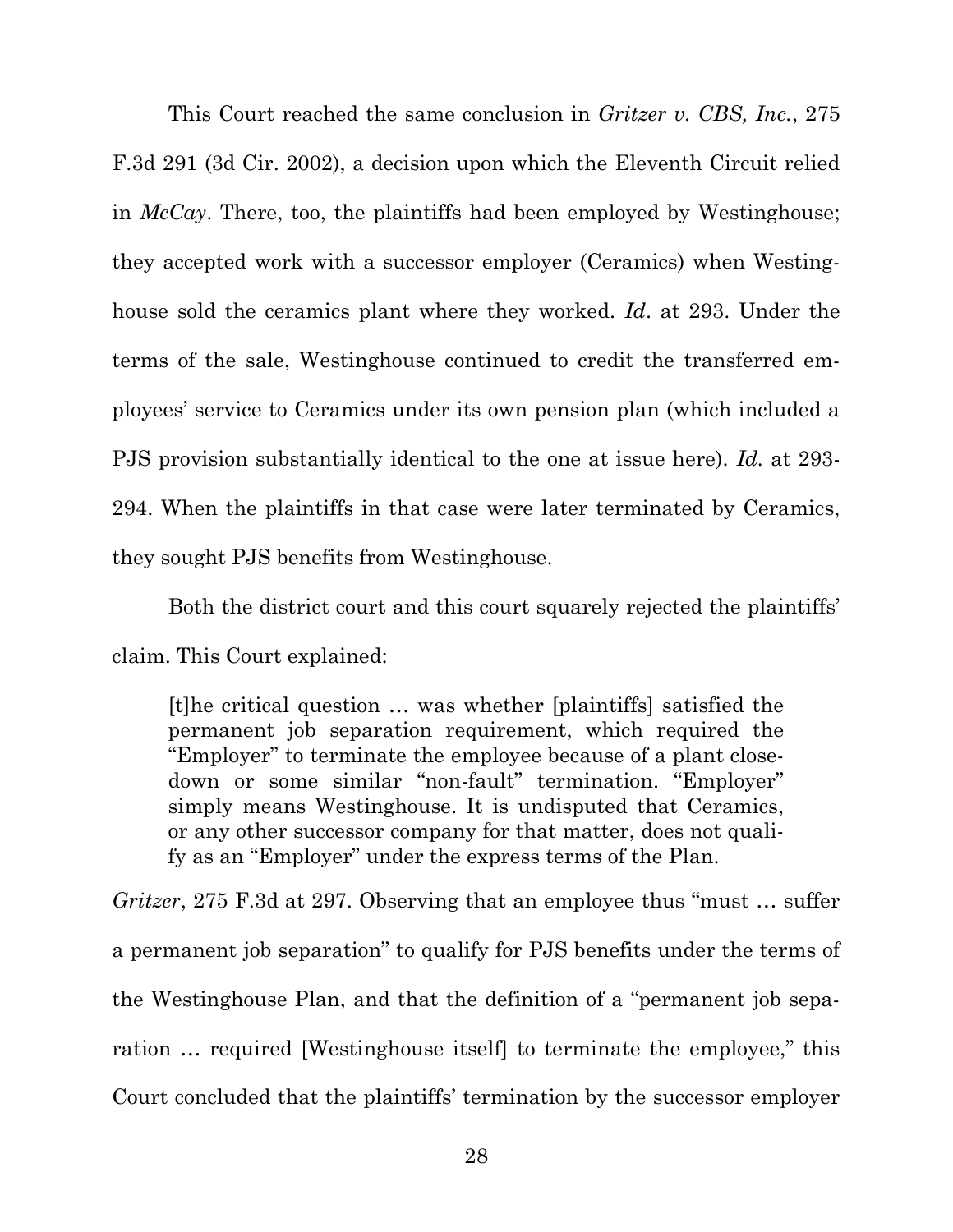This Court reached the same conclusion in *Gritzer v. CBS, Inc.*, 275 F.3d 291 (3d Cir. 2002), a decision upon which the Eleventh Circuit relied in *McCay*. There, too, the plaintiffs had been employed by Westinghouse; they accepted work with a successor employer (Ceramics) when Westinghouse sold the ceramics plant where they worked. *Id*. at 293. Under the terms of the sale, Westinghouse continued to credit the transferred employees' service to Ceramics under its own pension plan (which included a PJS provision substantially identical to the one at issue here). *Id.* at 293- 294. When the plaintiffs in that case were later terminated by Ceramics, they sought PJS benefits from Westinghouse.

Both the district court and this court squarely rejected the plaintiffs' claim. This Court explained:

[t]he critical question … was whether [plaintiffs] satisfied the permanent job separation requirement, which required the "Employer" to terminate the employee because of a plant closedown or some similar "non-fault" termination. "Employer" simply means Westinghouse. It is undisputed that Ceramics, or any other successor company for that matter, does not qualify as an "Employer" under the express terms of the Plan.

*Gritzer*, 275 F.3d at 297. Observing that an employee thus "must … suffer a permanent job separation" to qualify for PJS benefits under the terms of the Westinghouse Plan, and that the definition of a "permanent job separation … required [Westinghouse itself] to terminate the employee," this Court concluded that the plaintiffs' termination by the successor employer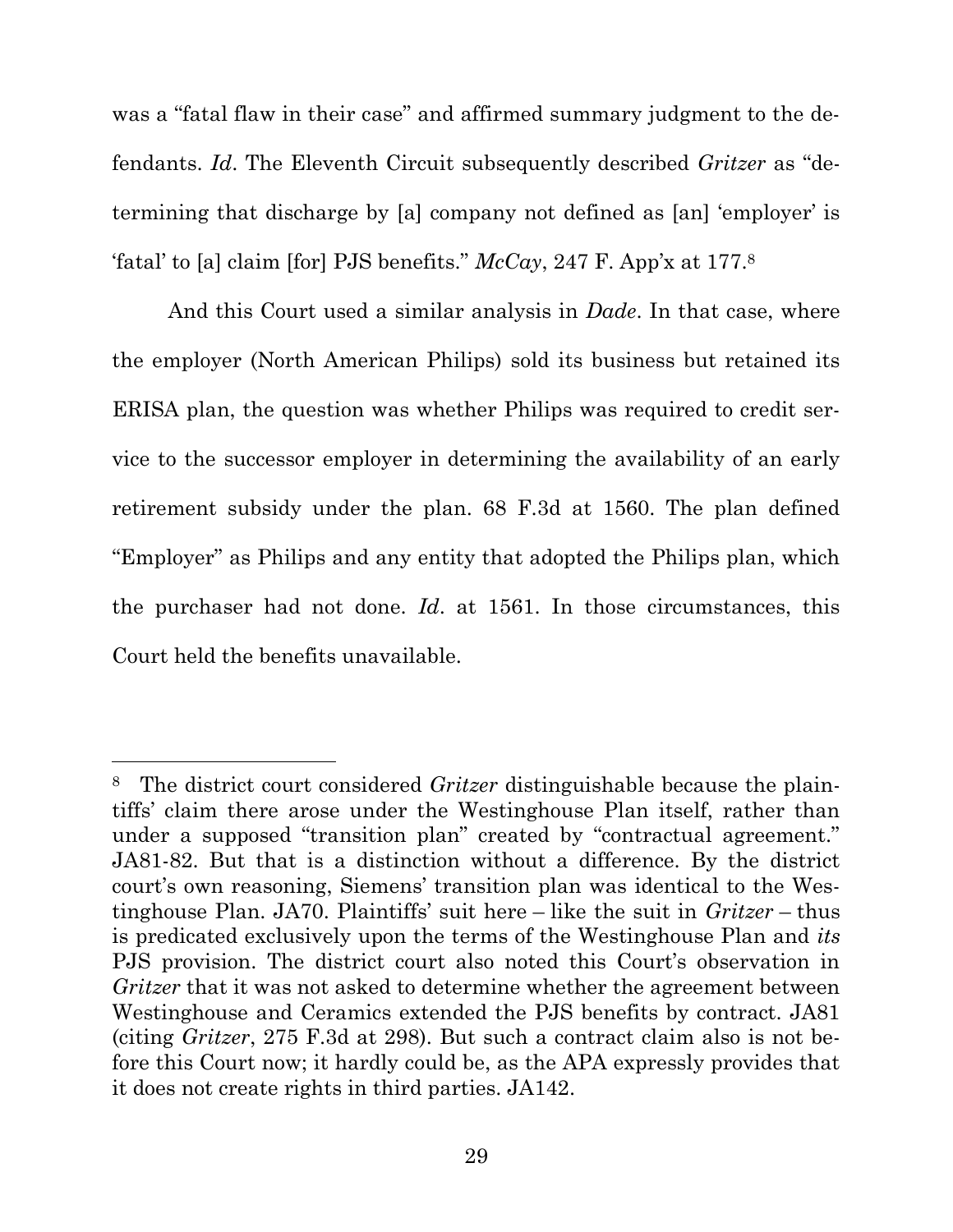was a "fatal flaw in their case" and affirmed summary judgment to the defendants. *Id*. The Eleventh Circuit subsequently described *Gritzer* as "determining that discharge by [a] company not defined as [an] 'employer' is 'fatal' to [a] claim [for] PJS benefits." *McCay*, 247 F. App'x at 177.<sup>8</sup>

And this Court used a similar analysis in *Dade*. In that case, where the employer (North American Philips) sold its business but retained its ERISA plan, the question was whether Philips was required to credit service to the successor employer in determining the availability of an early retirement subsidy under the plan. 68 F.3d at 1560. The plan defined "Employer" as Philips and any entity that adopted the Philips plan, which the purchaser had not done. *Id*. at 1561. In those circumstances, this Court held the benefits unavailable.

The district court considered *Gritzer* distinguishable because the plaintiffs' claim there arose under the Westinghouse Plan itself, rather than under a supposed "transition plan" created by "contractual agreement." JA81-82. But that is a distinction without a difference. By the district court's own reasoning, Siemens' transition plan was identical to the Westinghouse Plan. JA70. Plaintiffs' suit here – like the suit in *Gritzer* – thus is predicated exclusively upon the terms of the Westinghouse Plan and *its* PJS provision. The district court also noted this Court's observation in *Gritzer* that it was not asked to determine whether the agreement between Westinghouse and Ceramics extended the PJS benefits by contract. JA81 (citing *Gritzer*, 275 F.3d at 298). But such a contract claim also is not before this Court now; it hardly could be, as the APA expressly provides that it does not create rights in third parties. JA142.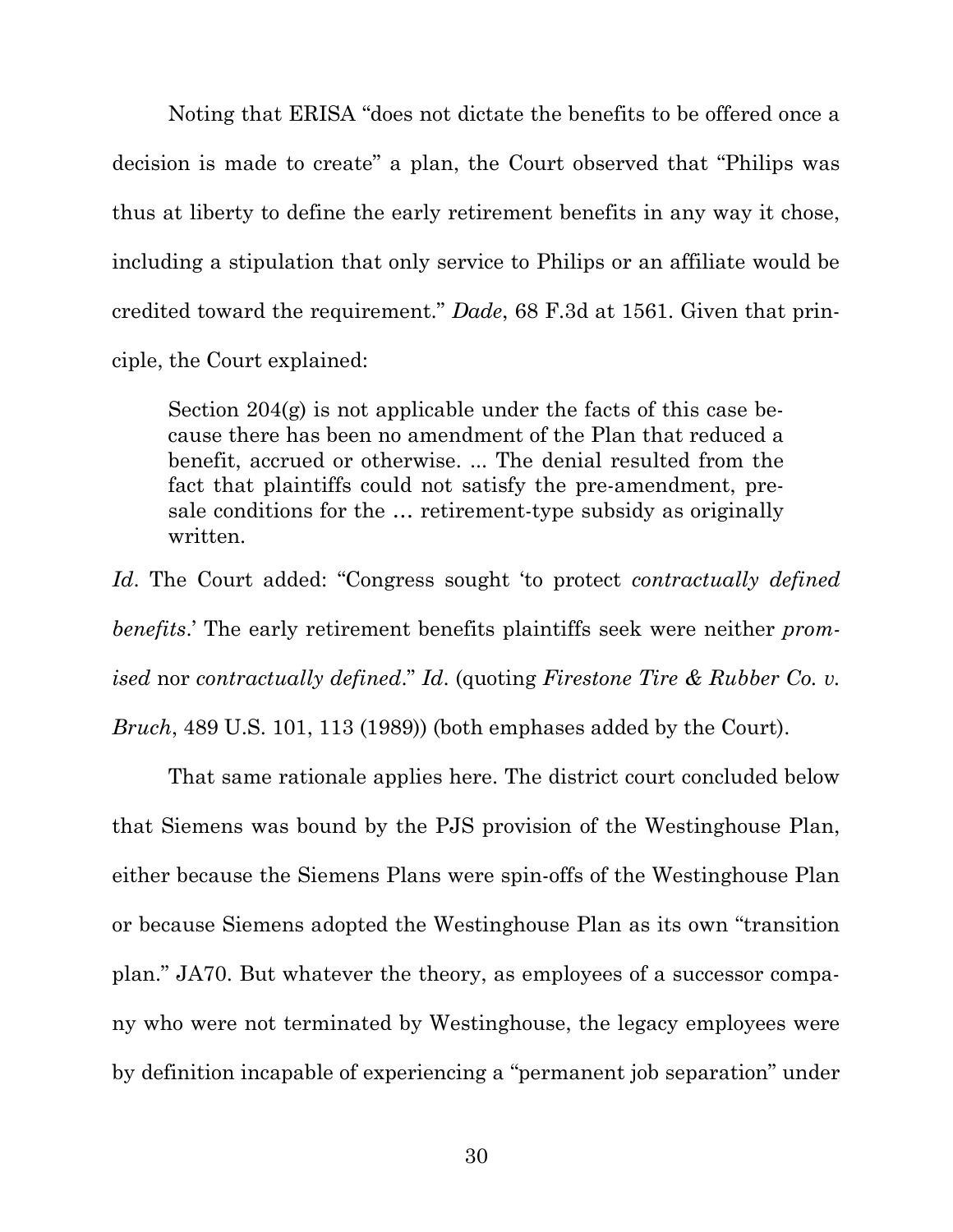Noting that ERISA "does not dictate the benefits to be offered once a decision is made to create" a plan, the Court observed that "Philips was thus at liberty to define the early retirement benefits in any way it chose, including a stipulation that only service to Philips or an affiliate would be credited toward the requirement." *Dade*, 68 F.3d at 1561. Given that principle, the Court explained:

Section 204(g) is not applicable under the facts of this case because there has been no amendment of the Plan that reduced a benefit, accrued or otherwise. ... The denial resulted from the fact that plaintiffs could not satisfy the pre-amendment, presale conditions for the … retirement-type subsidy as originally written.

*Id*. The Court added: "Congress sought 'to protect *contractually defined benefits*.' The early retirement benefits plaintiffs seek were neither *promised* nor *contractually defined*." *Id*. (quoting *Firestone Tire & Rubber Co. v. Bruch*, 489 U.S. 101, 113 (1989)) (both emphases added by the Court).

That same rationale applies here. The district court concluded below that Siemens was bound by the PJS provision of the Westinghouse Plan, either because the Siemens Plans were spin-offs of the Westinghouse Plan or because Siemens adopted the Westinghouse Plan as its own "transition plan." JA70. But whatever the theory, as employees of a successor company who were not terminated by Westinghouse, the legacy employees were by definition incapable of experiencing a "permanent job separation" under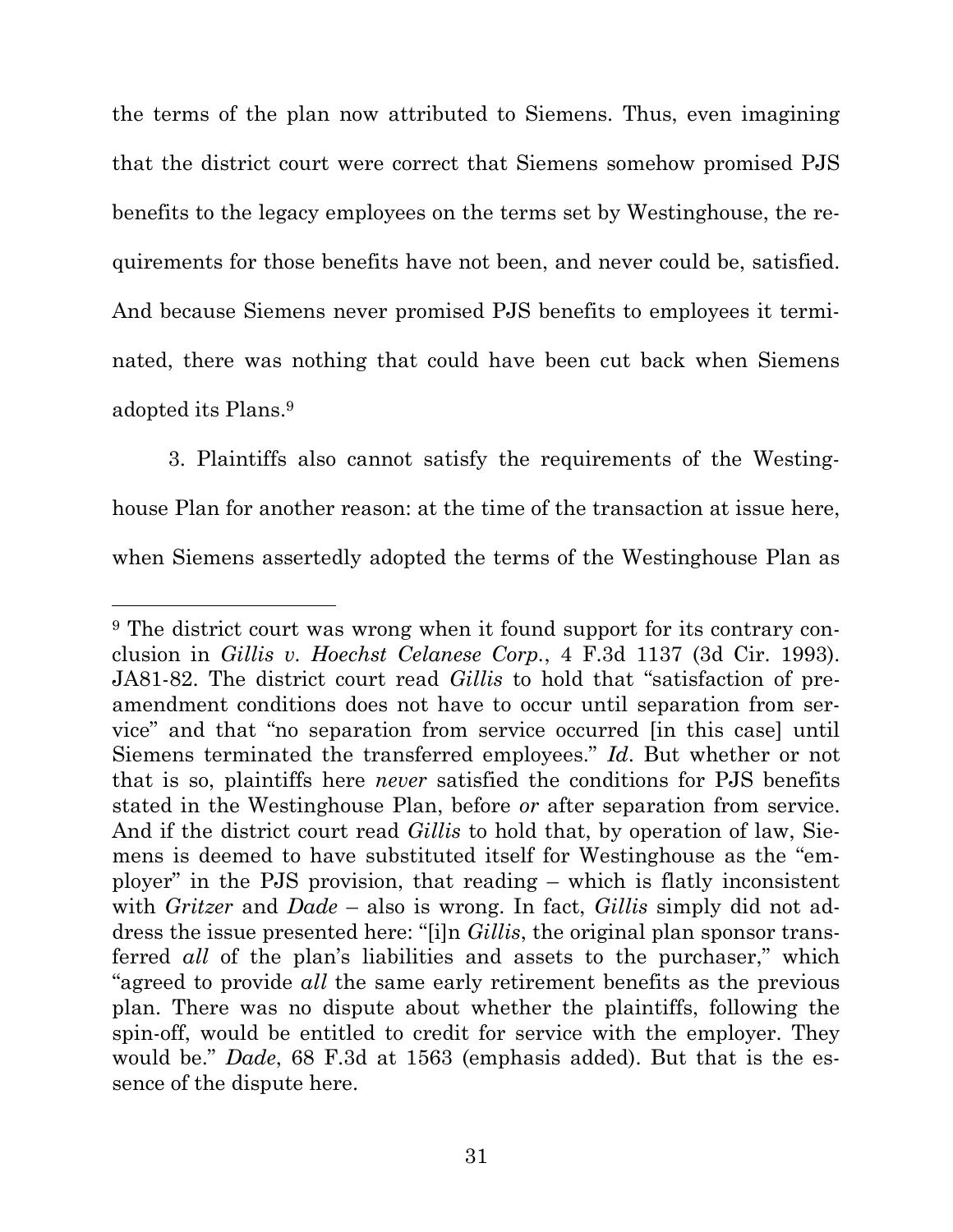the terms of the plan now attributed to Siemens. Thus, even imagining that the district court were correct that Siemens somehow promised PJS benefits to the legacy employees on the terms set by Westinghouse, the requirements for those benefits have not been, and never could be, satisfied. And because Siemens never promised PJS benefits to employees it terminated, there was nothing that could have been cut back when Siemens adopted its Plans.<sup>9</sup>

3. Plaintiffs also cannot satisfy the requirements of the Westinghouse Plan for another reason: at the time of the transaction at issue here, when Siemens assertedly adopted the terms of the Westinghouse Plan as

<sup>&</sup>lt;sup>9</sup> The district court was wrong when it found support for its contrary conclusion in *Gillis v. Hoechst Celanese Corp.*, 4 F.3d 1137 (3d Cir. 1993). JA81-82. The district court read *Gillis* to hold that "satisfaction of preamendment conditions does not have to occur until separation from service" and that "no separation from service occurred [in this case] until Siemens terminated the transferred employees." *Id*. But whether or not that is so, plaintiffs here *never* satisfied the conditions for PJS benefits stated in the Westinghouse Plan, before *or* after separation from service. And if the district court read *Gillis* to hold that, by operation of law, Siemens is deemed to have substituted itself for Westinghouse as the "employer" in the PJS provision, that reading – which is flatly inconsistent with *Gritzer* and *Dade* – also is wrong. In fact, *Gillis* simply did not address the issue presented here: "[i]n *Gillis*, the original plan sponsor transferred *all* of the plan's liabilities and assets to the purchaser," which "agreed to provide *all* the same early retirement benefits as the previous plan. There was no dispute about whether the plaintiffs, following the spin-off, would be entitled to credit for service with the employer. They would be." *Dade*, 68 F.3d at 1563 (emphasis added). But that is the essence of the dispute here.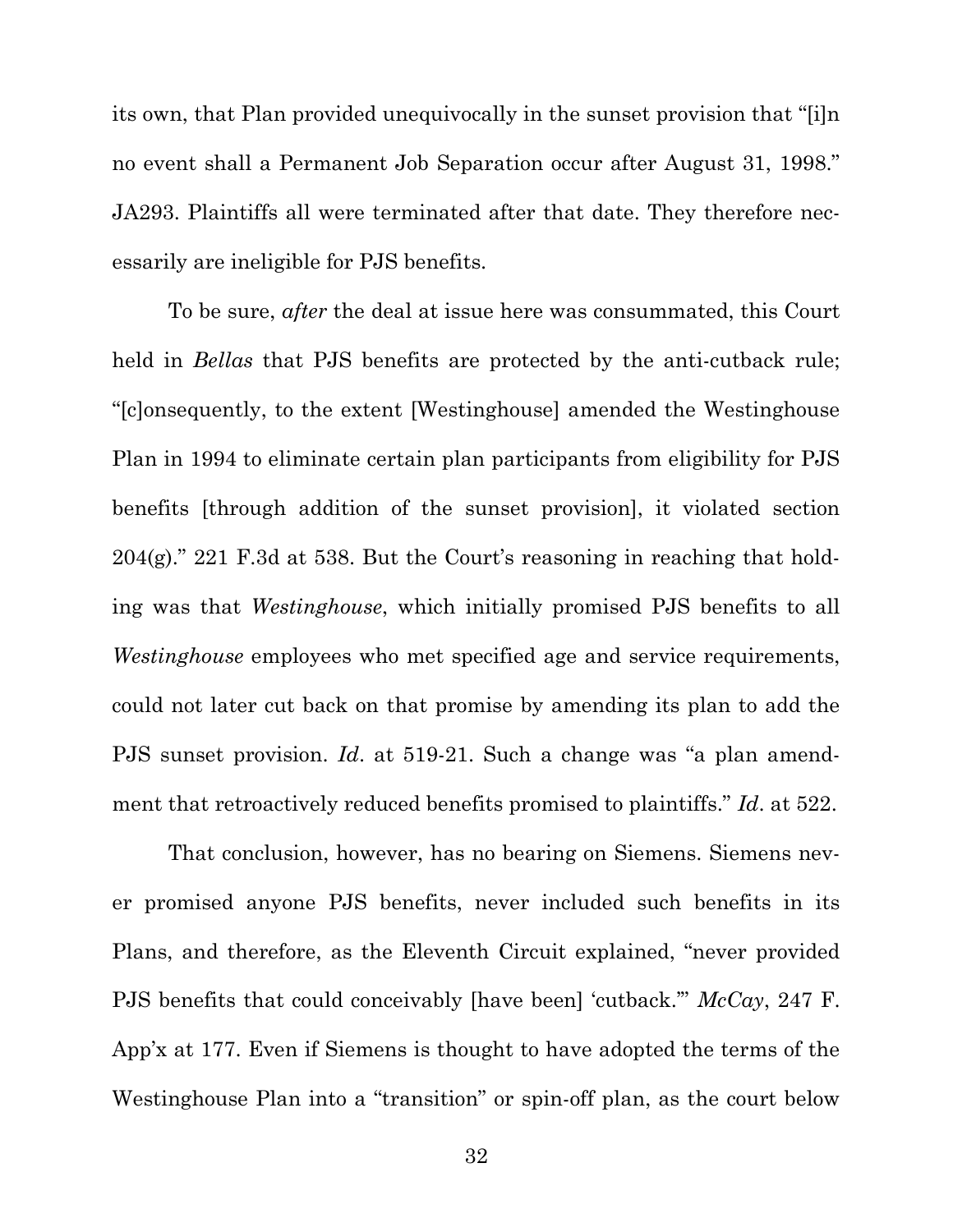its own, that Plan provided unequivocally in the sunset provision that "[i]n no event shall a Permanent Job Separation occur after August 31, 1998." JA293. Plaintiffs all were terminated after that date. They therefore necessarily are ineligible for PJS benefits.

To be sure, *after* the deal at issue here was consummated, this Court held in *Bellas* that PJS benefits are protected by the anti-cutback rule; "[c]onsequently, to the extent [Westinghouse] amended the Westinghouse Plan in 1994 to eliminate certain plan participants from eligibility for PJS benefits [through addition of the sunset provision], it violated section 204(g)." 221 F.3d at 538. But the Court's reasoning in reaching that holding was that *Westinghouse*, which initially promised PJS benefits to all *Westinghouse* employees who met specified age and service requirements, could not later cut back on that promise by amending its plan to add the PJS sunset provision. *Id*. at 519-21. Such a change was "a plan amendment that retroactively reduced benefits promised to plaintiffs." *Id*. at 522.

That conclusion, however, has no bearing on Siemens. Siemens never promised anyone PJS benefits, never included such benefits in its Plans, and therefore, as the Eleventh Circuit explained, "never provided PJS benefits that could conceivably [have been] 'cutback.'" *McCay*, 247 F. App'x at 177. Even if Siemens is thought to have adopted the terms of the Westinghouse Plan into a "transition" or spin-off plan, as the court below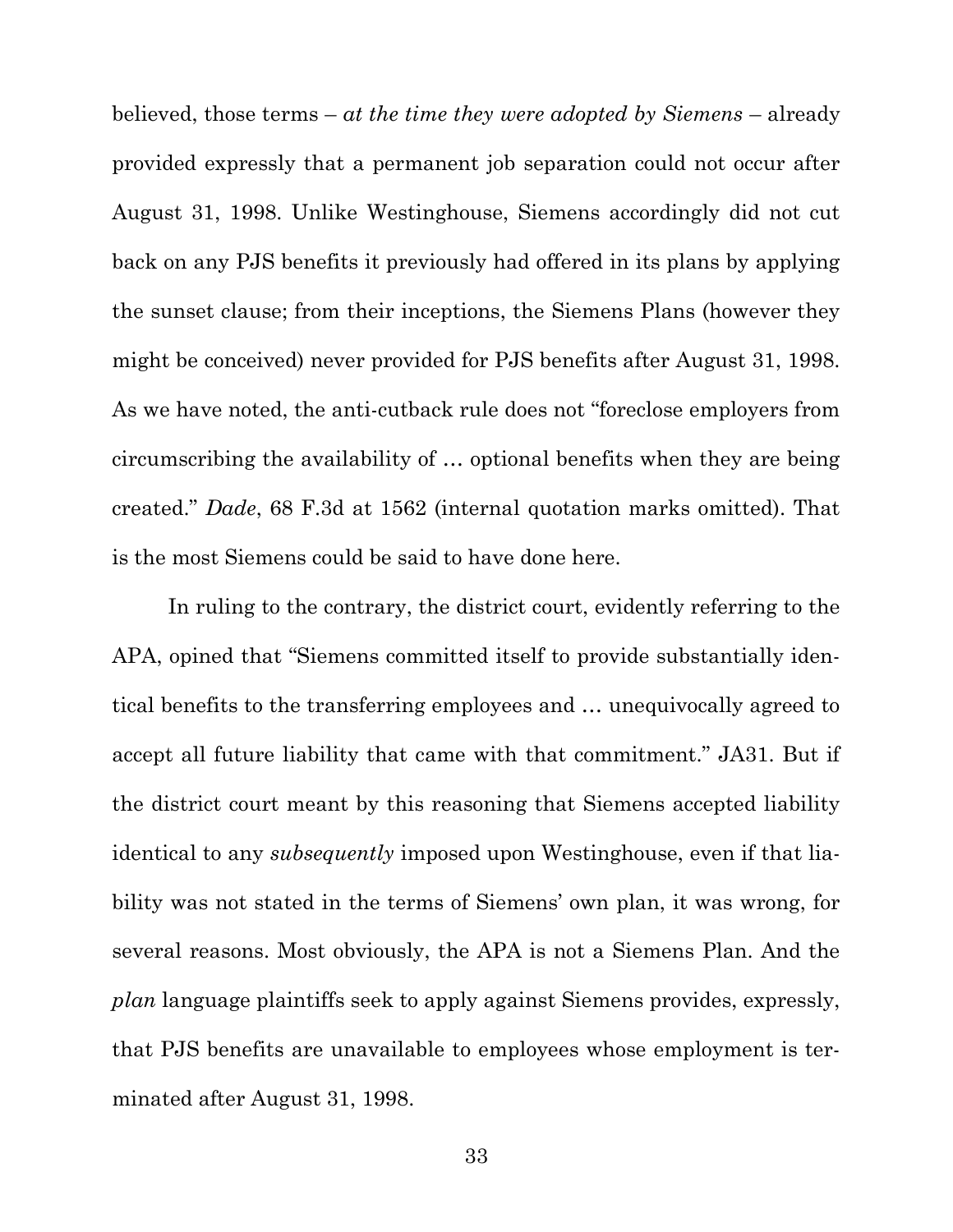believed, those terms – *at the time they were adopted by Siemens* – already provided expressly that a permanent job separation could not occur after August 31, 1998. Unlike Westinghouse, Siemens accordingly did not cut back on any PJS benefits it previously had offered in its plans by applying the sunset clause; from their inceptions, the Siemens Plans (however they might be conceived) never provided for PJS benefits after August 31, 1998. As we have noted, the anti-cutback rule does not "foreclose employers from circumscribing the availability of … optional benefits when they are being created." *Dade*, 68 F.3d at 1562 (internal quotation marks omitted). That is the most Siemens could be said to have done here.

In ruling to the contrary, the district court, evidently referring to the APA, opined that "Siemens committed itself to provide substantially identical benefits to the transferring employees and … unequivocally agreed to accept all future liability that came with that commitment." JA31. But if the district court meant by this reasoning that Siemens accepted liability identical to any *subsequently* imposed upon Westinghouse, even if that liability was not stated in the terms of Siemens' own plan, it was wrong, for several reasons. Most obviously, the APA is not a Siemens Plan. And the *plan* language plaintiffs seek to apply against Siemens provides, expressly, that PJS benefits are unavailable to employees whose employment is terminated after August 31, 1998.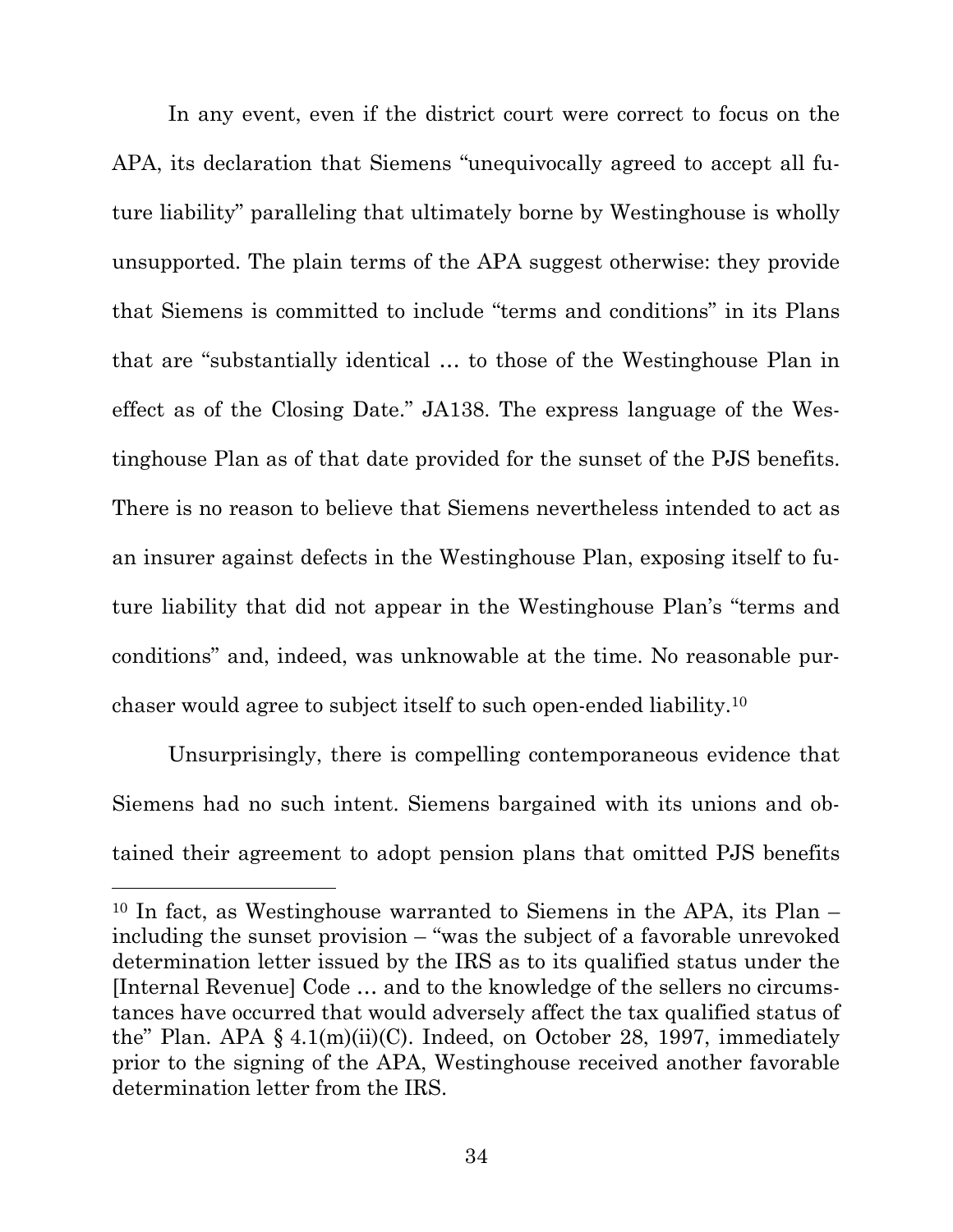In any event, even if the district court were correct to focus on the APA, its declaration that Siemens "unequivocally agreed to accept all future liability" paralleling that ultimately borne by Westinghouse is wholly unsupported. The plain terms of the APA suggest otherwise: they provide that Siemens is committed to include "terms and conditions" in its Plans that are "substantially identical … to those of the Westinghouse Plan in effect as of the Closing Date." JA138. The express language of the Westinghouse Plan as of that date provided for the sunset of the PJS benefits. There is no reason to believe that Siemens nevertheless intended to act as an insurer against defects in the Westinghouse Plan, exposing itself to future liability that did not appear in the Westinghouse Plan's "terms and conditions" and, indeed, was unknowable at the time. No reasonable purchaser would agree to subject itself to such open-ended liability.<sup>10</sup>

Unsurprisingly, there is compelling contemporaneous evidence that Siemens had no such intent. Siemens bargained with its unions and obtained their agreement to adopt pension plans that omitted PJS benefits

<sup>10</sup> In fact, as Westinghouse warranted to Siemens in the APA, its Plan – including the sunset provision – "was the subject of a favorable unrevoked determination letter issued by the IRS as to its qualified status under the [Internal Revenue] Code … and to the knowledge of the sellers no circumstances have occurred that would adversely affect the tax qualified status of the" Plan. APA  $\S$  4.1(m)(ii)(C). Indeed, on October 28, 1997, immediately prior to the signing of the APA, Westinghouse received another favorable determination letter from the IRS.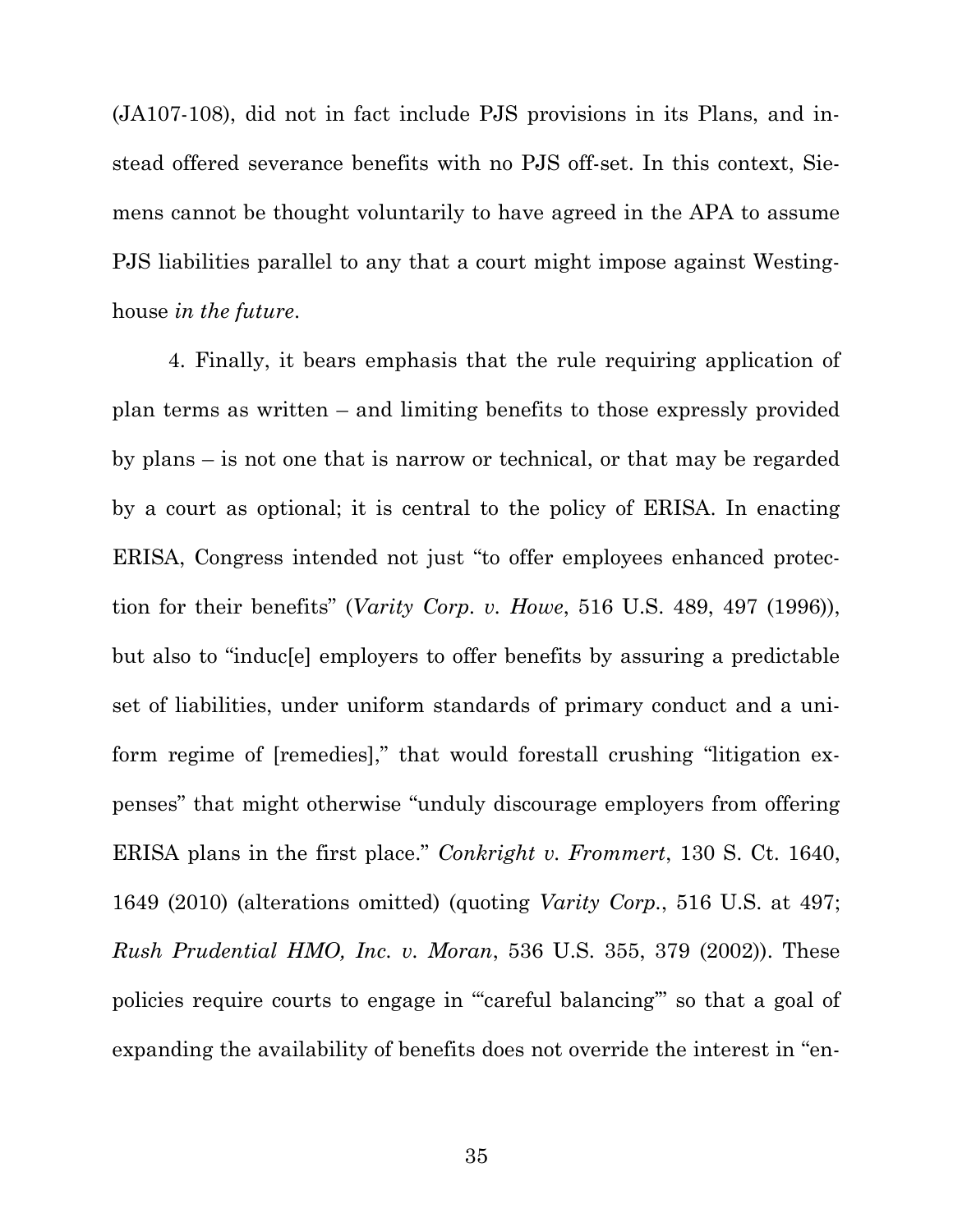(JA107-108), did not in fact include PJS provisions in its Plans, and instead offered severance benefits with no PJS off-set. In this context, Siemens cannot be thought voluntarily to have agreed in the APA to assume PJS liabilities parallel to any that a court might impose against Westinghouse *in the future*.

4. Finally, it bears emphasis that the rule requiring application of plan terms as written – and limiting benefits to those expressly provided by plans – is not one that is narrow or technical, or that may be regarded by a court as optional; it is central to the policy of ERISA. In enacting ERISA, Congress intended not just "to offer employees enhanced protection for their benefits" (*Varity Corp. v. Howe*, 516 U.S. 489, 497 (1996)), but also to "induc[e] employers to offer benefits by assuring a predictable set of liabilities, under uniform standards of primary conduct and a uniform regime of [remedies]," that would forestall crushing "litigation expenses" that might otherwise "unduly discourage employers from offering ERISA plans in the first place." *Conkright v. Frommert*, 130 S. Ct. 1640, 1649 (2010) (alterations omitted) (quoting *Varity Corp.*, 516 U.S. at 497; *Rush Prudential HMO, Inc. v. Moran*, 536 U.S. 355, 379 (2002)). These policies require courts to engage in "'careful balancing'" so that a goal of expanding the availability of benefits does not override the interest in "en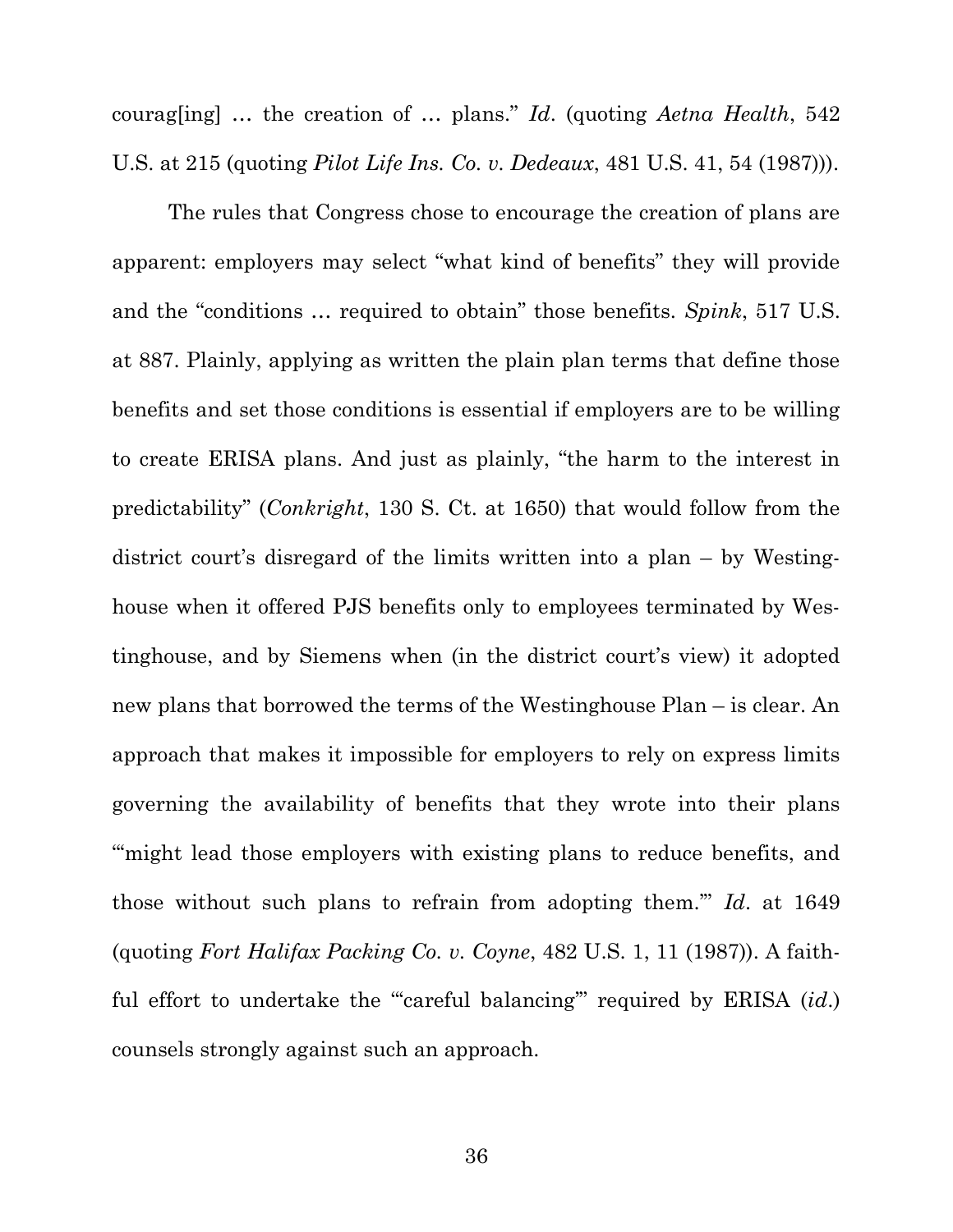courag[ing] … the creation of … plans." *Id*. (quoting *Aetna Health*, 542 U.S. at 215 (quoting *Pilot Life Ins. Co. v. Dedeaux*, 481 U.S. 41, 54 (1987))).

The rules that Congress chose to encourage the creation of plans are apparent: employers may select "what kind of benefits" they will provide and the "conditions … required to obtain" those benefits. *Spink*, 517 U.S. at 887. Plainly, applying as written the plain plan terms that define those benefits and set those conditions is essential if employers are to be willing to create ERISA plans. And just as plainly, "the harm to the interest in predictability" (*Conkright*, 130 S. Ct. at 1650) that would follow from the district court's disregard of the limits written into a plan – by Westinghouse when it offered PJS benefits only to employees terminated by Westinghouse, and by Siemens when (in the district court's view) it adopted new plans that borrowed the terms of the Westinghouse Plan – is clear. An approach that makes it impossible for employers to rely on express limits governing the availability of benefits that they wrote into their plans "'might lead those employers with existing plans to reduce benefits, and those without such plans to refrain from adopting them.'" *Id*. at 1649 (quoting *Fort Halifax Packing Co. v. Coyne*, 482 U.S. 1, 11 (1987)). A faithful effort to undertake the "'careful balancing'" required by ERISA (*id*.) counsels strongly against such an approach.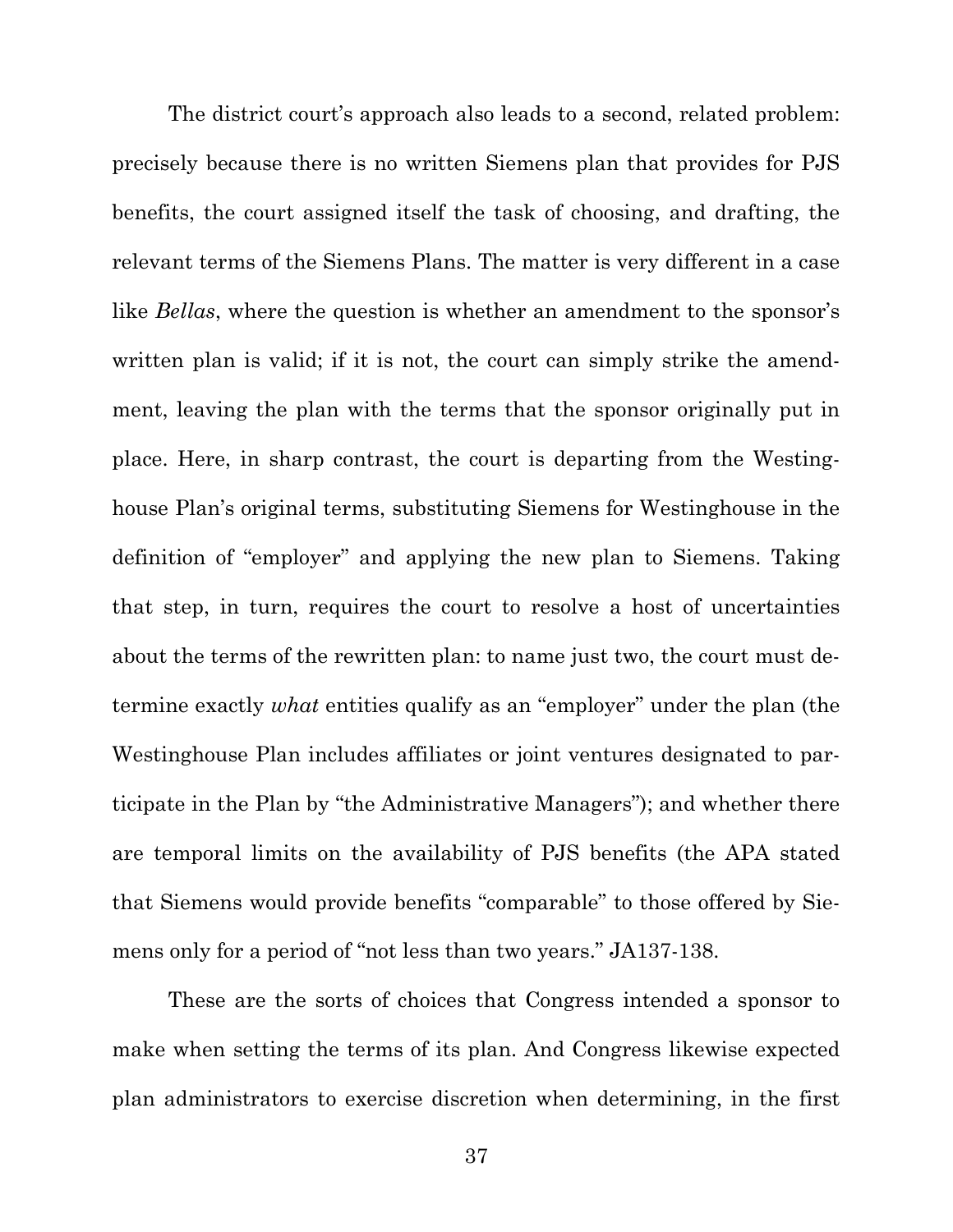The district court's approach also leads to a second, related problem: precisely because there is no written Siemens plan that provides for PJS benefits, the court assigned itself the task of choosing, and drafting, the relevant terms of the Siemens Plans. The matter is very different in a case like *Bellas*, where the question is whether an amendment to the sponsor's written plan is valid; if it is not, the court can simply strike the amendment, leaving the plan with the terms that the sponsor originally put in place. Here, in sharp contrast, the court is departing from the Westinghouse Plan's original terms, substituting Siemens for Westinghouse in the definition of "employer" and applying the new plan to Siemens. Taking that step, in turn, requires the court to resolve a host of uncertainties about the terms of the rewritten plan: to name just two, the court must determine exactly *what* entities qualify as an "employer" under the plan (the Westinghouse Plan includes affiliates or joint ventures designated to participate in the Plan by "the Administrative Managers"); and whether there are temporal limits on the availability of PJS benefits (the APA stated that Siemens would provide benefits "comparable" to those offered by Siemens only for a period of "not less than two years." JA137-138.

These are the sorts of choices that Congress intended a sponsor to make when setting the terms of its plan. And Congress likewise expected plan administrators to exercise discretion when determining, in the first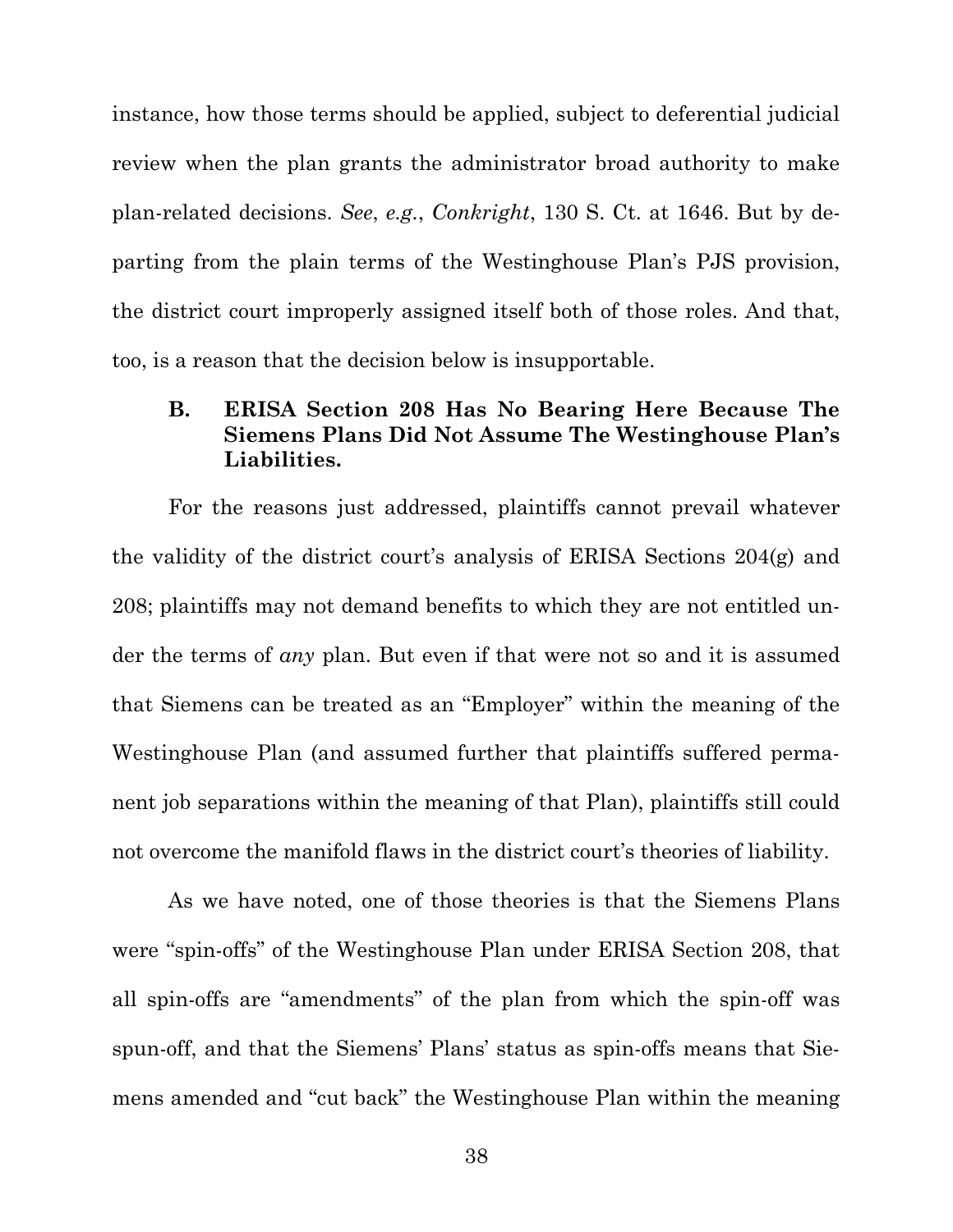instance, how those terms should be applied, subject to deferential judicial review when the plan grants the administrator broad authority to make plan-related decisions. *See*, *e.g.*, *Conkright*, 130 S. Ct. at 1646. But by departing from the plain terms of the Westinghouse Plan's PJS provision, the district court improperly assigned itself both of those roles. And that, too, is a reason that the decision below is insupportable.

# **B. ERISA Section 208 Has No Bearing Here Because The Siemens Plans Did Not Assume The Westinghouse Plan's Liabilities.**

For the reasons just addressed, plaintiffs cannot prevail whatever the validity of the district court's analysis of ERISA Sections 204(g) and 208; plaintiffs may not demand benefits to which they are not entitled under the terms of *any* plan. But even if that were not so and it is assumed that Siemens can be treated as an "Employer" within the meaning of the Westinghouse Plan (and assumed further that plaintiffs suffered permanent job separations within the meaning of that Plan), plaintiffs still could not overcome the manifold flaws in the district court's theories of liability.

As we have noted, one of those theories is that the Siemens Plans were "spin-offs" of the Westinghouse Plan under ERISA Section 208, that all spin-offs are "amendments" of the plan from which the spin-off was spun-off, and that the Siemens' Plans' status as spin-offs means that Siemens amended and "cut back" the Westinghouse Plan within the meaning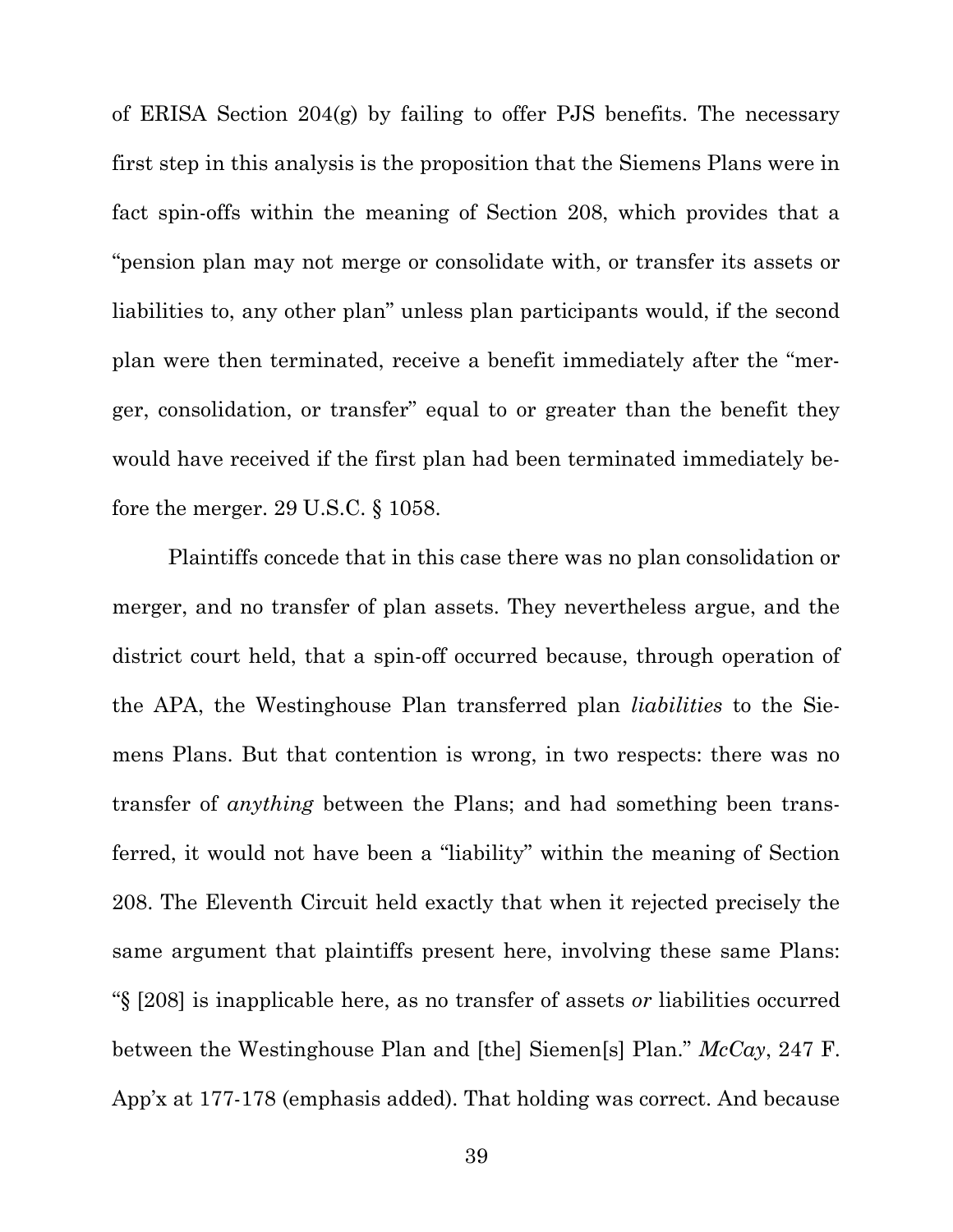of ERISA Section 204(g) by failing to offer PJS benefits. The necessary first step in this analysis is the proposition that the Siemens Plans were in fact spin-offs within the meaning of Section 208, which provides that a "pension plan may not merge or consolidate with, or transfer its assets or liabilities to, any other plan" unless plan participants would, if the second plan were then terminated, receive a benefit immediately after the "merger, consolidation, or transfer" equal to or greater than the benefit they would have received if the first plan had been terminated immediately before the merger. 29 U.S.C. § 1058.

Plaintiffs concede that in this case there was no plan consolidation or merger, and no transfer of plan assets. They nevertheless argue, and the district court held, that a spin-off occurred because, through operation of the APA, the Westinghouse Plan transferred plan *liabilities* to the Siemens Plans. But that contention is wrong, in two respects: there was no transfer of *anything* between the Plans; and had something been transferred, it would not have been a "liability" within the meaning of Section 208. The Eleventh Circuit held exactly that when it rejected precisely the same argument that plaintiffs present here, involving these same Plans: "§ [208] is inapplicable here, as no transfer of assets *or* liabilities occurred between the Westinghouse Plan and [the] Siemen[s] Plan." *McCay*, 247 F. App'x at 177-178 (emphasis added). That holding was correct. And because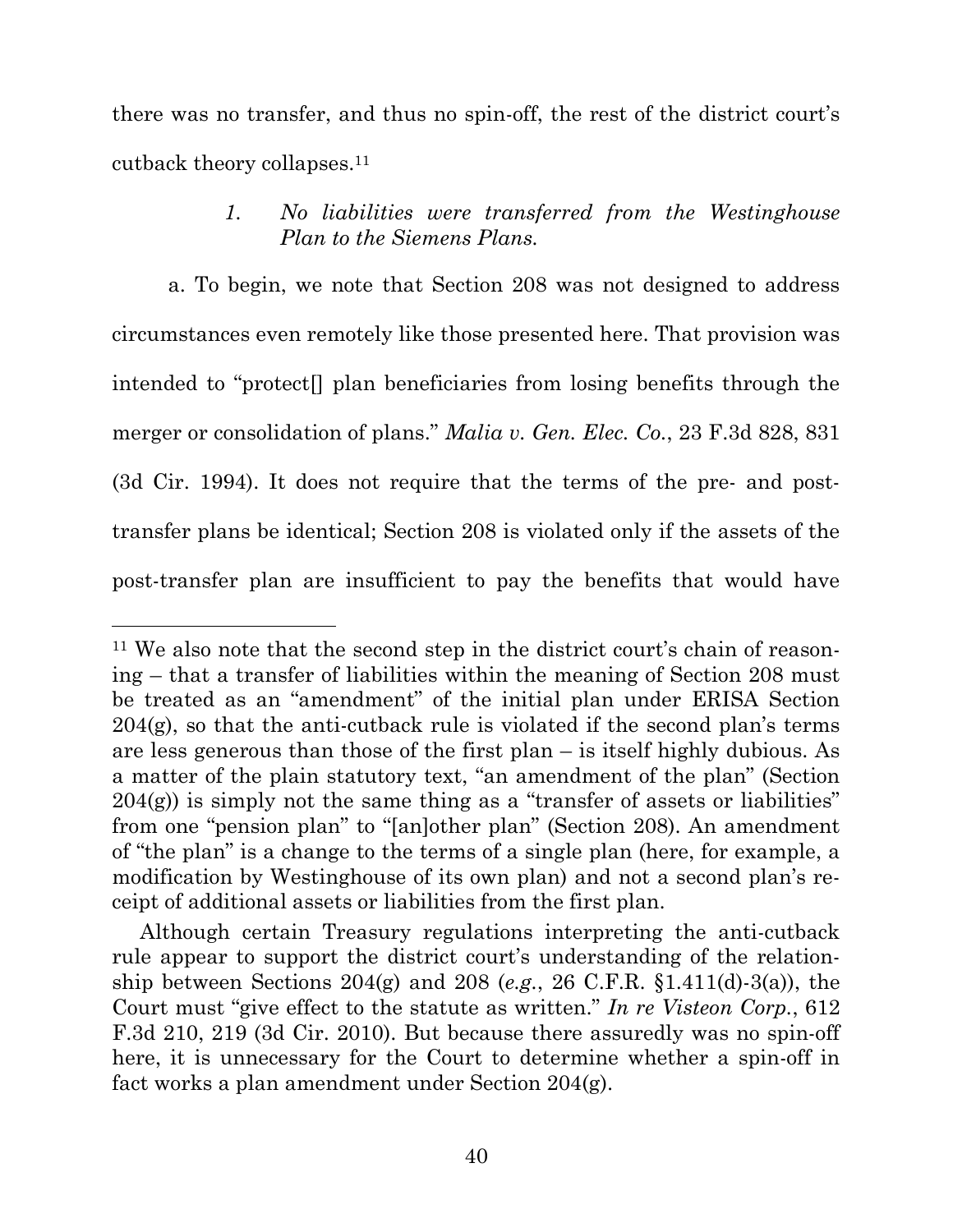there was no transfer, and thus no spin-off, the rest of the district court's cutback theory collapses.<sup>11</sup>

# *1. No liabilities were transferred from the Westinghouse Plan to the Siemens Plans.*

a. To begin, we note that Section 208 was not designed to address circumstances even remotely like those presented here. That provision was intended to "protect[] plan beneficiaries from losing benefits through the merger or consolidation of plans." *Malia v. Gen. Elec. Co.*, 23 F.3d 828, 831 (3d Cir. 1994). It does not require that the terms of the pre- and posttransfer plans be identical; Section 208 is violated only if the assets of the post-transfer plan are insufficient to pay the benefits that would have

<sup>11</sup> We also note that the second step in the district court's chain of reasoning – that a transfer of liabilities within the meaning of Section 208 must be treated as an "amendment" of the initial plan under ERISA Section 204(g), so that the anti-cutback rule is violated if the second plan's terms are less generous than those of the first plan – is itself highly dubious. As a matter of the plain statutory text, "an amendment of the plan" (Section  $204(g)$ ) is simply not the same thing as a "transfer of assets or liabilities" from one "pension plan" to "[an]other plan" (Section 208). An amendment of "the plan" is a change to the terms of a single plan (here, for example, a modification by Westinghouse of its own plan) and not a second plan's receipt of additional assets or liabilities from the first plan.

Although certain Treasury regulations interpreting the anti-cutback rule appear to support the district court's understanding of the relationship between Sections 204(g) and 208 (*e.g.*, 26 C.F.R. §1.411(d)-3(a)), the Court must "give effect to the statute as written." *In re Visteon Corp.*, 612 F.3d 210, 219 (3d Cir. 2010). But because there assuredly was no spin-off here, it is unnecessary for the Court to determine whether a spin-off in fact works a plan amendment under Section 204(g).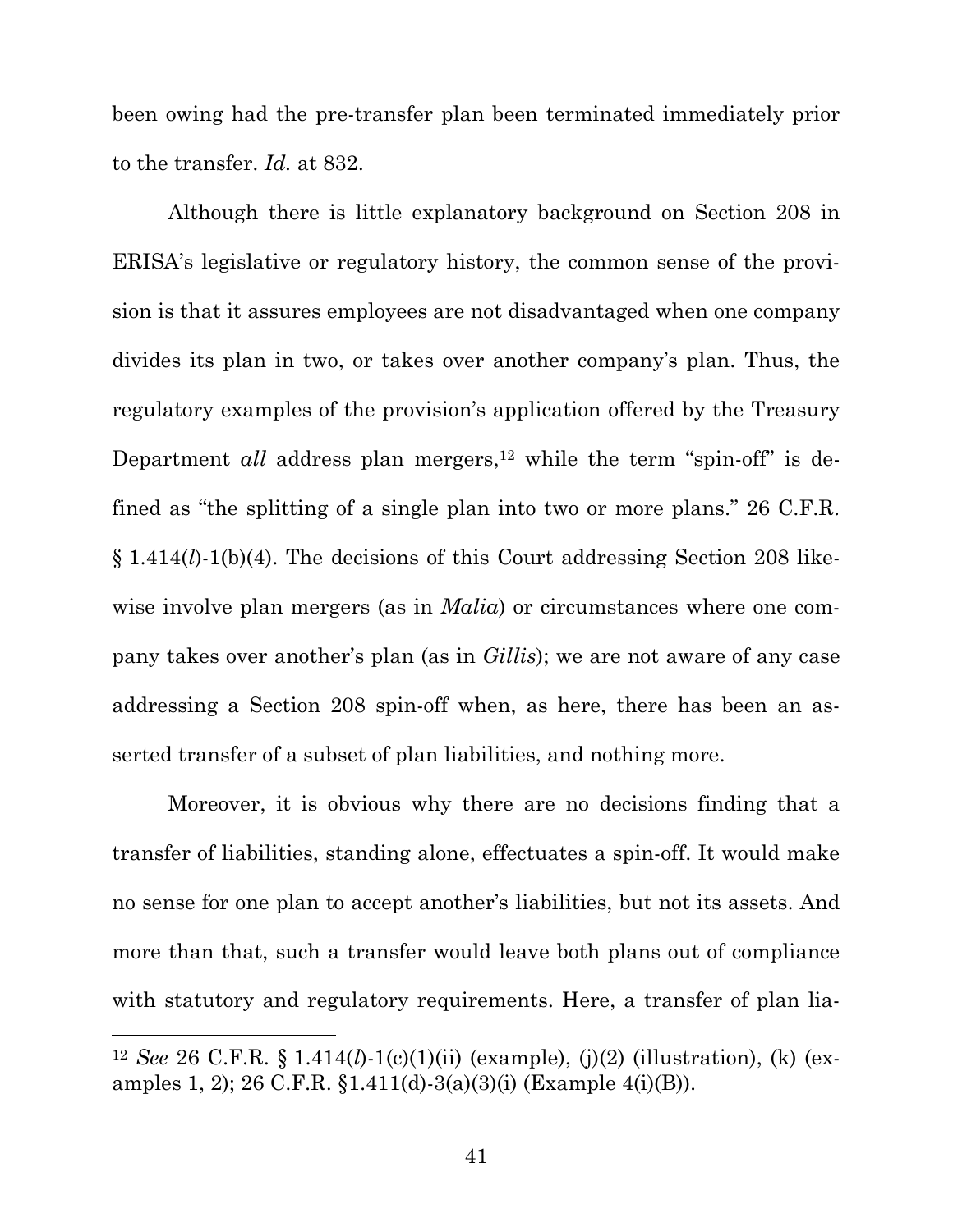been owing had the pre-transfer plan been terminated immediately prior to the transfer. *Id.* at 832.

Although there is little explanatory background on Section 208 in ERISA's legislative or regulatory history, the common sense of the provision is that it assures employees are not disadvantaged when one company divides its plan in two, or takes over another company's plan. Thus, the regulatory examples of the provision's application offered by the Treasury Department *all* address plan mergers,<sup>12</sup> while the term "spin-off" is defined as "the splitting of a single plan into two or more plans." 26 C.F.R. § 1.414(*l*)-1(b)(4). The decisions of this Court addressing Section 208 likewise involve plan mergers (as in *Malia*) or circumstances where one company takes over another's plan (as in *Gillis*); we are not aware of any case addressing a Section 208 spin-off when, as here, there has been an asserted transfer of a subset of plan liabilities, and nothing more.

Moreover, it is obvious why there are no decisions finding that a transfer of liabilities, standing alone, effectuates a spin-off. It would make no sense for one plan to accept another's liabilities, but not its assets. And more than that, such a transfer would leave both plans out of compliance with statutory and regulatory requirements. Here, a transfer of plan lia-

<sup>12</sup> *See* 26 C.F.R. § 1.414(*l*)-1(c)(1)(ii) (example), (j)(2) (illustration), (k) (examples 1, 2); 26 C.F.R. §1.411(d)-3(a)(3)(i) (Example 4(i)(B)).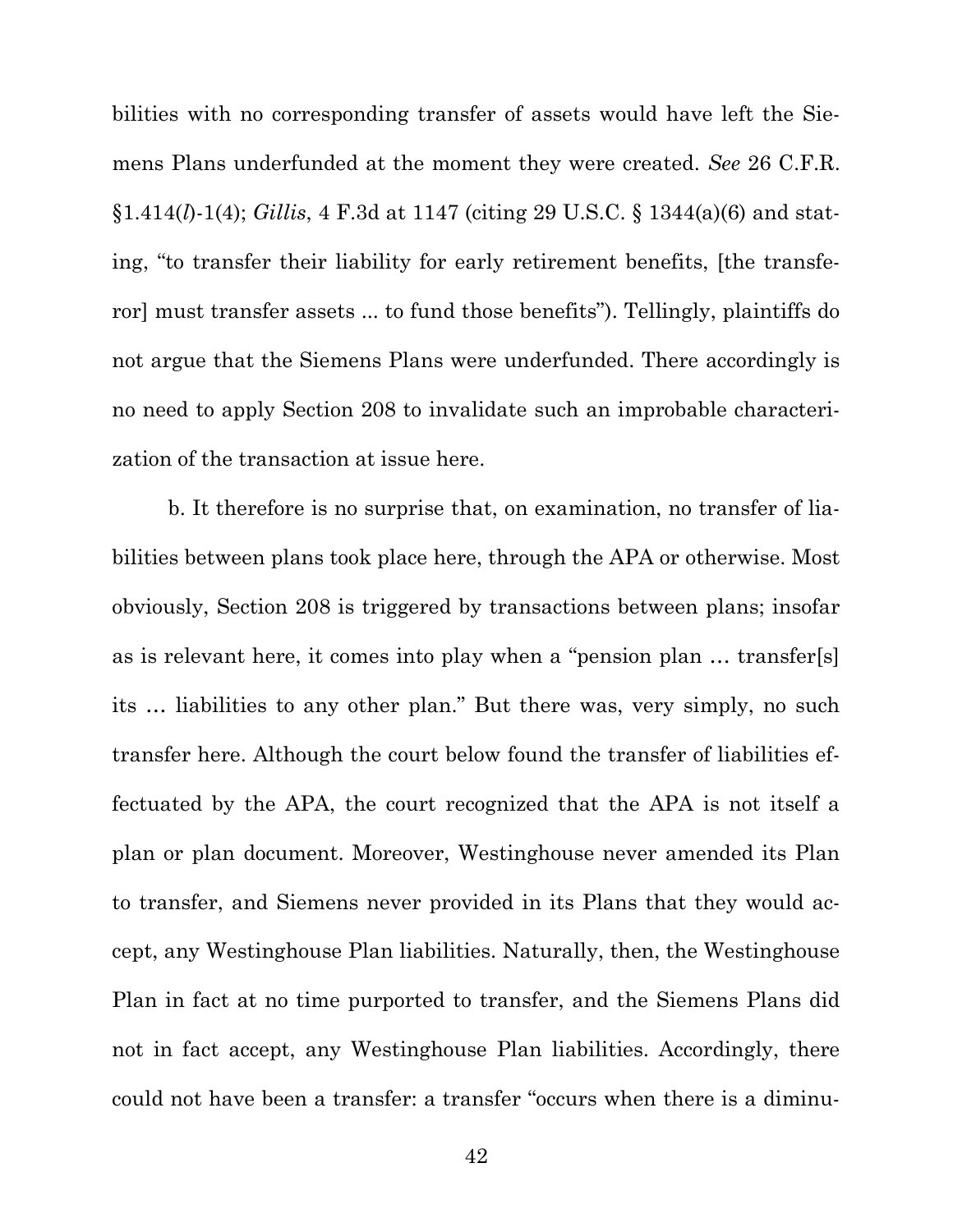bilities with no corresponding transfer of assets would have left the Siemens Plans underfunded at the moment they were created. *See* 26 C.F.R. §1.414(*l*)-1(4); *Gillis*, 4 F.3d at 1147 (citing 29 U.S.C. § 1344(a)(6) and stating, "to transfer their liability for early retirement benefits, [the transferor] must transfer assets ... to fund those benefits"). Tellingly, plaintiffs do not argue that the Siemens Plans were underfunded. There accordingly is no need to apply Section 208 to invalidate such an improbable characterization of the transaction at issue here.

b. It therefore is no surprise that, on examination, no transfer of liabilities between plans took place here, through the APA or otherwise. Most obviously, Section 208 is triggered by transactions between plans; insofar as is relevant here, it comes into play when a "pension plan … transfer[s] its … liabilities to any other plan." But there was, very simply, no such transfer here. Although the court below found the transfer of liabilities effectuated by the APA, the court recognized that the APA is not itself a plan or plan document. Moreover, Westinghouse never amended its Plan to transfer, and Siemens never provided in its Plans that they would accept, any Westinghouse Plan liabilities. Naturally, then, the Westinghouse Plan in fact at no time purported to transfer, and the Siemens Plans did not in fact accept, any Westinghouse Plan liabilities. Accordingly, there could not have been a transfer: a transfer "occurs when there is a diminu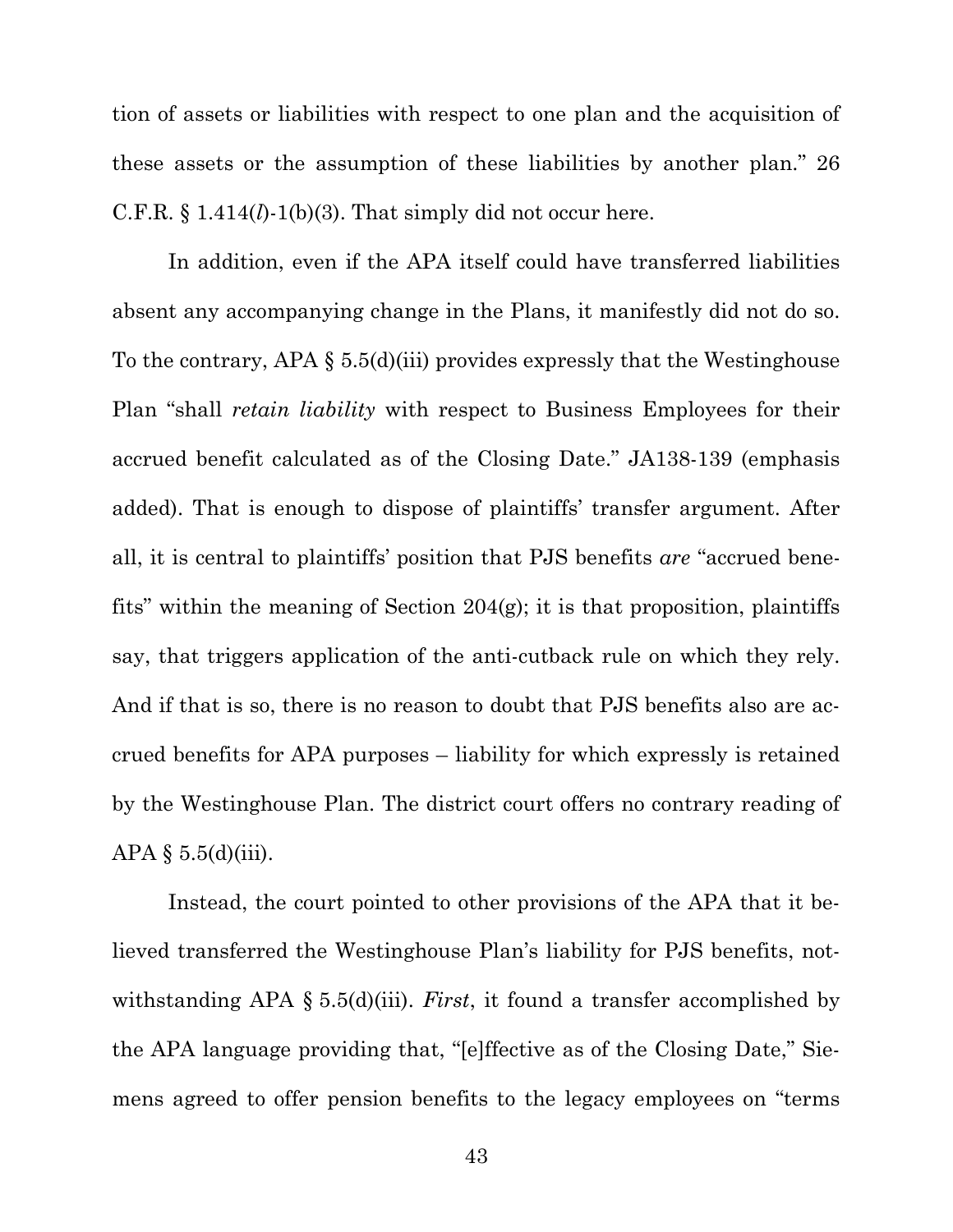tion of assets or liabilities with respect to one plan and the acquisition of these assets or the assumption of these liabilities by another plan." 26 C.F.R. § 1.414(*l*)-1(b)(3). That simply did not occur here.

In addition, even if the APA itself could have transferred liabilities absent any accompanying change in the Plans, it manifestly did not do so. To the contrary, APA § 5.5(d)(iii) provides expressly that the Westinghouse Plan "shall *retain liability* with respect to Business Employees for their accrued benefit calculated as of the Closing Date." JA138-139 (emphasis added). That is enough to dispose of plaintiffs' transfer argument. After all, it is central to plaintiffs' position that PJS benefits *are* "accrued benefits" within the meaning of Section 204(g); it is that proposition, plaintiffs say, that triggers application of the anti-cutback rule on which they rely. And if that is so, there is no reason to doubt that PJS benefits also are accrued benefits for APA purposes – liability for which expressly is retained by the Westinghouse Plan. The district court offers no contrary reading of APA  $\S$  5.5(d)(iii).

Instead, the court pointed to other provisions of the APA that it believed transferred the Westinghouse Plan's liability for PJS benefits, notwithstanding APA § 5.5(d)(iii). *First*, it found a transfer accomplished by the APA language providing that, "[e]ffective as of the Closing Date," Siemens agreed to offer pension benefits to the legacy employees on "terms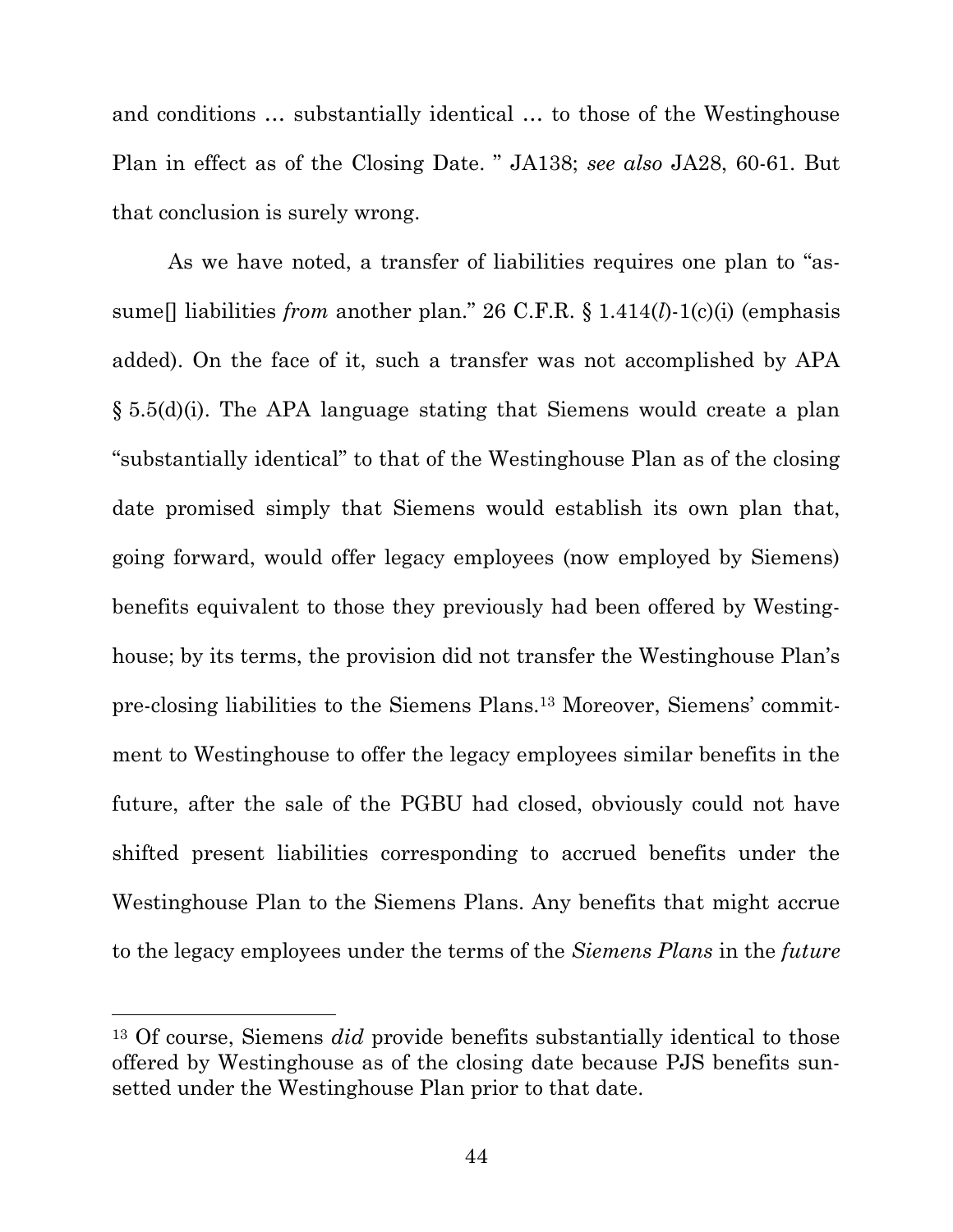and conditions … substantially identical … to those of the Westinghouse Plan in effect as of the Closing Date. " JA138; *see also* JA28, 60-61. But that conclusion is surely wrong.

As we have noted, a transfer of liabilities requires one plan to "assume[] liabilities *from* another plan." 26 C.F.R. § 1.414(*l*)-1(c)(i) (emphasis added). On the face of it, such a transfer was not accomplished by APA § 5.5(d)(i). The APA language stating that Siemens would create a plan "substantially identical" to that of the Westinghouse Plan as of the closing date promised simply that Siemens would establish its own plan that, going forward, would offer legacy employees (now employed by Siemens) benefits equivalent to those they previously had been offered by Westinghouse; by its terms, the provision did not transfer the Westinghouse Plan's pre-closing liabilities to the Siemens Plans.<sup>13</sup> Moreover, Siemens' commitment to Westinghouse to offer the legacy employees similar benefits in the future, after the sale of the PGBU had closed, obviously could not have shifted present liabilities corresponding to accrued benefits under the Westinghouse Plan to the Siemens Plans. Any benefits that might accrue to the legacy employees under the terms of the *Siemens Plans* in the *future*

<sup>13</sup> Of course, Siemens *did* provide benefits substantially identical to those offered by Westinghouse as of the closing date because PJS benefits sunsetted under the Westinghouse Plan prior to that date.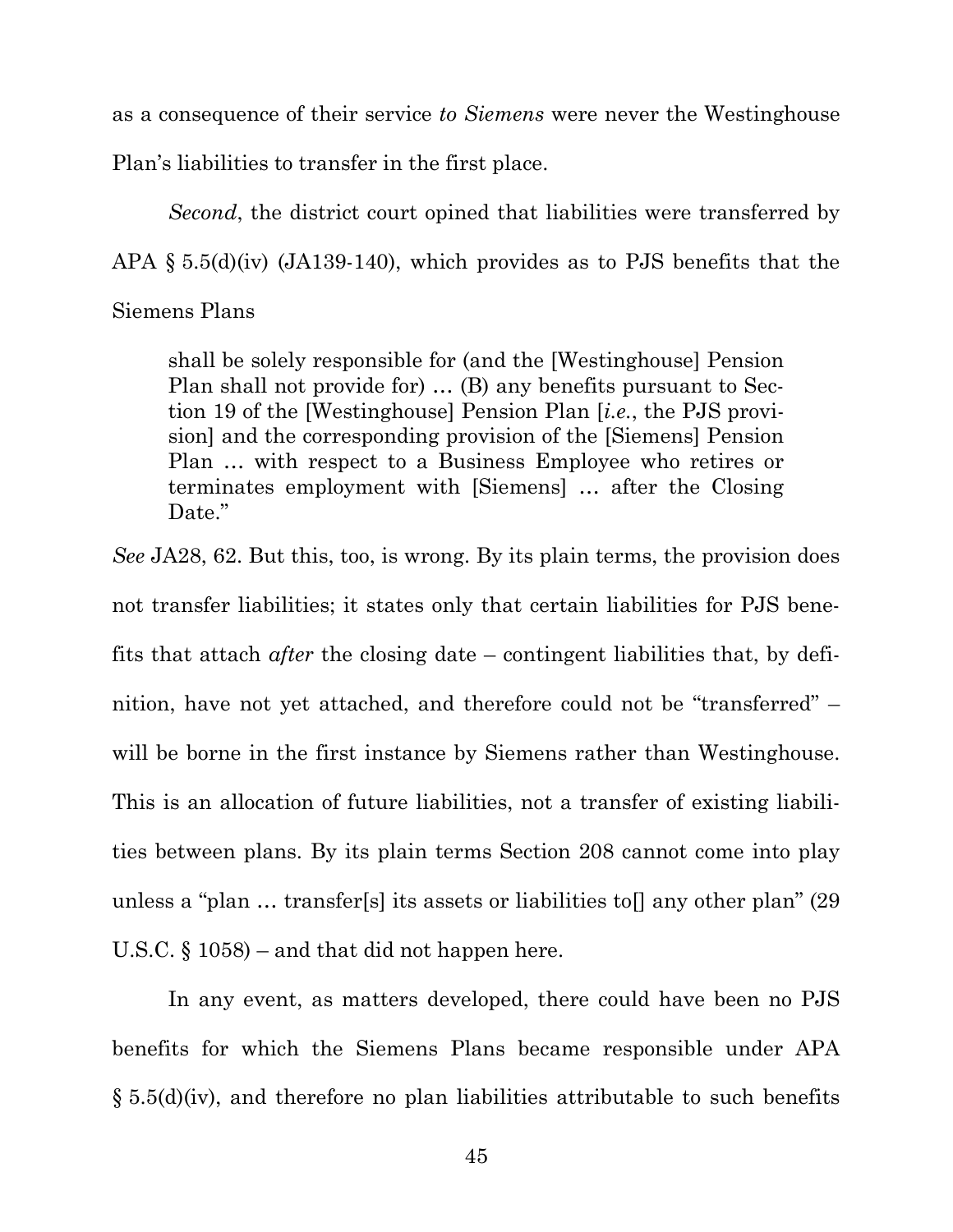as a consequence of their service *to Siemens* were never the Westinghouse

Plan's liabilities to transfer in the first place.

*Second*, the district court opined that liabilities were transferred by APA § 5.5(d)(iv) (JA139-140), which provides as to PJS benefits that the Siemens Plans

shall be solely responsible for (and the [Westinghouse] Pension Plan shall not provide for) … (B) any benefits pursuant to Section 19 of the [Westinghouse] Pension Plan [*i.e.*, the PJS provision] and the corresponding provision of the [Siemens] Pension Plan … with respect to a Business Employee who retires or terminates employment with [Siemens] … after the Closing Date."

*See* JA28, 62. But this, too, is wrong. By its plain terms, the provision does not transfer liabilities; it states only that certain liabilities for PJS benefits that attach *after* the closing date – contingent liabilities that, by definition, have not yet attached, and therefore could not be "transferred" – will be borne in the first instance by Siemens rather than Westinghouse. This is an allocation of future liabilities, not a transfer of existing liabilities between plans. By its plain terms Section 208 cannot come into play unless a "plan … transfer[s] its assets or liabilities to[] any other plan" (29 U.S.C. § 1058) – and that did not happen here.

In any event, as matters developed, there could have been no PJS benefits for which the Siemens Plans became responsible under APA § 5.5(d)(iv), and therefore no plan liabilities attributable to such benefits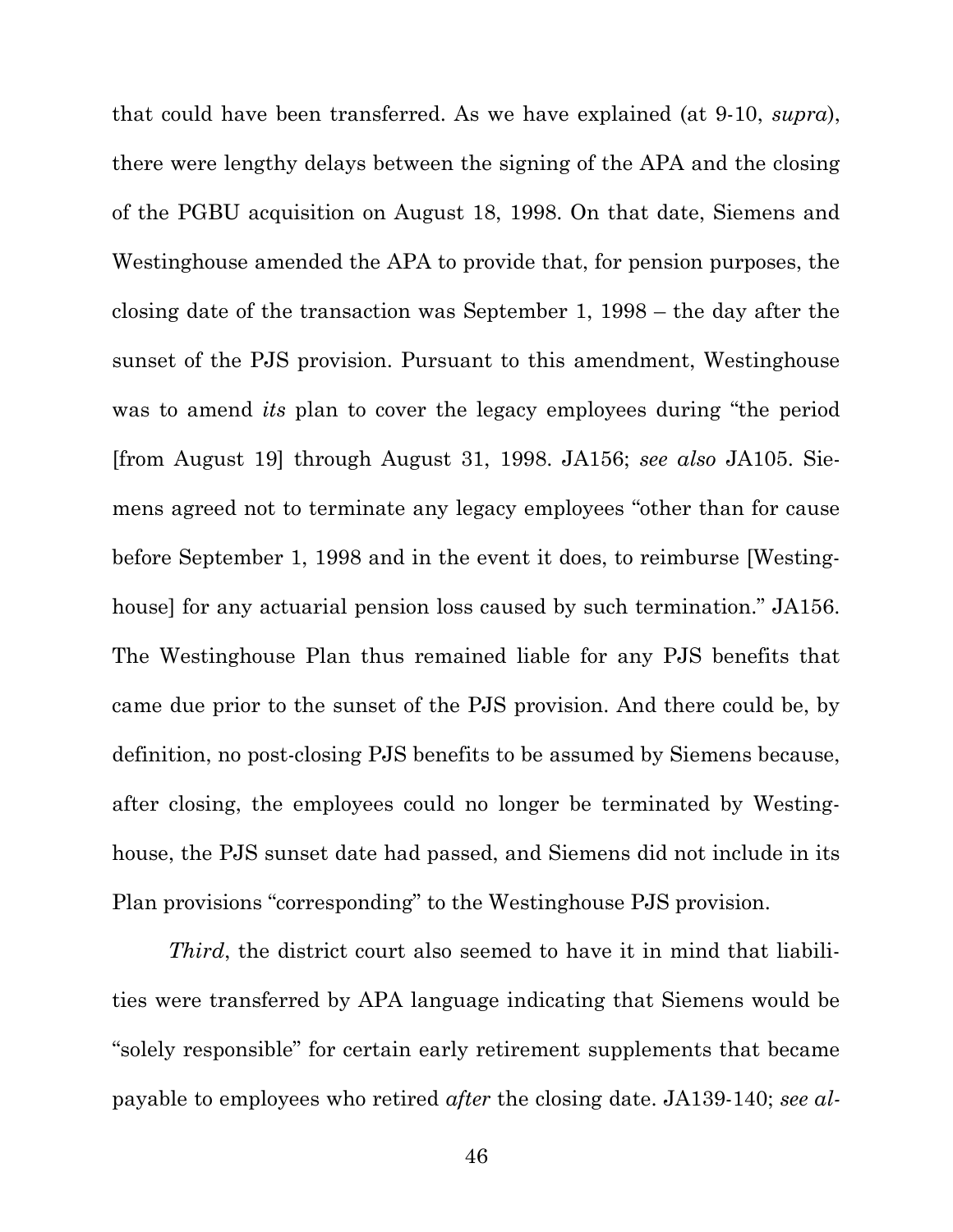that could have been transferred. As we have explained (at 9-10, *supra*), there were lengthy delays between the signing of the APA and the closing of the PGBU acquisition on August 18, 1998. On that date, Siemens and Westinghouse amended the APA to provide that, for pension purposes, the closing date of the transaction was September 1, 1998 – the day after the sunset of the PJS provision. Pursuant to this amendment, Westinghouse was to amend *its* plan to cover the legacy employees during "the period [from August 19] through August 31, 1998. JA156; *see also* JA105. Siemens agreed not to terminate any legacy employees "other than for cause before September 1, 1998 and in the event it does, to reimburse [Westinghouse] for any actuarial pension loss caused by such termination." JA156. The Westinghouse Plan thus remained liable for any PJS benefits that came due prior to the sunset of the PJS provision. And there could be, by definition, no post-closing PJS benefits to be assumed by Siemens because, after closing, the employees could no longer be terminated by Westinghouse, the PJS sunset date had passed, and Siemens did not include in its Plan provisions "corresponding" to the Westinghouse PJS provision.

*Third*, the district court also seemed to have it in mind that liabilities were transferred by APA language indicating that Siemens would be "solely responsible" for certain early retirement supplements that became payable to employees who retired *after* the closing date. JA139-140; *see al-*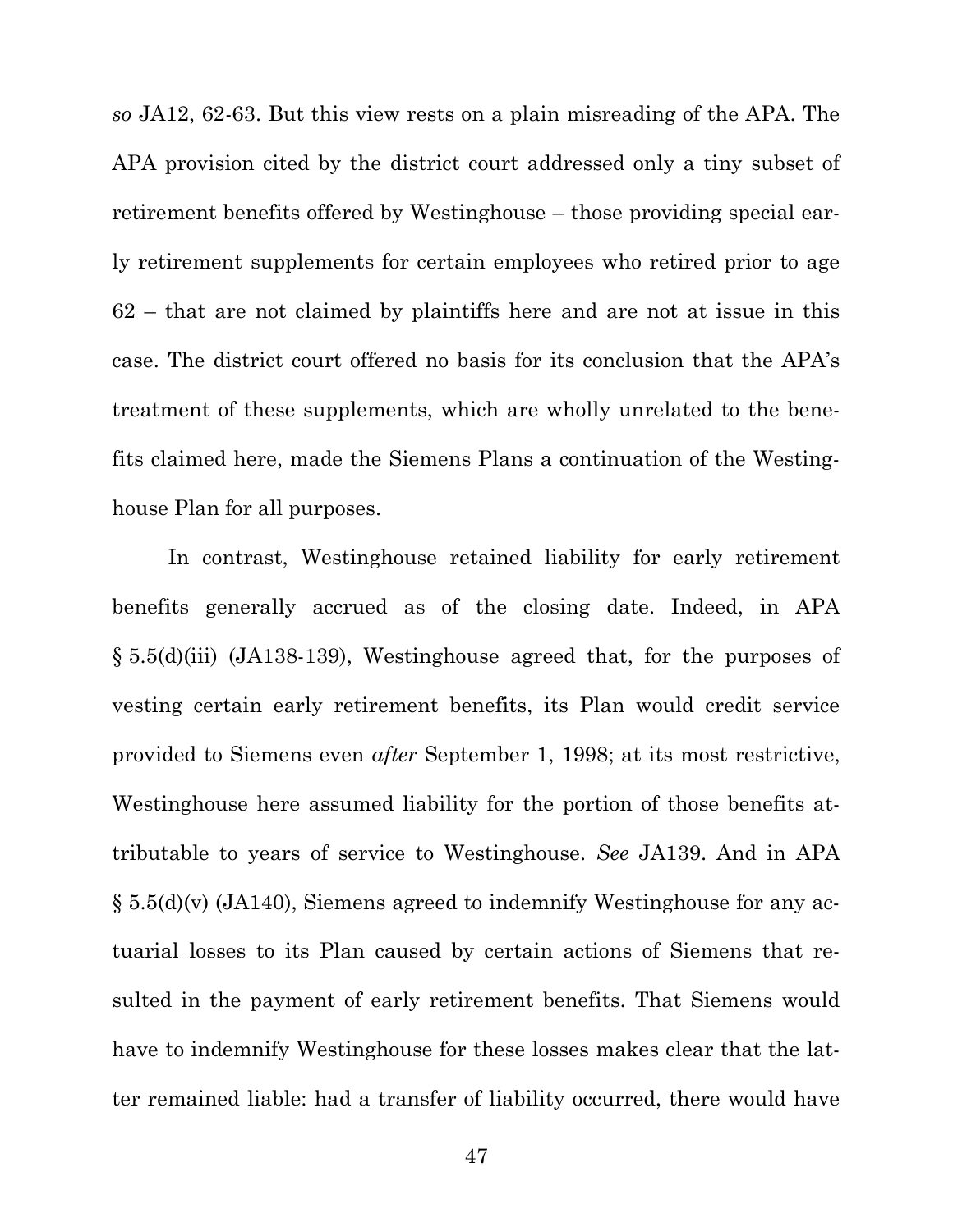*so* JA12, 62-63. But this view rests on a plain misreading of the APA. The APA provision cited by the district court addressed only a tiny subset of retirement benefits offered by Westinghouse – those providing special early retirement supplements for certain employees who retired prior to age 62 – that are not claimed by plaintiffs here and are not at issue in this case. The district court offered no basis for its conclusion that the APA's treatment of these supplements, which are wholly unrelated to the benefits claimed here, made the Siemens Plans a continuation of the Westinghouse Plan for all purposes.

In contrast, Westinghouse retained liability for early retirement benefits generally accrued as of the closing date. Indeed, in APA § 5.5(d)(iii) (JA138-139), Westinghouse agreed that, for the purposes of vesting certain early retirement benefits, its Plan would credit service provided to Siemens even *after* September 1, 1998; at its most restrictive, Westinghouse here assumed liability for the portion of those benefits attributable to years of service to Westinghouse. *See* JA139. And in APA § 5.5(d)(v) (JA140), Siemens agreed to indemnify Westinghouse for any actuarial losses to its Plan caused by certain actions of Siemens that resulted in the payment of early retirement benefits. That Siemens would have to indemnify Westinghouse for these losses makes clear that the latter remained liable: had a transfer of liability occurred, there would have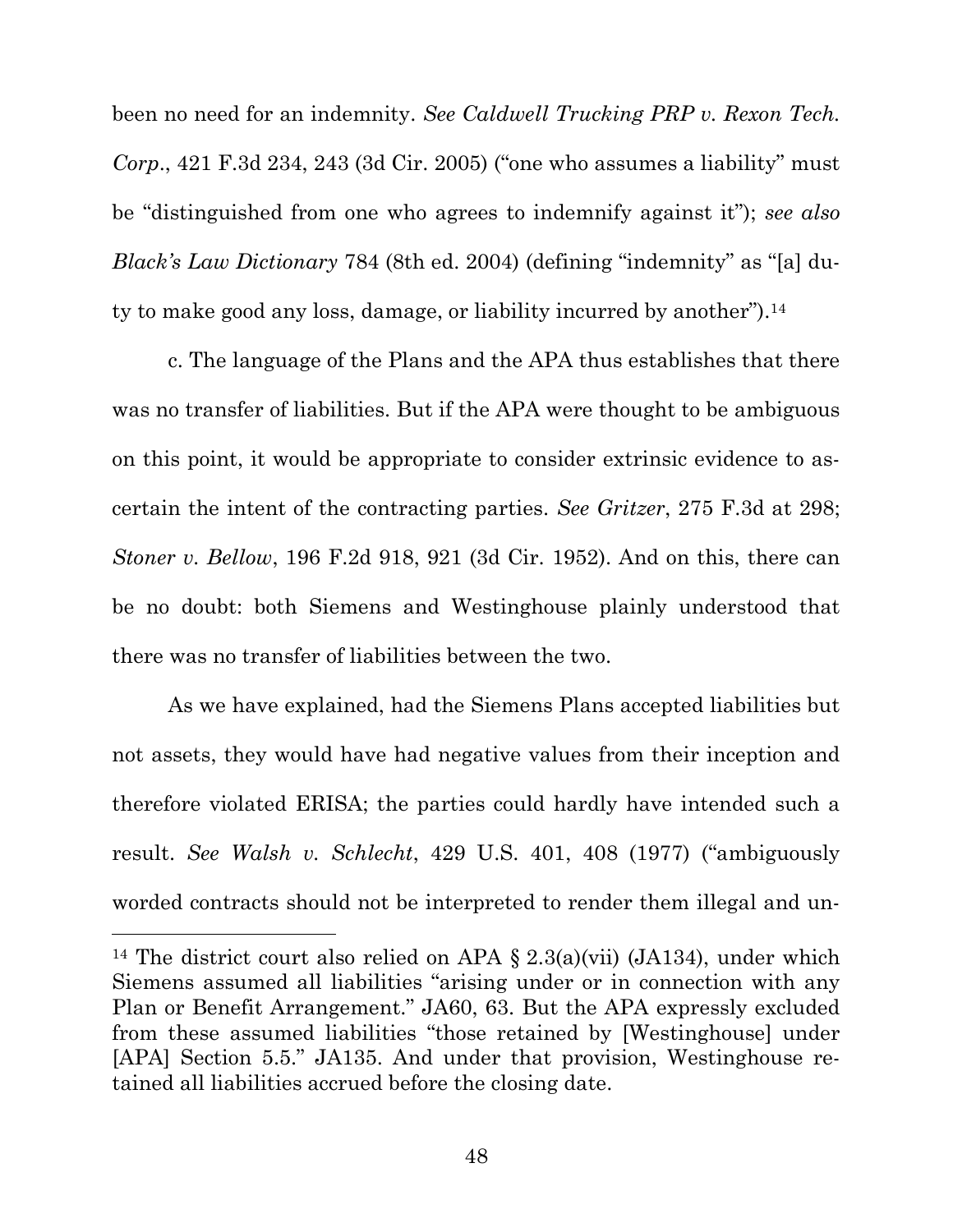been no need for an indemnity. *See Caldwell Trucking PRP v. Rexon Tech. Corp*., 421 F.3d 234, 243 (3d Cir. 2005) ("one who assumes a liability" must be "distinguished from one who agrees to indemnify against it"); *see also Black's Law Dictionary* 784 (8th ed. 2004) (defining "indemnity" as "[a] duty to make good any loss, damage, or liability incurred by another").<sup>14</sup>

c. The language of the Plans and the APA thus establishes that there was no transfer of liabilities. But if the APA were thought to be ambiguous on this point, it would be appropriate to consider extrinsic evidence to ascertain the intent of the contracting parties. *See Gritzer*, 275 F.3d at 298; *Stoner v. Bellow*, 196 F.2d 918, 921 (3d Cir. 1952). And on this, there can be no doubt: both Siemens and Westinghouse plainly understood that there was no transfer of liabilities between the two.

As we have explained, had the Siemens Plans accepted liabilities but not assets, they would have had negative values from their inception and therefore violated ERISA; the parties could hardly have intended such a result. *See Walsh v. Schlecht*, 429 U.S. 401, 408 (1977) ("ambiguously worded contracts should not be interpreted to render them illegal and un-

<sup>&</sup>lt;sup>14</sup> The district court also relied on APA  $\S 2.3(a)(vii)$  (JA134), under which Siemens assumed all liabilities "arising under or in connection with any Plan or Benefit Arrangement." JA60, 63. But the APA expressly excluded from these assumed liabilities "those retained by [Westinghouse] under [APA] Section 5.5." JA135. And under that provision, Westinghouse retained all liabilities accrued before the closing date.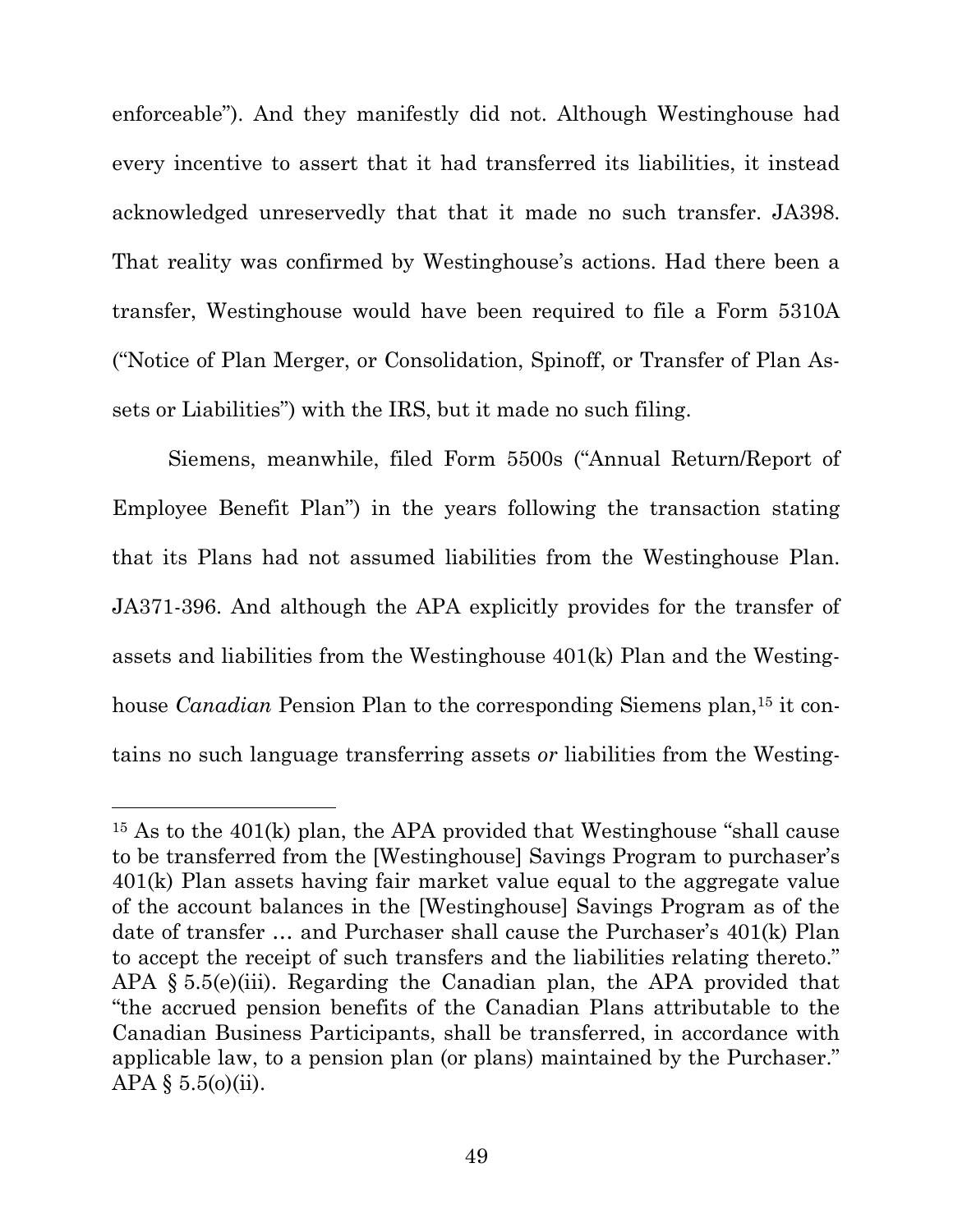enforceable"). And they manifestly did not. Although Westinghouse had every incentive to assert that it had transferred its liabilities, it instead acknowledged unreservedly that that it made no such transfer. JA398. That reality was confirmed by Westinghouse's actions. Had there been a transfer, Westinghouse would have been required to file a Form 5310A ("Notice of Plan Merger, or Consolidation, Spinoff, or Transfer of Plan Assets or Liabilities") with the IRS, but it made no such filing.

Siemens, meanwhile, filed Form 5500s ("Annual Return/Report of Employee Benefit Plan") in the years following the transaction stating that its Plans had not assumed liabilities from the Westinghouse Plan. JA371-396. And although the APA explicitly provides for the transfer of assets and liabilities from the Westinghouse 401(k) Plan and the Westinghouse *Canadian* Pension Plan to the corresponding Siemens plan,<sup>15</sup> it contains no such language transferring assets *or* liabilities from the Westing-

<sup>15</sup> As to the 401(k) plan, the APA provided that Westinghouse "shall cause to be transferred from the [Westinghouse] Savings Program to purchaser's 401(k) Plan assets having fair market value equal to the aggregate value of the account balances in the [Westinghouse] Savings Program as of the date of transfer … and Purchaser shall cause the Purchaser's 401(k) Plan to accept the receipt of such transfers and the liabilities relating thereto." APA § 5.5(e)(iii). Regarding the Canadian plan, the APA provided that "the accrued pension benefits of the Canadian Plans attributable to the Canadian Business Participants, shall be transferred, in accordance with applicable law, to a pension plan (or plans) maintained by the Purchaser."  $APA § 5.5(0)(ii).$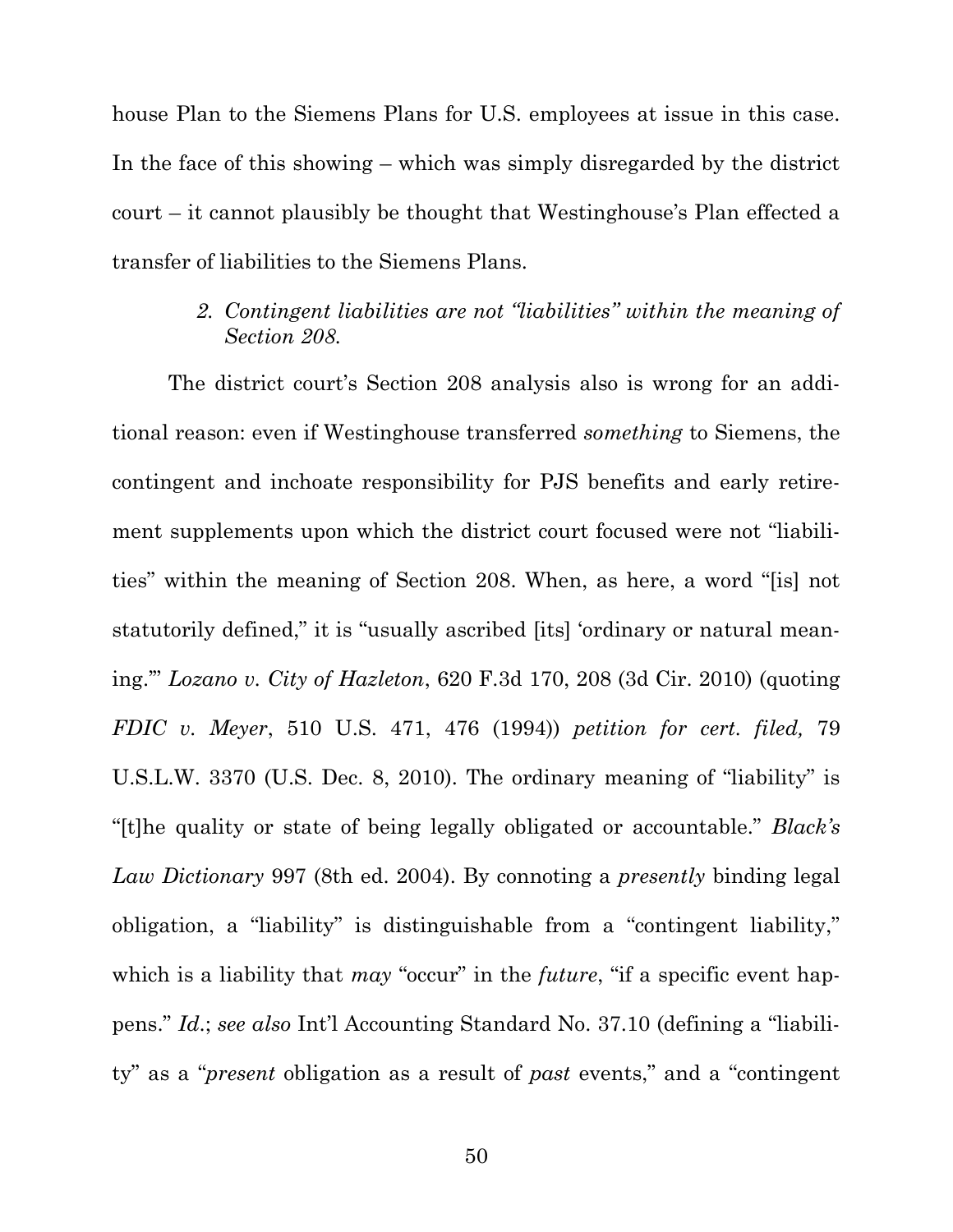house Plan to the Siemens Plans for U.S. employees at issue in this case. In the face of this showing – which was simply disregarded by the district court – it cannot plausibly be thought that Westinghouse's Plan effected a transfer of liabilities to the Siemens Plans.

### *2. Contingent liabilities are not "liabilities" within the meaning of Section 208.*

The district court's Section 208 analysis also is wrong for an additional reason: even if Westinghouse transferred *something* to Siemens, the contingent and inchoate responsibility for PJS benefits and early retirement supplements upon which the district court focused were not "liabilities" within the meaning of Section 208. When, as here, a word "[is] not statutorily defined," it is "usually ascribed [its] 'ordinary or natural meaning.'" *Lozano v. City of Hazleton*, 620 F.3d 170, 208 (3d Cir. 2010) (quoting *FDIC v. Meyer*, 510 U.S. 471, 476 (1994)) *petition for cert. filed,* 79 U.S.L.W. 3370 (U.S. Dec. 8, 2010). The ordinary meaning of "liability" is "[t]he quality or state of being legally obligated or accountable." *Black's Law Dictionary* 997 (8th ed. 2004). By connoting a *presently* binding legal obligation, a "liability" is distinguishable from a "contingent liability," which is a liability that *may* "occur" in the *future*, "if a specific event happens." *Id*.; *see also* Int'l Accounting Standard No. 37.10 (defining a "liability" as a "*present* obligation as a result of *past* events," and a "contingent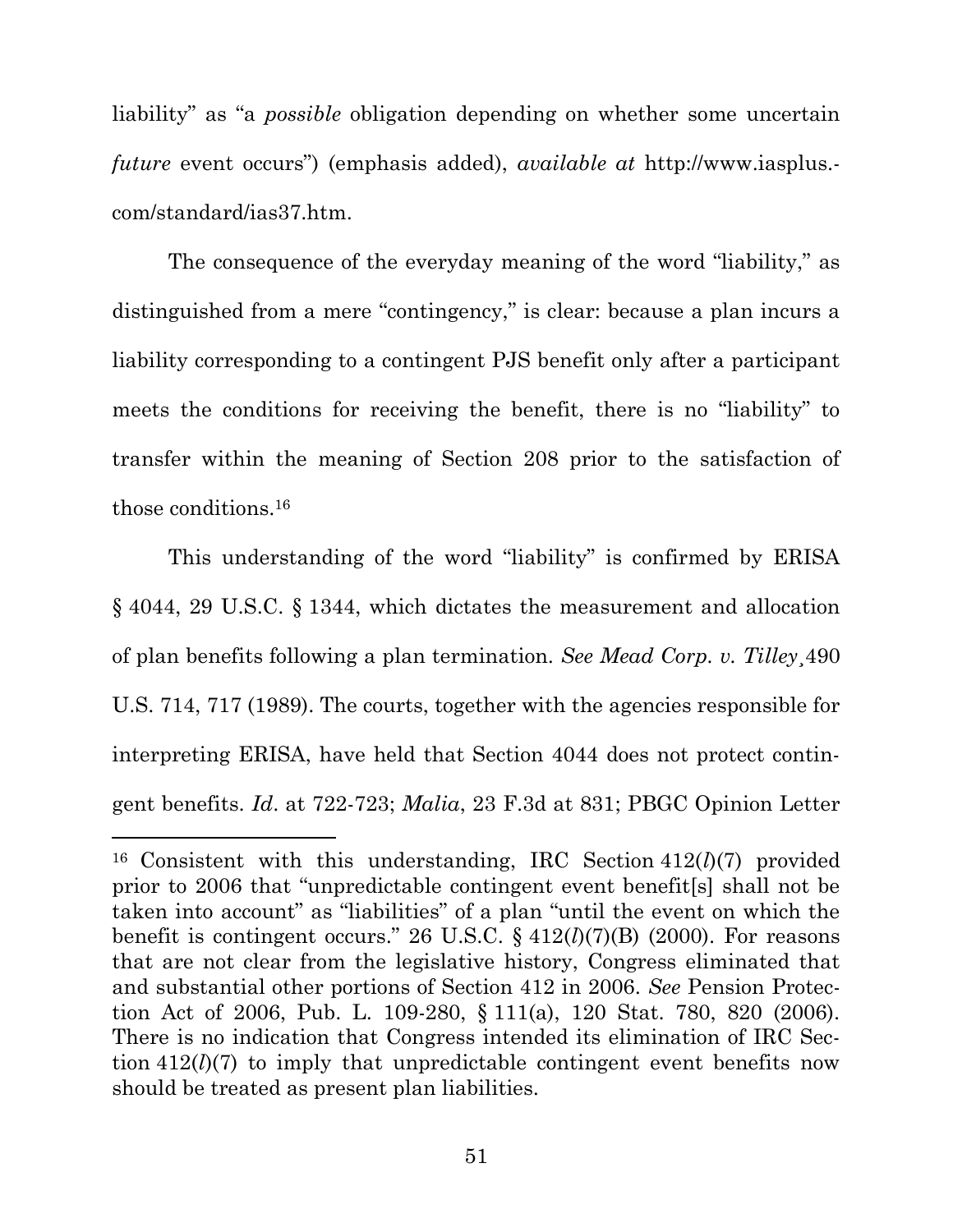liability" as "a *possible* obligation depending on whether some uncertain *future* event occurs") (emphasis added), *available at* http://www.iasplus. com/standard/ias37.htm.

The consequence of the everyday meaning of the word "liability," as distinguished from a mere "contingency," is clear: because a plan incurs a liability corresponding to a contingent PJS benefit only after a participant meets the conditions for receiving the benefit, there is no "liability" to transfer within the meaning of Section 208 prior to the satisfaction of those conditions.<sup>16</sup>

This understanding of the word "liability" is confirmed by ERISA § 4044, 29 U.S.C. § 1344, which dictates the measurement and allocation of plan benefits following a plan termination. *See Mead Corp. v. Tilley*¸490 U.S. 714, 717 (1989). The courts, together with the agencies responsible for interpreting ERISA, have held that Section 4044 does not protect contingent benefits. *Id*. at 722-723; *Malia*, 23 F.3d at 831; PBGC Opinion Letter

<sup>16</sup> Consistent with this understanding, IRC Section 412(*l*)(7) provided prior to 2006 that "unpredictable contingent event benefit[s] shall not be taken into account" as "liabilities" of a plan "until the event on which the benefit is contingent occurs." 26 U.S.C.  $\S$  412( $l$ )( $7$ )( $B$ ) (2000). For reasons that are not clear from the legislative history, Congress eliminated that and substantial other portions of Section 412 in 2006. *See* Pension Protection Act of 2006, Pub. L. 109-280, § 111(a), 120 Stat. 780, 820 (2006). There is no indication that Congress intended its elimination of IRC Section 412(*l*)(7) to imply that unpredictable contingent event benefits now should be treated as present plan liabilities.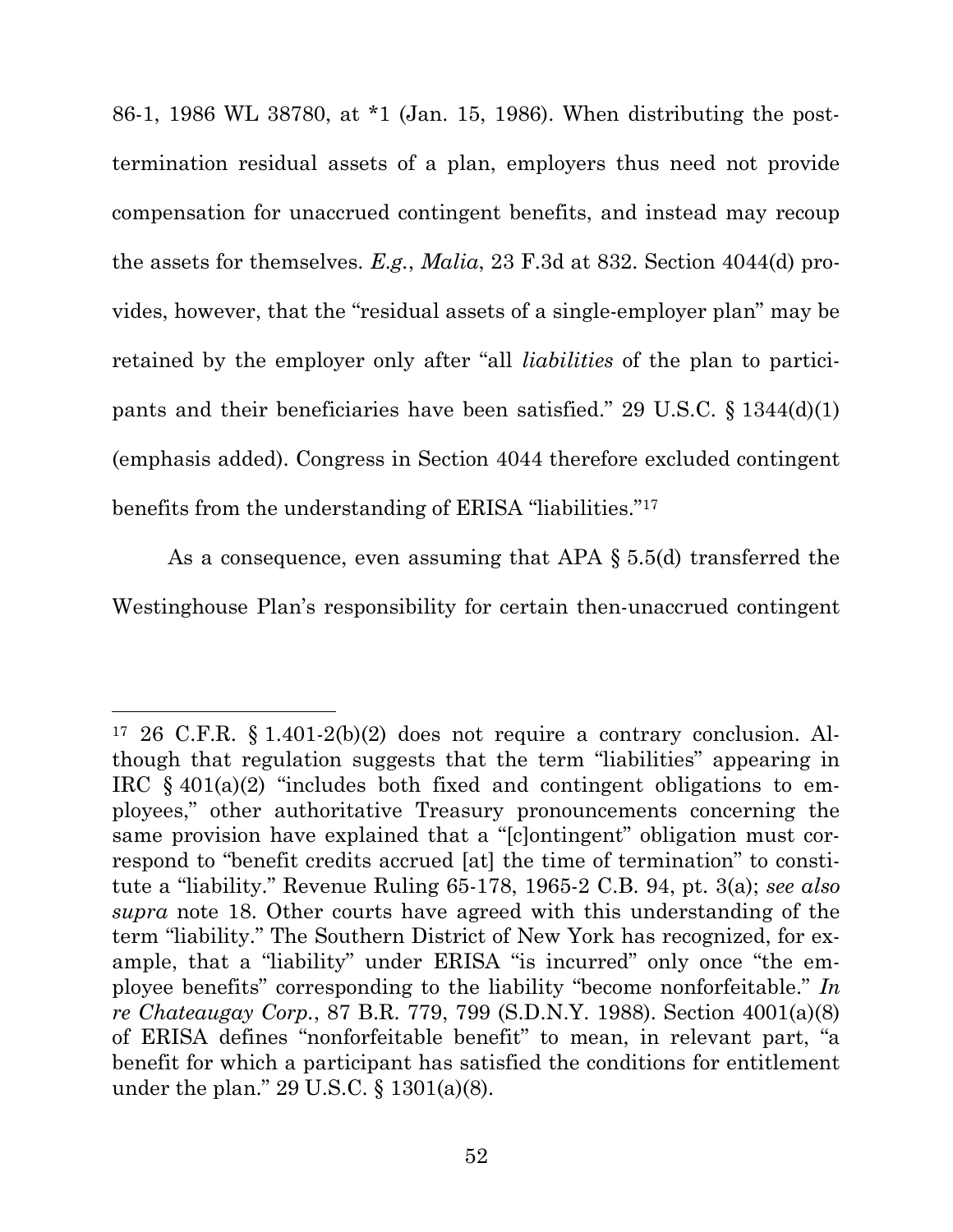86-1, 1986 WL 38780, at \*1 (Jan. 15, 1986). When distributing the posttermination residual assets of a plan, employers thus need not provide compensation for unaccrued contingent benefits, and instead may recoup the assets for themselves. *E.g.*, *Malia*, 23 F.3d at 832. Section 4044(d) provides, however, that the "residual assets of a single-employer plan" may be retained by the employer only after "all *liabilities* of the plan to participants and their beneficiaries have been satisfied." 29 U.S.C. § 1344(d)(1) (emphasis added). Congress in Section 4044 therefore excluded contingent benefits from the understanding of ERISA "liabilities."<sup>17</sup>

As a consequence, even assuming that APA § 5.5(d) transferred the Westinghouse Plan's responsibility for certain then-unaccrued contingent

<sup>17</sup> 26 C.F.R. § 1.401-2(b)(2) does not require a contrary conclusion. Although that regulation suggests that the term "liabilities" appearing in IRC  $\S$  401(a)(2) "includes both fixed and contingent obligations to employees," other authoritative Treasury pronouncements concerning the same provision have explained that a "[c]ontingent" obligation must correspond to "benefit credits accrued [at] the time of termination" to constitute a "liability." Revenue Ruling 65-178, 1965-2 C.B. 94, pt. 3(a); *see also supra* note 18. Other courts have agreed with this understanding of the term "liability." The Southern District of New York has recognized, for example, that a "liability" under ERISA "is incurred" only once "the employee benefits" corresponding to the liability "become nonforfeitable." *In re Chateaugay Corp.*, 87 B.R. 779, 799 (S.D.N.Y. 1988). Section 4001(a)(8) of ERISA defines "nonforfeitable benefit" to mean, in relevant part, "a benefit for which a participant has satisfied the conditions for entitlement under the plan." 29 U.S.C. § 1301(a)(8).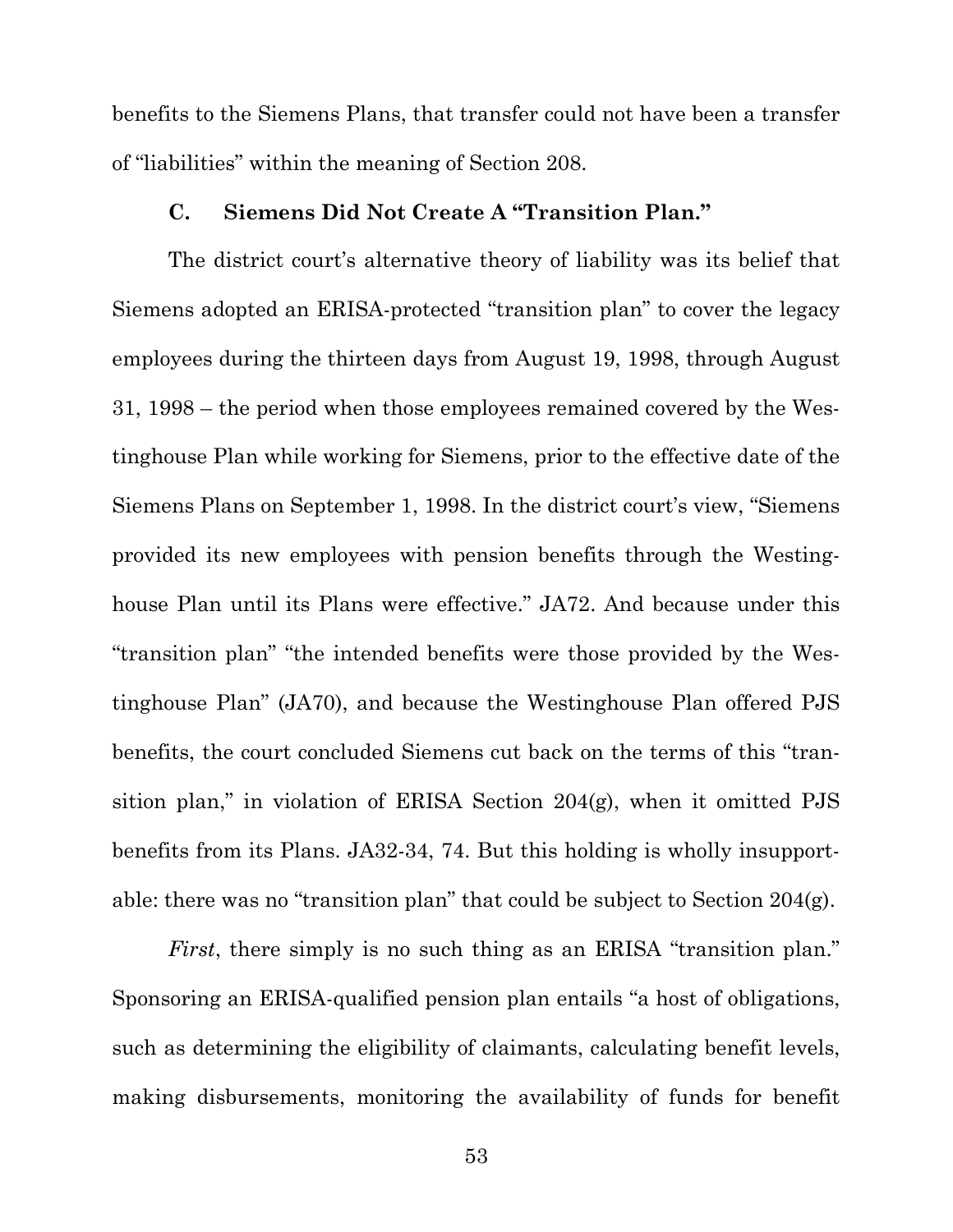benefits to the Siemens Plans, that transfer could not have been a transfer of "liabilities" within the meaning of Section 208.

### **C. Siemens Did Not Create A "Transition Plan."**

The district court's alternative theory of liability was its belief that Siemens adopted an ERISA-protected "transition plan" to cover the legacy employees during the thirteen days from August 19, 1998, through August 31, 1998 – the period when those employees remained covered by the Westinghouse Plan while working for Siemens, prior to the effective date of the Siemens Plans on September 1, 1998. In the district court's view, "Siemens provided its new employees with pension benefits through the Westinghouse Plan until its Plans were effective." JA72. And because under this "transition plan" "the intended benefits were those provided by the Westinghouse Plan" (JA70), and because the Westinghouse Plan offered PJS benefits, the court concluded Siemens cut back on the terms of this "transition plan," in violation of ERISA Section 204(g), when it omitted PJS benefits from its Plans. JA32-34, 74. But this holding is wholly insupportable: there was no "transition plan" that could be subject to Section 204(g).

*First*, there simply is no such thing as an ERISA "transition plan." Sponsoring an ERISA-qualified pension plan entails "a host of obligations, such as determining the eligibility of claimants, calculating benefit levels, making disbursements, monitoring the availability of funds for benefit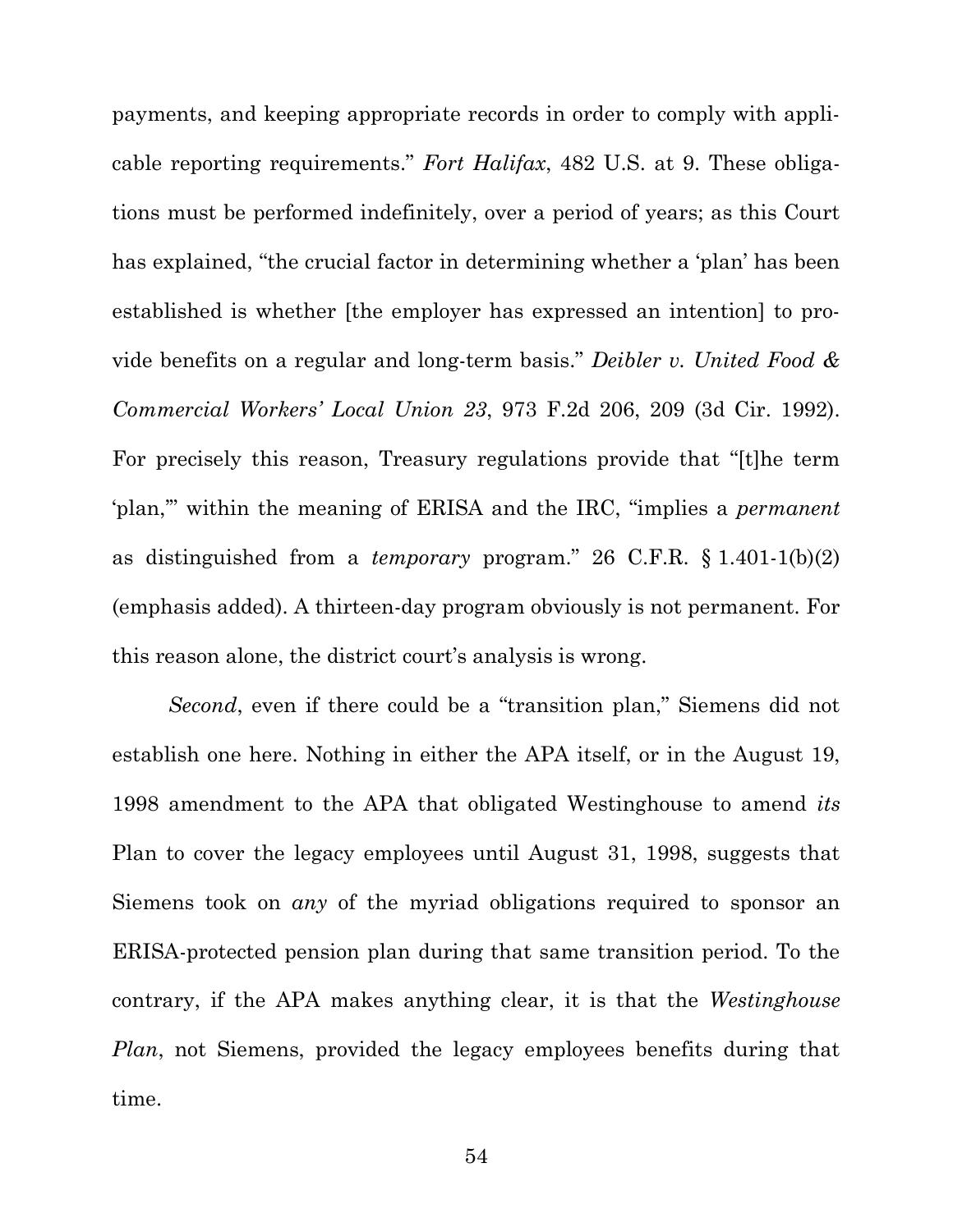payments, and keeping appropriate records in order to comply with applicable reporting requirements." *Fort Halifax*, 482 U.S. at 9. These obligations must be performed indefinitely, over a period of years; as this Court has explained, "the crucial factor in determining whether a 'plan' has been established is whether [the employer has expressed an intention] to provide benefits on a regular and long-term basis." *Deibler v. United Food & Commercial Workers' Local Union 23*, 973 F.2d 206, 209 (3d Cir. 1992). For precisely this reason, Treasury regulations provide that "[t]he term 'plan,'" within the meaning of ERISA and the IRC, "implies a *permanent* as distinguished from a *temporary* program." 26 C.F.R. § 1.401-1(b)(2) (emphasis added). A thirteen-day program obviously is not permanent. For this reason alone, the district court's analysis is wrong.

*Second*, even if there could be a "transition plan," Siemens did not establish one here. Nothing in either the APA itself, or in the August 19, 1998 amendment to the APA that obligated Westinghouse to amend *its* Plan to cover the legacy employees until August 31, 1998, suggests that Siemens took on *any* of the myriad obligations required to sponsor an ERISA-protected pension plan during that same transition period. To the contrary, if the APA makes anything clear, it is that the *Westinghouse Plan*, not Siemens, provided the legacy employees benefits during that time.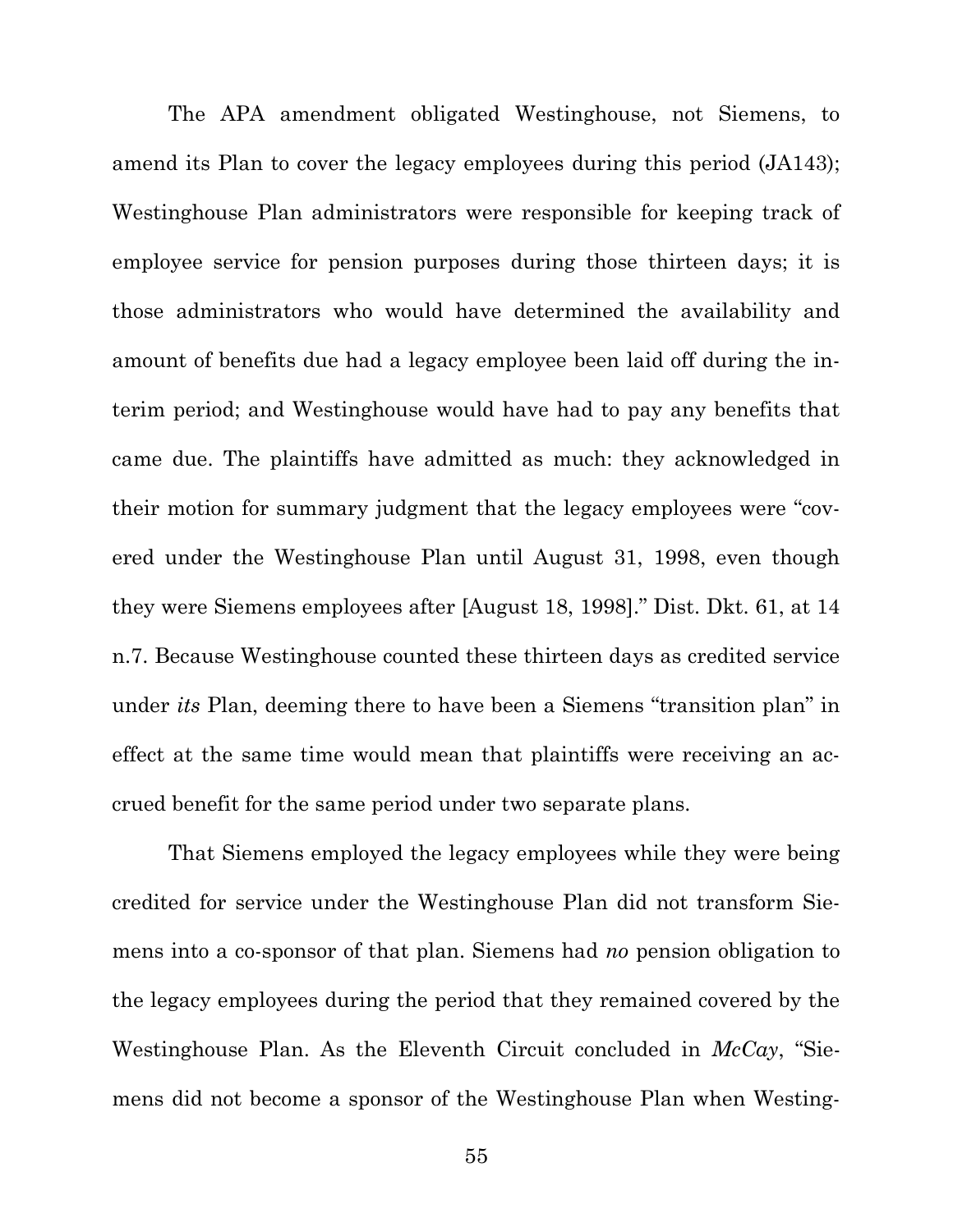The APA amendment obligated Westinghouse, not Siemens, to amend its Plan to cover the legacy employees during this period (JA143); Westinghouse Plan administrators were responsible for keeping track of employee service for pension purposes during those thirteen days; it is those administrators who would have determined the availability and amount of benefits due had a legacy employee been laid off during the interim period; and Westinghouse would have had to pay any benefits that came due. The plaintiffs have admitted as much: they acknowledged in their motion for summary judgment that the legacy employees were "covered under the Westinghouse Plan until August 31, 1998, even though they were Siemens employees after [August 18, 1998]." Dist. Dkt. 61, at 14 n.7. Because Westinghouse counted these thirteen days as credited service under *its* Plan, deeming there to have been a Siemens "transition plan" in effect at the same time would mean that plaintiffs were receiving an accrued benefit for the same period under two separate plans.

That Siemens employed the legacy employees while they were being credited for service under the Westinghouse Plan did not transform Siemens into a co-sponsor of that plan. Siemens had *no* pension obligation to the legacy employees during the period that they remained covered by the Westinghouse Plan. As the Eleventh Circuit concluded in *McCay*, "Siemens did not become a sponsor of the Westinghouse Plan when Westing-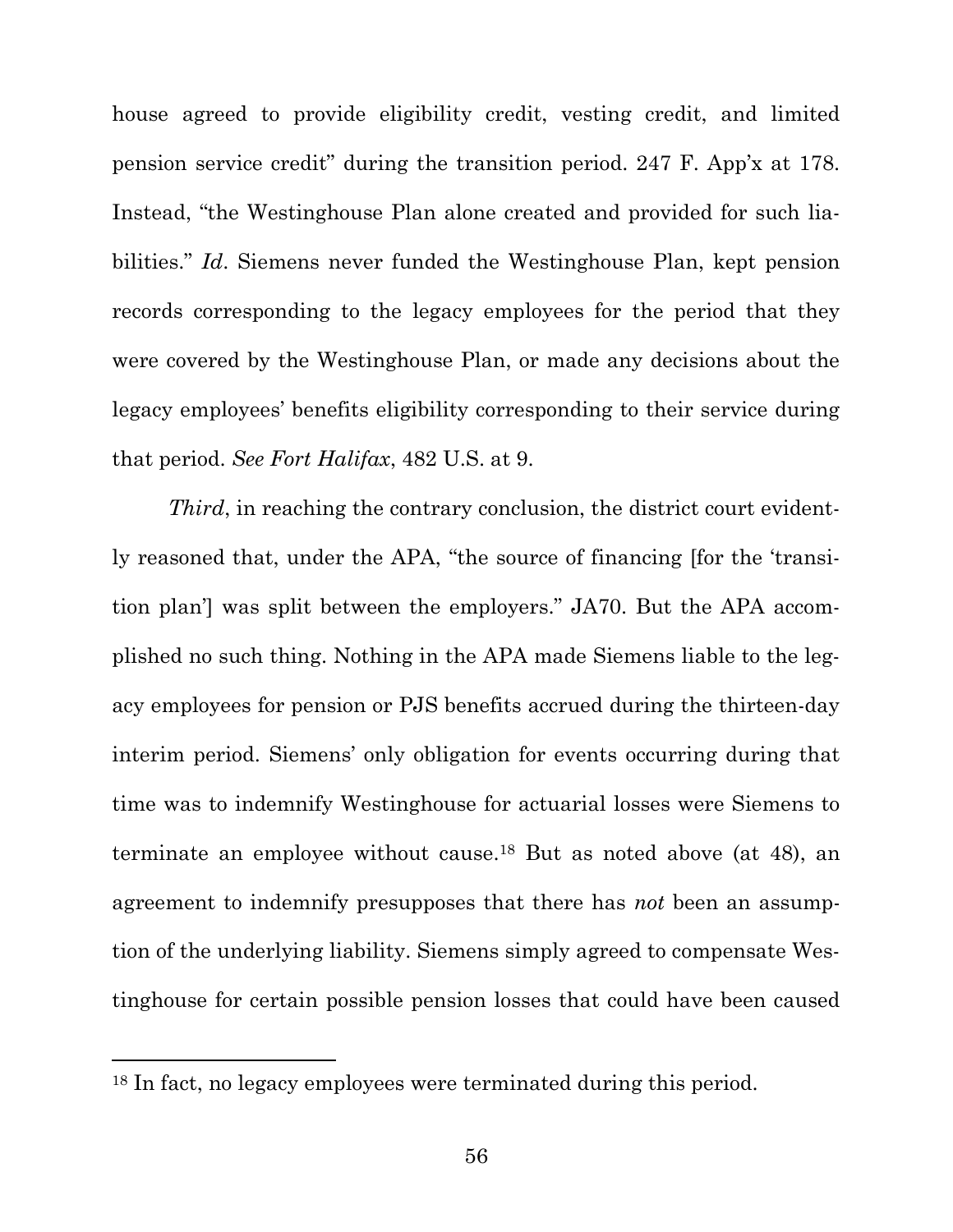house agreed to provide eligibility credit, vesting credit, and limited pension service credit" during the transition period. 247 F. App'x at 178. Instead, "the Westinghouse Plan alone created and provided for such liabilities." *Id*. Siemens never funded the Westinghouse Plan, kept pension records corresponding to the legacy employees for the period that they were covered by the Westinghouse Plan, or made any decisions about the legacy employees' benefits eligibility corresponding to their service during that period. *See Fort Halifax*, 482 U.S. at 9.

*Third*, in reaching the contrary conclusion, the district court evidently reasoned that, under the APA, "the source of financing [for the 'transition plan'] was split between the employers." JA70. But the APA accomplished no such thing. Nothing in the APA made Siemens liable to the legacy employees for pension or PJS benefits accrued during the thirteen-day interim period. Siemens' only obligation for events occurring during that time was to indemnify Westinghouse for actuarial losses were Siemens to terminate an employee without cause.<sup>18</sup> But as noted above (at 48), an agreement to indemnify presupposes that there has *not* been an assumption of the underlying liability. Siemens simply agreed to compensate Westinghouse for certain possible pension losses that could have been caused

<sup>18</sup> In fact, no legacy employees were terminated during this period.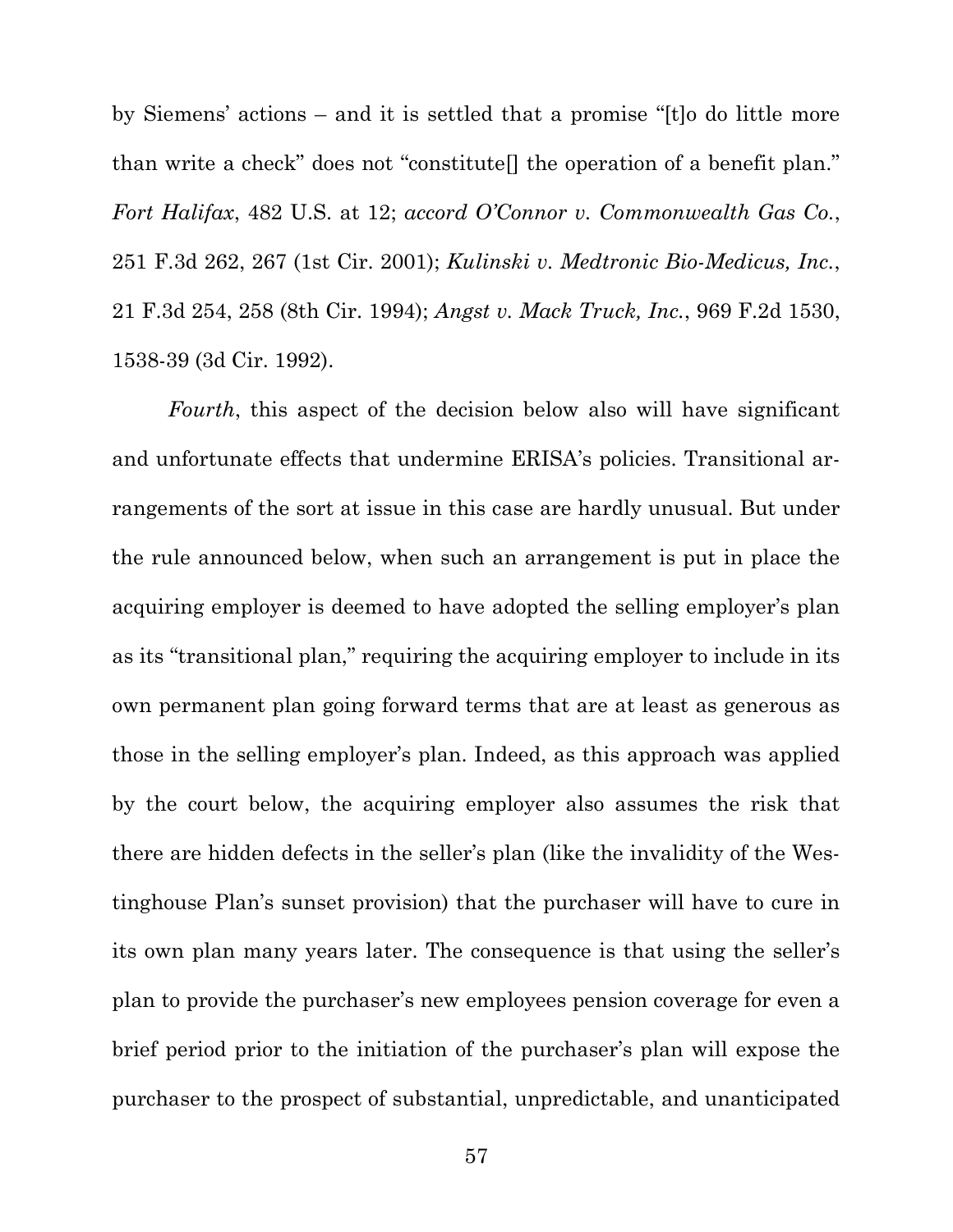by Siemens' actions – and it is settled that a promise "[t]o do little more than write a check" does not "constitute[] the operation of a benefit plan." *Fort Halifax*, 482 U.S. at 12; *accord O'Connor v. Commonwealth Gas Co.*, 251 F.3d 262, 267 (1st Cir. 2001); *Kulinski v. Medtronic Bio-Medicus, Inc.*, 21 F.3d 254, 258 (8th Cir. 1994); *Angst v. Mack Truck, Inc.*, 969 F.2d 1530, 1538-39 (3d Cir. 1992).

*Fourth*, this aspect of the decision below also will have significant and unfortunate effects that undermine ERISA's policies. Transitional arrangements of the sort at issue in this case are hardly unusual. But under the rule announced below, when such an arrangement is put in place the acquiring employer is deemed to have adopted the selling employer's plan as its "transitional plan," requiring the acquiring employer to include in its own permanent plan going forward terms that are at least as generous as those in the selling employer's plan. Indeed, as this approach was applied by the court below, the acquiring employer also assumes the risk that there are hidden defects in the seller's plan (like the invalidity of the Westinghouse Plan's sunset provision) that the purchaser will have to cure in its own plan many years later. The consequence is that using the seller's plan to provide the purchaser's new employees pension coverage for even a brief period prior to the initiation of the purchaser's plan will expose the purchaser to the prospect of substantial, unpredictable, and unanticipated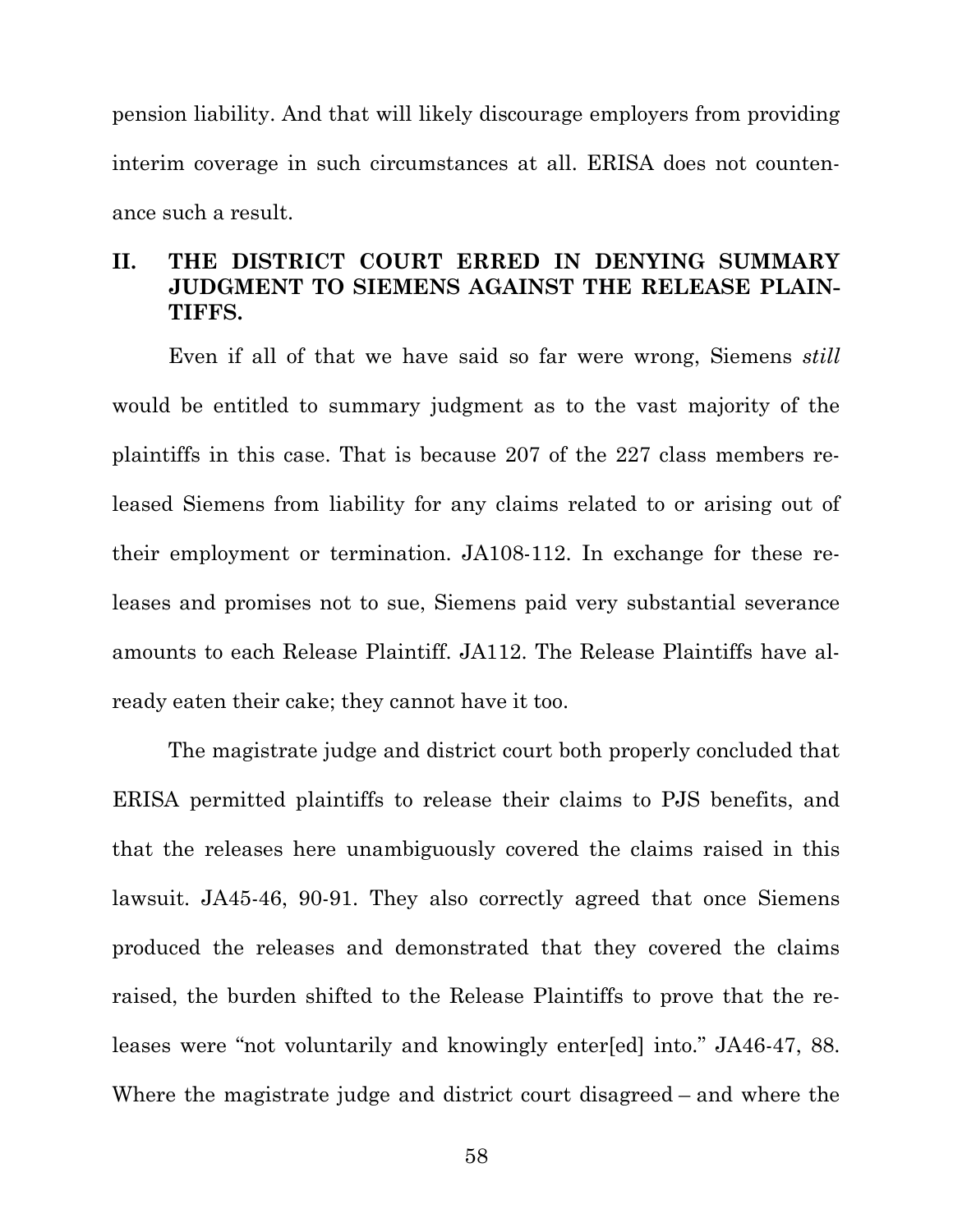pension liability. And that will likely discourage employers from providing interim coverage in such circumstances at all. ERISA does not countenance such a result.

# **II. THE DISTRICT COURT ERRED IN DENYING SUMMARY JUDGMENT TO SIEMENS AGAINST THE RELEASE PLAIN-TIFFS.**

Even if all of that we have said so far were wrong, Siemens *still* would be entitled to summary judgment as to the vast majority of the plaintiffs in this case. That is because 207 of the 227 class members released Siemens from liability for any claims related to or arising out of their employment or termination. JA108-112. In exchange for these releases and promises not to sue, Siemens paid very substantial severance amounts to each Release Plaintiff. JA112. The Release Plaintiffs have already eaten their cake; they cannot have it too.

The magistrate judge and district court both properly concluded that ERISA permitted plaintiffs to release their claims to PJS benefits, and that the releases here unambiguously covered the claims raised in this lawsuit. JA45-46, 90-91. They also correctly agreed that once Siemens produced the releases and demonstrated that they covered the claims raised, the burden shifted to the Release Plaintiffs to prove that the releases were "not voluntarily and knowingly enter[ed] into." JA46-47, 88. Where the magistrate judge and district court disagreed – and where the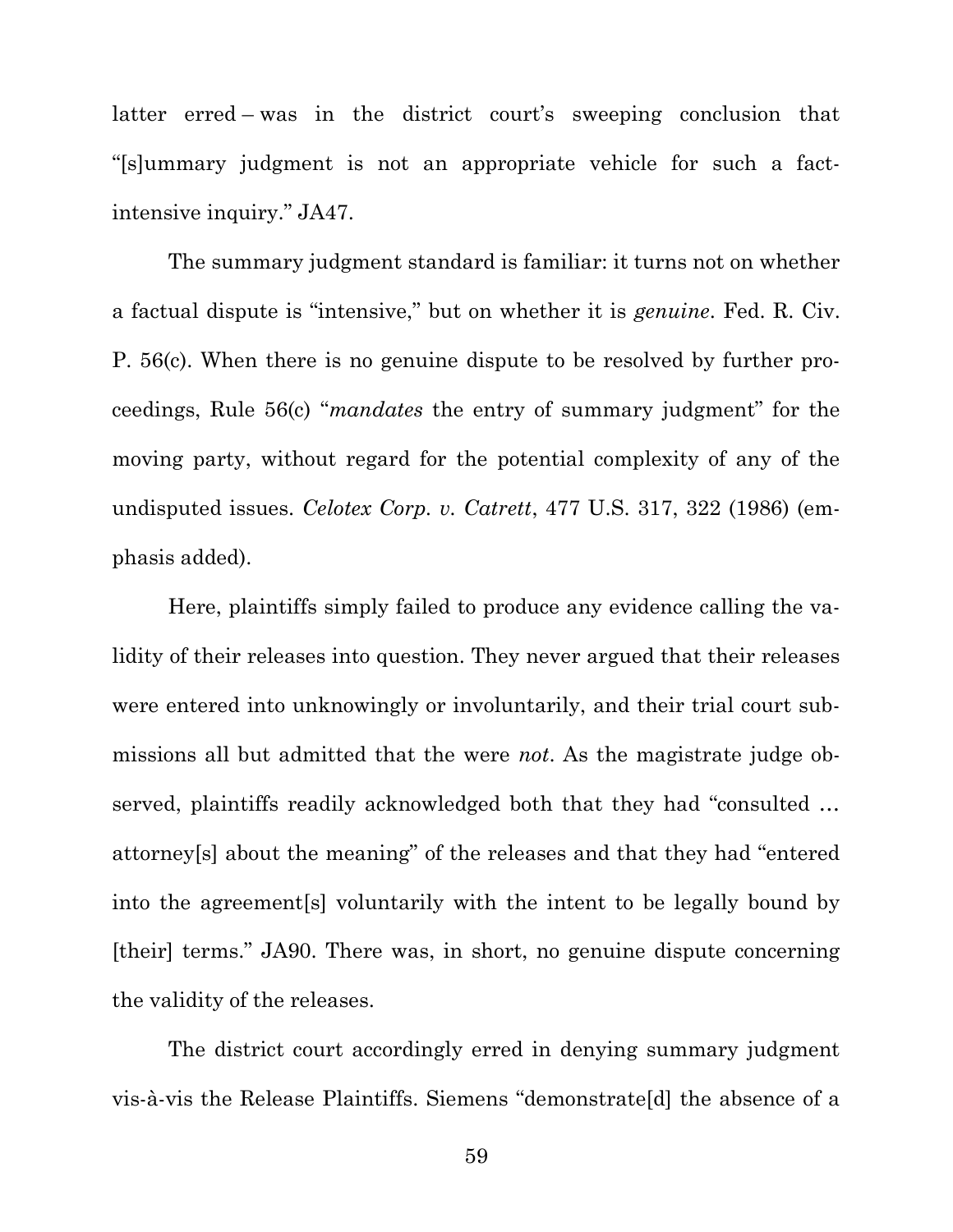latter erred – was in the district court's sweeping conclusion that "[s]ummary judgment is not an appropriate vehicle for such a factintensive inquiry." JA47.

The summary judgment standard is familiar: it turns not on whether a factual dispute is "intensive," but on whether it is *genuine*. Fed. R. Civ. P. 56(c). When there is no genuine dispute to be resolved by further proceedings, Rule 56(c) "*mandates* the entry of summary judgment" for the moving party, without regard for the potential complexity of any of the undisputed issues. *Celotex Corp. v. Catrett*, 477 U.S. 317, 322 (1986) (emphasis added).

Here, plaintiffs simply failed to produce any evidence calling the validity of their releases into question. They never argued that their releases were entered into unknowingly or involuntarily, and their trial court submissions all but admitted that the were *not*. As the magistrate judge observed, plaintiffs readily acknowledged both that they had "consulted … attorney[s] about the meaning" of the releases and that they had "entered into the agreement[s] voluntarily with the intent to be legally bound by [their] terms." JA90. There was, in short, no genuine dispute concerning the validity of the releases.

The district court accordingly erred in denying summary judgment vis-à-vis the Release Plaintiffs. Siemens "demonstrate[d] the absence of a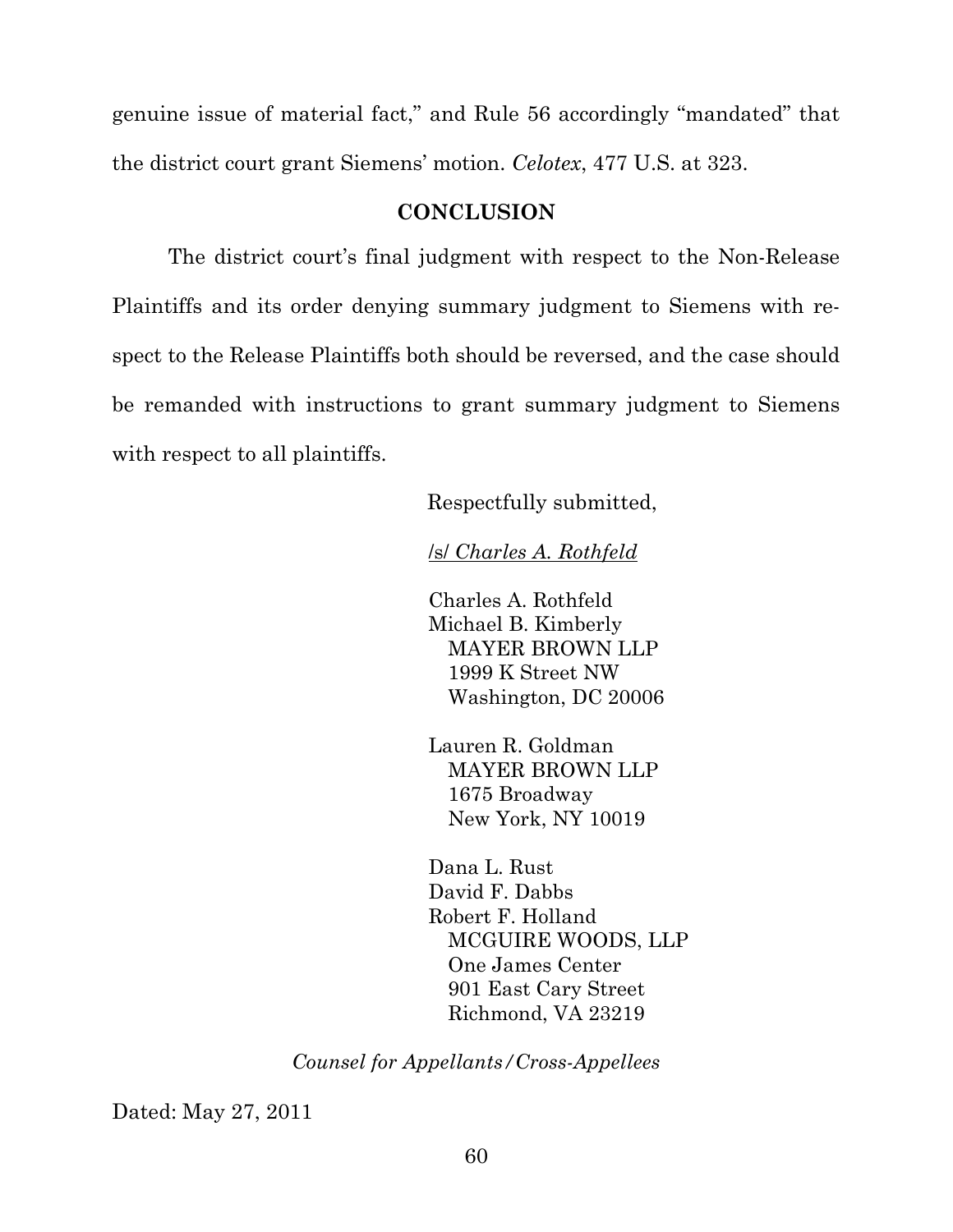genuine issue of material fact," and Rule 56 accordingly "mandated" that the district court grant Siemens' motion. *Celotex*, 477 U.S. at 323.

### **CONCLUSION**

The district court's final judgment with respect to the Non-Release Plaintiffs and its order denying summary judgment to Siemens with respect to the Release Plaintiffs both should be reversed, and the case should be remanded with instructions to grant summary judgment to Siemens with respect to all plaintiffs.

Respectfully submitted,

### /s/ *Charles A. Rothfeld*

Charles A. Rothfeld Michael B. Kimberly MAYER BROWN LLP 1999 K Street NW Washington, DC 20006

Lauren R. Goldman MAYER BROWN LLP 1675 Broadway New York, NY 10019

Dana L. Rust David F. Dabbs Robert F. Holland MCGUIRE WOODS, LLP One James Center 901 East Cary Street Richmond, VA 23219

*Counsel for Appellants/Cross-Appellees*

Dated: May 27, 2011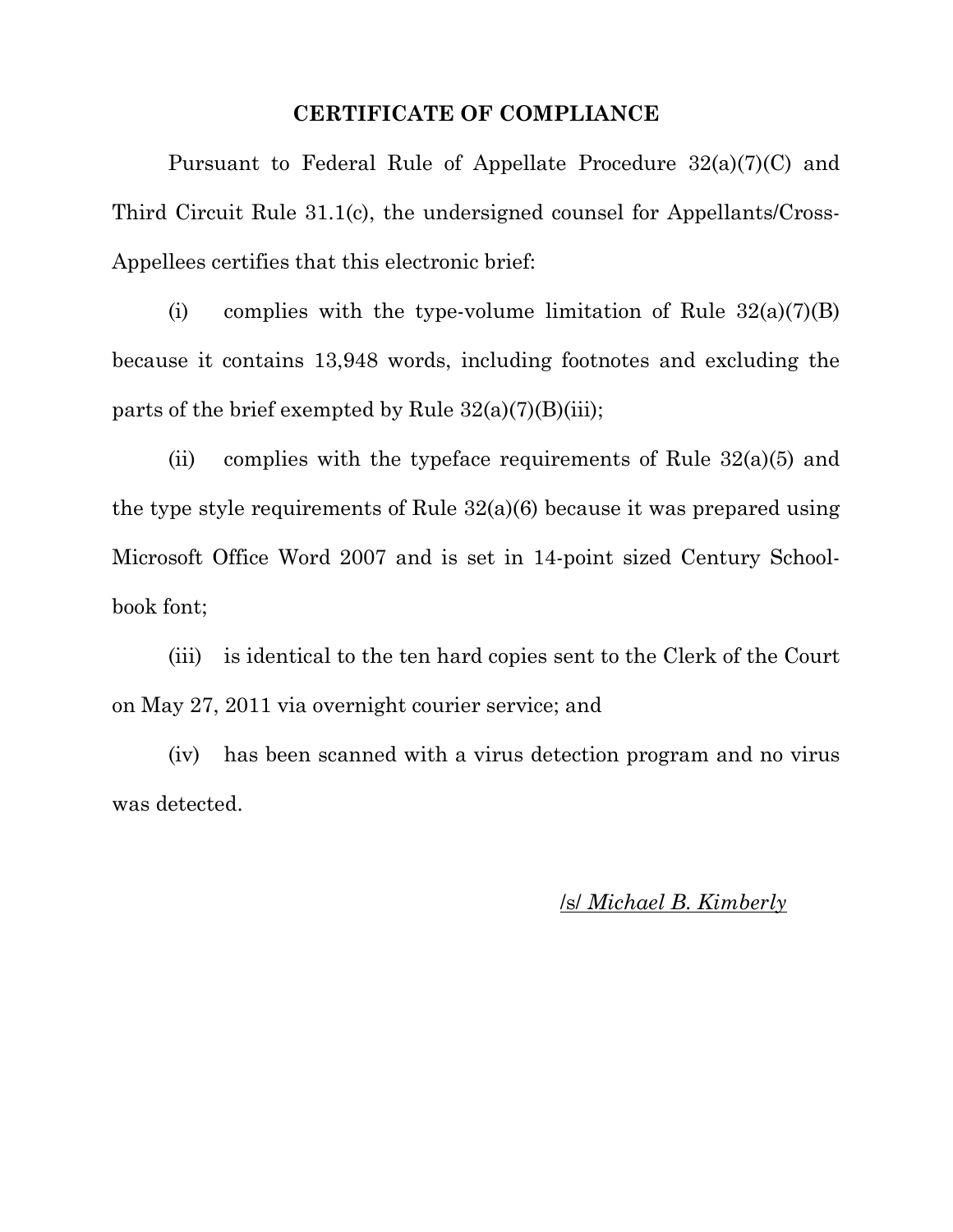#### **CERTIFICATE OF COMPLIANCE**

Pursuant to Federal Rule of Appellate Procedure 32(a)(7)(C) and Third Circuit Rule 31.1(c), the undersigned counsel for Appellants/Cross-Appellees certifies that this electronic brief:

(i) complies with the type-volume limitation of Rule  $32(a)(7)(B)$ because it contains 13,948 words, including footnotes and excluding the parts of the brief exempted by Rule  $32(a)(7)(B)(iii)$ ;

(ii) complies with the typeface requirements of Rule  $32(a)(5)$  and the type style requirements of Rule 32(a)(6) because it was prepared using Microsoft Office Word 2007 and is set in 14-point sized Century Schoolbook font;

(iii) is identical to the ten hard copies sent to the Clerk of the Court on May 27, 2011 via overnight courier service; and

(iv) has been scanned with a virus detection program and no virus was detected.

### /s/ *Michael B. Kimberly*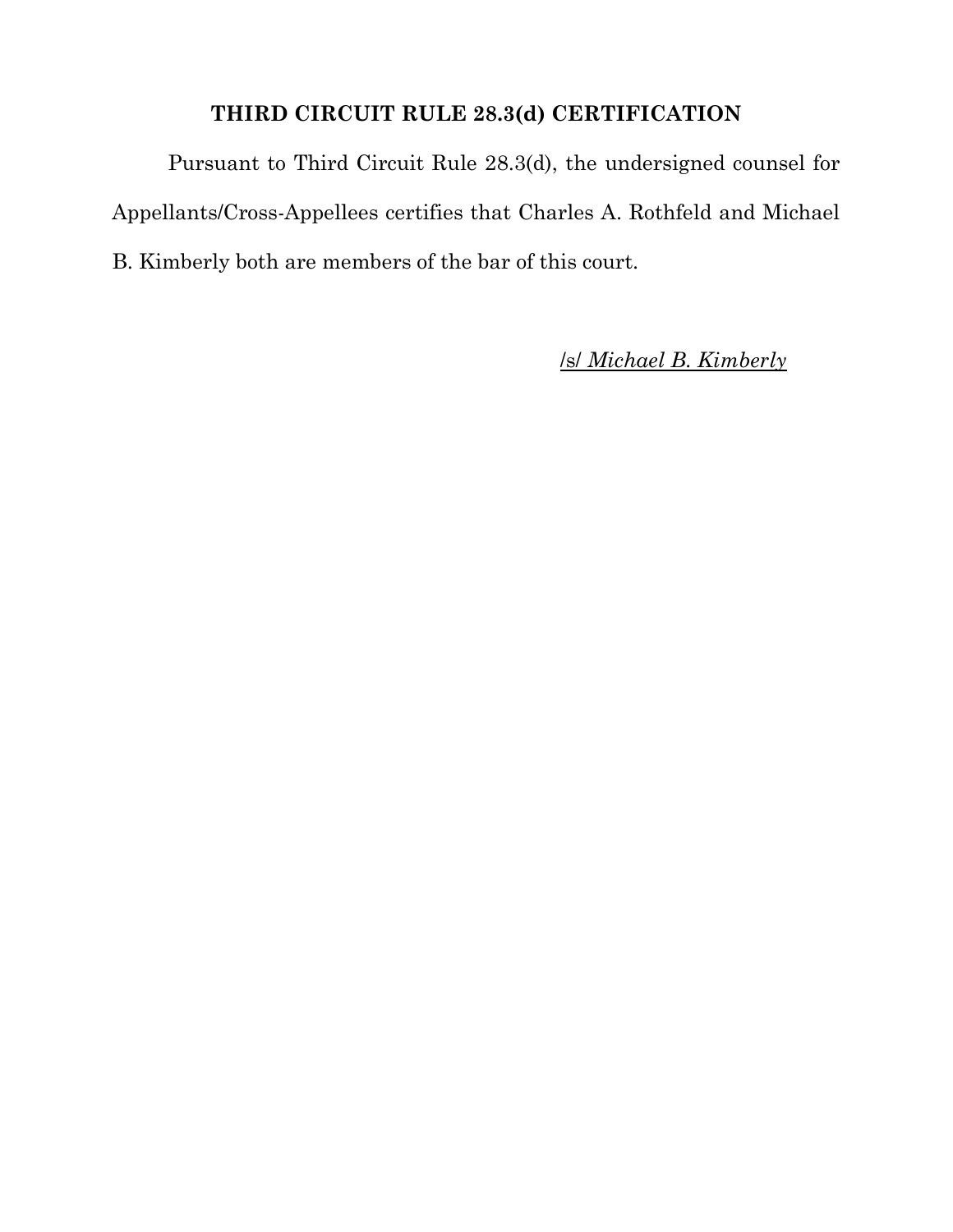# **THIRD CIRCUIT RULE 28.3(d) CERTIFICATION**

Pursuant to Third Circuit Rule 28.3(d), the undersigned counsel for Appellants/Cross-Appellees certifies that Charles A. Rothfeld and Michael B. Kimberly both are members of the bar of this court.

/s/ *Michael B. Kimberly*